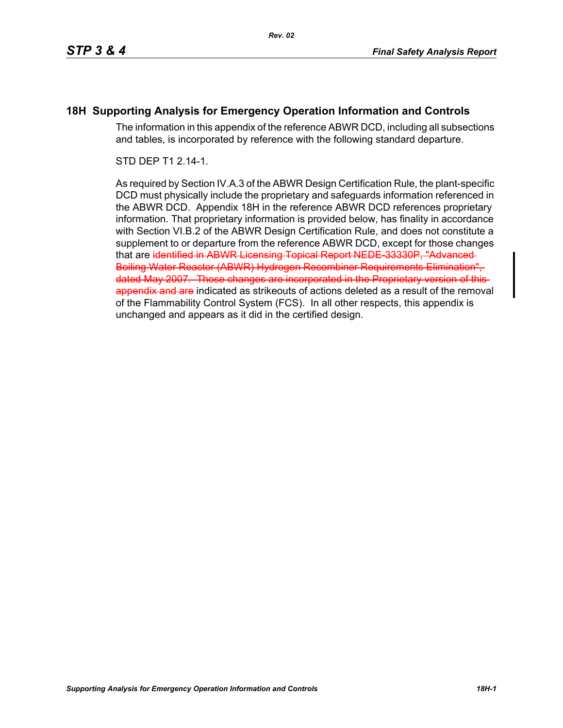#### **18H Supporting Analysis for Emergency Operation Information and Controls**

The information in this appendix of the reference ABWR DCD, including all subsections and tables, is incorporated by reference with the following standard departure.

STD DEP T1 2.14-1.

As required by Section IV.A.3 of the ABWR Design Certification Rule, the plant-specific DCD must physically include the proprietary and safeguards information referenced in the ABWR DCD. Appendix 18H in the reference ABWR DCD references proprietary information. That proprietary information is provided below, has finality in accordance with Section VI.B.2 of the ABWR Design Certification Rule, and does not constitute a supplement to or departure from the reference ABWR DCD, except for those changes that are identified in ABWR Licensing Topical Report NEDE-33330P, "Advanced Boiling Water Reactor (ABWR) Hydrogen Recombiner Requirements Elimination", dated May 2007. Those changes are incorporated in the Proprietary version of this appendix and are indicated as strikeouts of actions deleted as a result of the removal of the Flammability Control System (FCS). In all other respects, this appendix is unchanged and appears as it did in the certified design.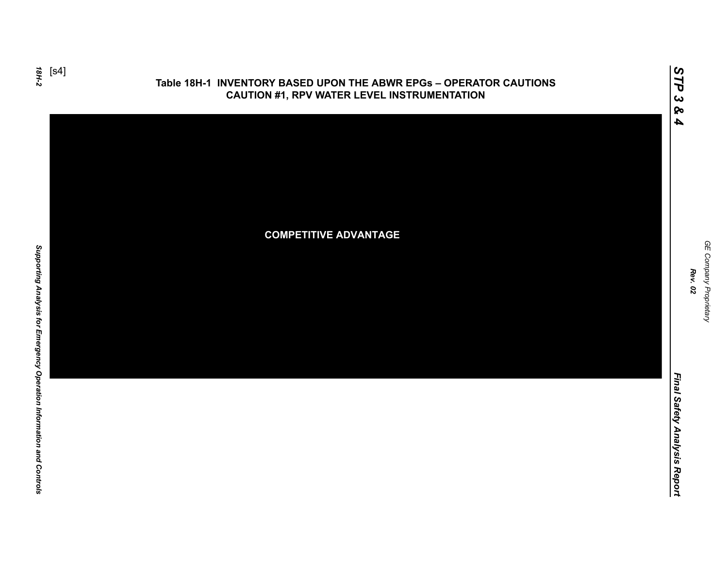

#### **Table 18H-1 INVENTORY BASED UPON THE ABWR EPGs – OPERATOR CAUTIONS CAUTION #1, RPV WATER LEVEL INSTRUMENTATION**



GE Company Proprietary *GE Company Proprietary Rev. 02*

*STP 3 & 4*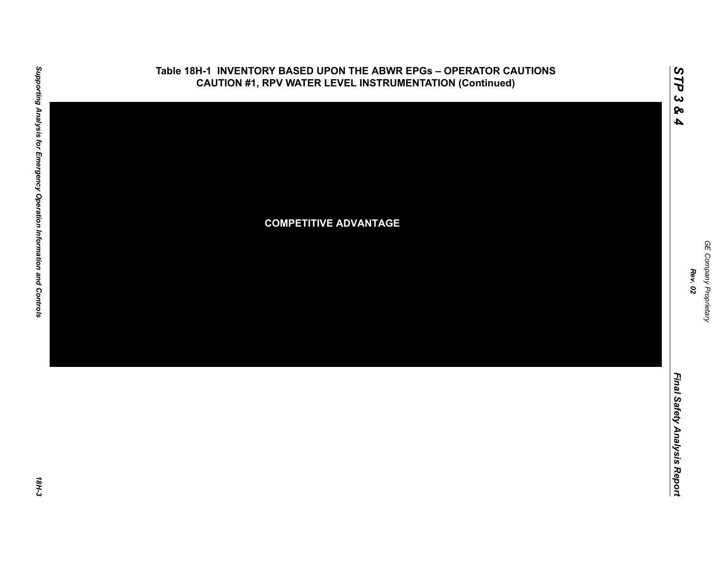

## **Table 18H-1 INVENTORY BASED UPON THE ABWR EPGs – OPERATOR CAUTIONS**

*GE Company Proprietary*

GE Company Proprietary

*Rev. 02*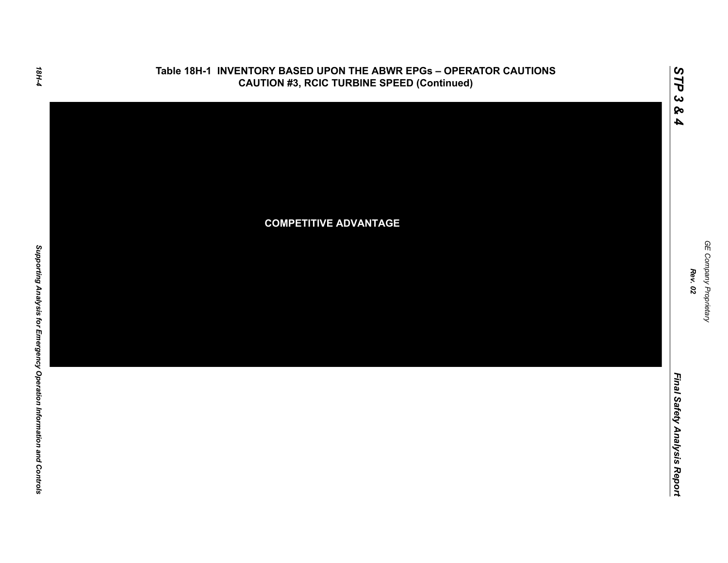

#### **Table 18H-1 INVENTORY BASED UPON THE ABWR EPGs – OPERATOR CAUTIONS CAUTION #3, RCIC TURBINE SPEED (Continued)**

GE Company Proprietary *GE Company Proprietary Rev. 02*

*Final Safety Analysis Report*

Final Safety Analysis Report

*STP 3 & 4*

18H-4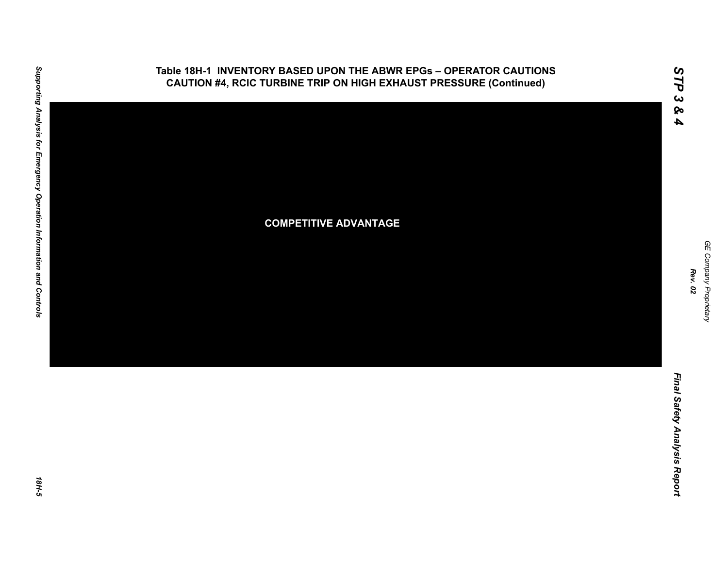

#### **Table 18H-1 INVENTORY BASED UPON THE ABWR EPGs – OPERATOR CAUTIONS CAUTION #4, RCIC TURBINE TRIP ON HIGH EXHAUST PRESSURE (Continued)**

*GE Company Proprietary*

GE Company Proprietary

*Rev. 02*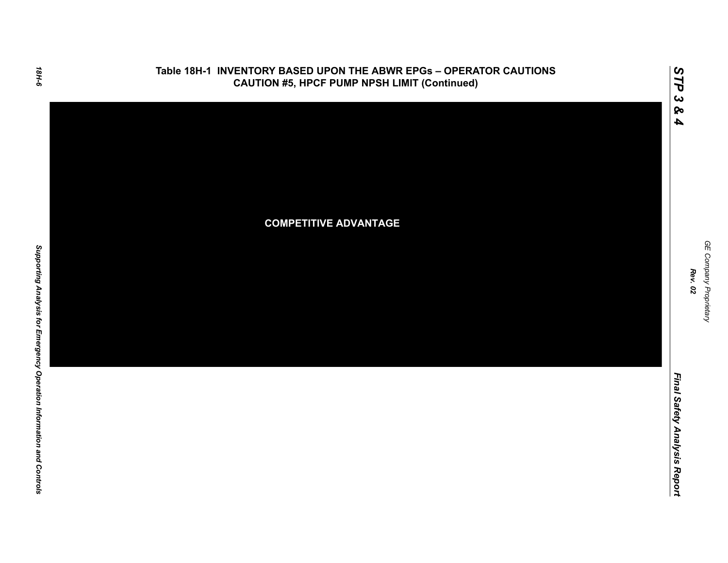

#### **Table 18H-1 INVENTORY BASED UPON THE ABWR EPGs – OPERATOR CAUTIONS CAUTION #5, HPCF PUMP NPSH LIMIT (Continued)**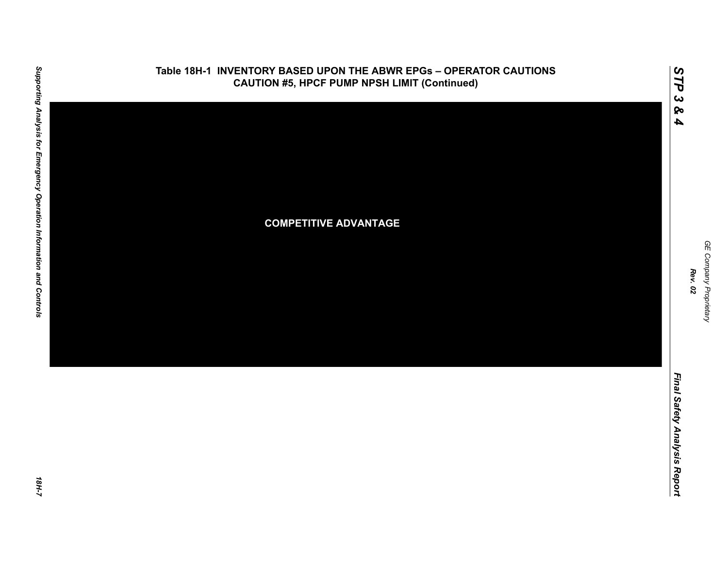

#### **Table 18H-1 INVENTORY BASED UPON THE ABWR EPGs – OPERATOR CAUTIONS CAUTION #5, HPCF PUMP NPSH LIMIT (Continued)**

*GE Company Proprietary*

GE Company Proprietary

*Rev. 02*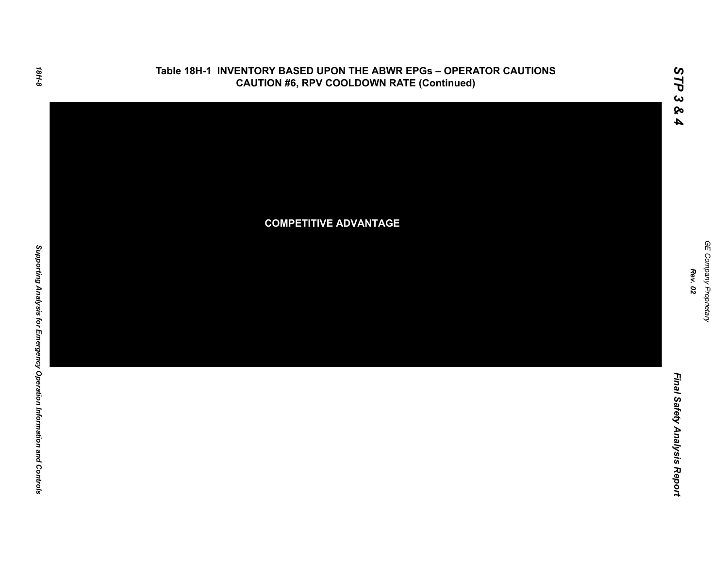

# **Table 18H-1 INVENTORY BASED UPON THE ABWR EPGs – OPERATOR CAUTIONS**

GE Company Proprietary *GE Company Proprietary Rev. 02*

*STP 3 & 4*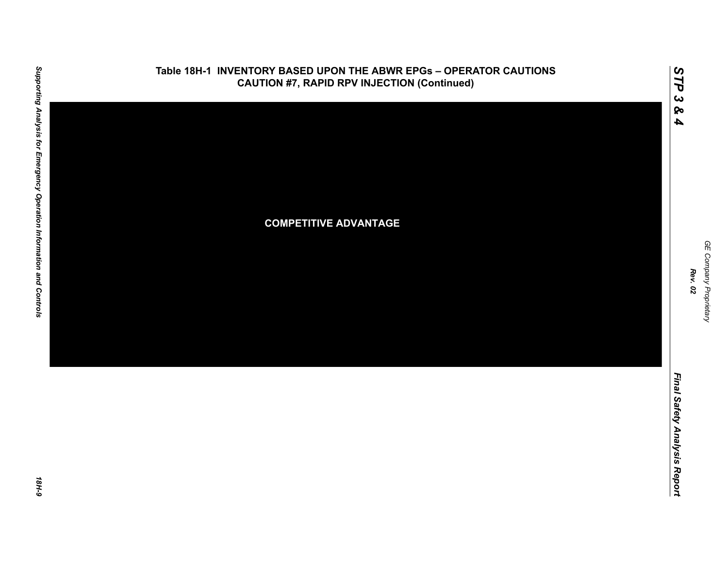

#### **Table 18H-1 INVENTORY BASED UPON THE ABWR EPGs – OPERATOR CAUTIONS CAUTION #7, RAPID RPV INJECTION (Continued)**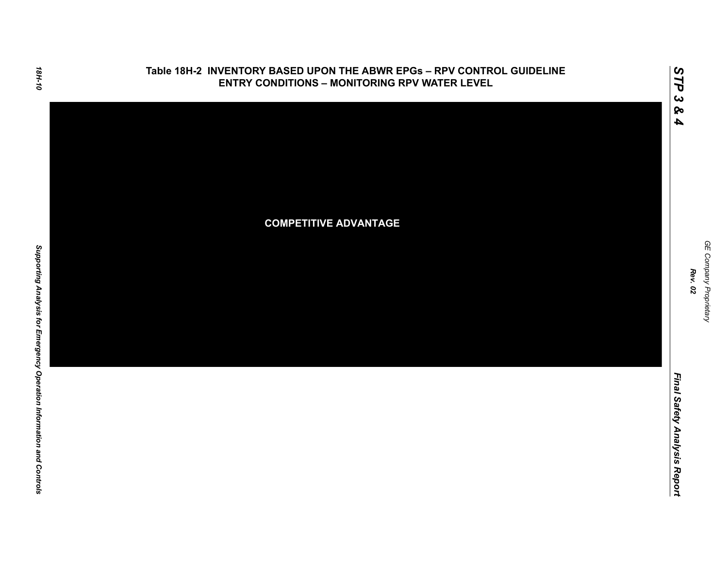

# **Table 18H-2 INVENTORY BASED UPON THE ABWR EPGs – RPV CONTROL GUIDELINE**

GE Company Proprietary *GE Company Proprietary Rev. 02*

*STP 3 & 4*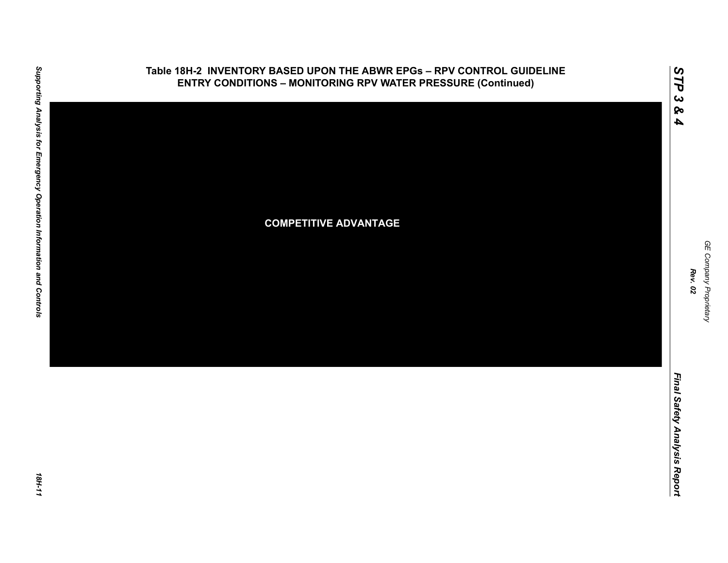

*GE Company Proprietary*

GE Company Proprietary

*Rev. 02*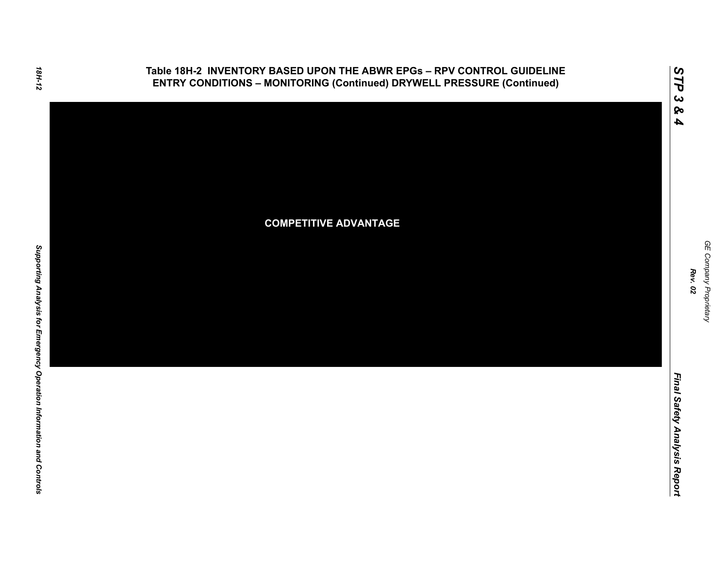

#### **Table 18H-2 INVENTORY BASED UPON THE ABWR EPGs – RPV CONTROL GUIDELINE ENTRY CONDITIONS – MONITORING (Continued) DRYWELL PRESSURE (Continued)**

GE Company Proprietary *GE Company Proprietary Rev. 02*

*STP 3 & 4*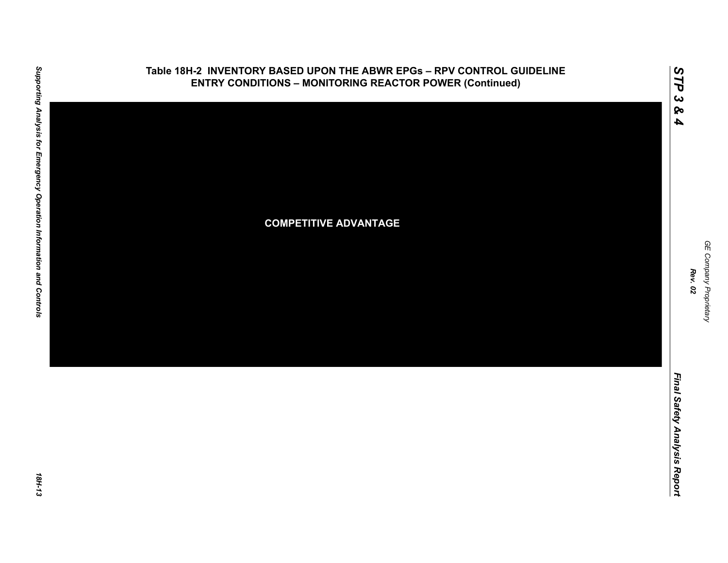

#### **Table 18H-2 INVENTORY BASED UPON THE ABWR EPGs – RPV CONTROL GUIDELINE ENTRY CONDITIONS – MONITORING REACTOR POWER (Continued)**

GE Company Proprietary *GE Company Proprietary Rev. 02*

*STP 3 & 4*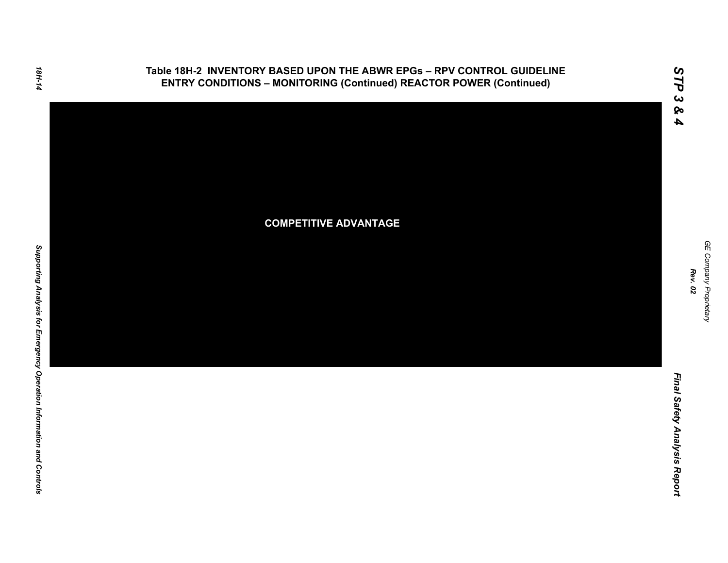

#### **Table 18H-2 INVENTORY BASED UPON THE ABWR EPGs – RPV CONTROL GUIDELINE ENTRY CONDITIONS – MONITORING (Continued) REACTOR POWER (Continued)**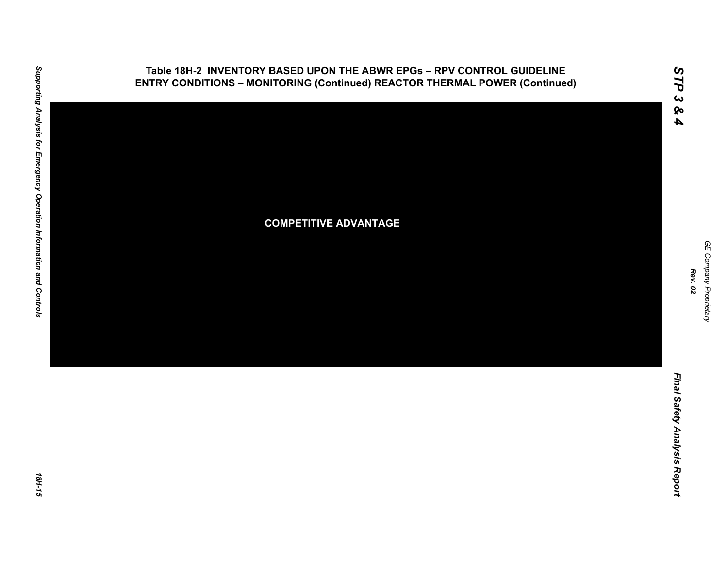

*GE Company Proprietary*

GE Company Proprietary

*Rev. 02*

*Final Safety Analysis Report*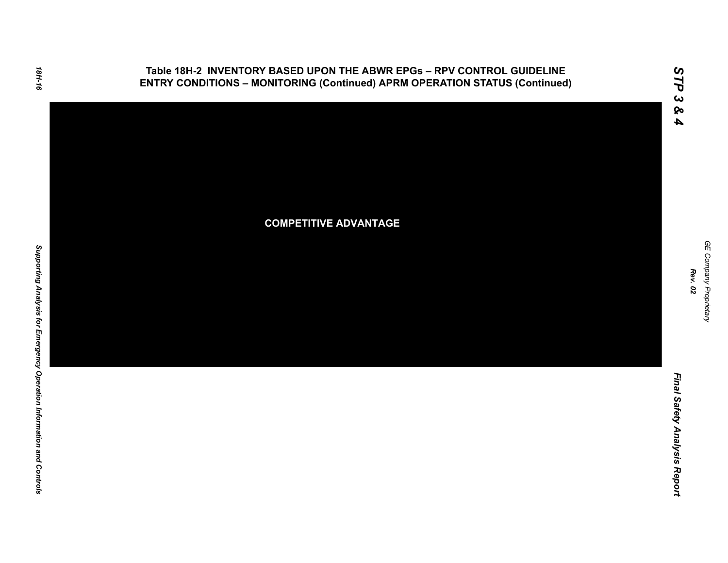

Final Safety Analysis Report *Final Safety Analysis Report*

*GE Company Proprietary*

GE Company Proprietary

*Rev. 02*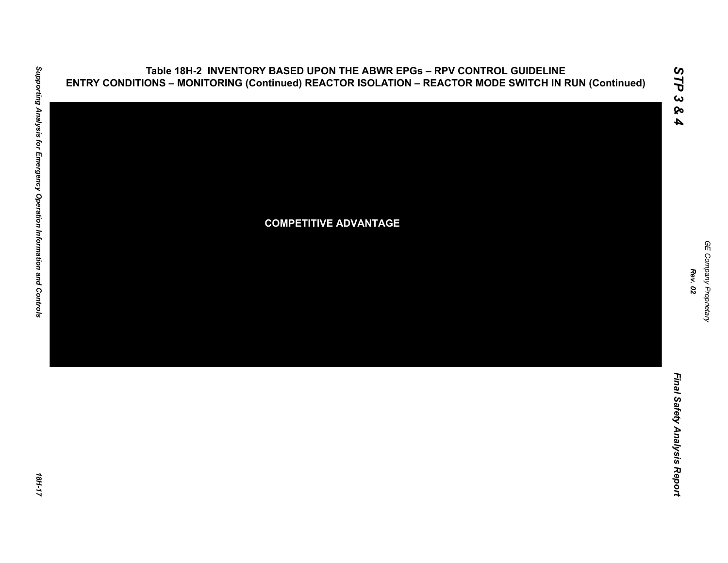

GE Company Proprietary *GE Company Proprietary Rev. 02*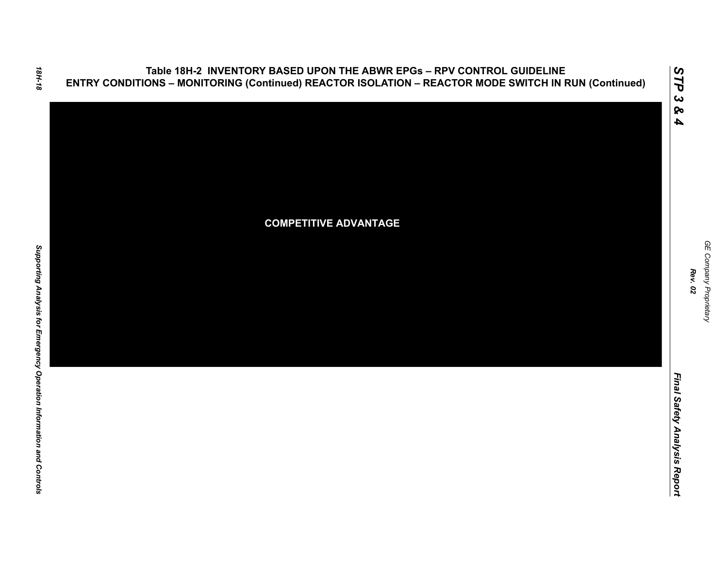

GE Company Proprietary *GE Company Proprietary Rev. 02*

*STP 3 & 4*

Final Safety Analysis Report *Final Safety Analysis Report*

18H-18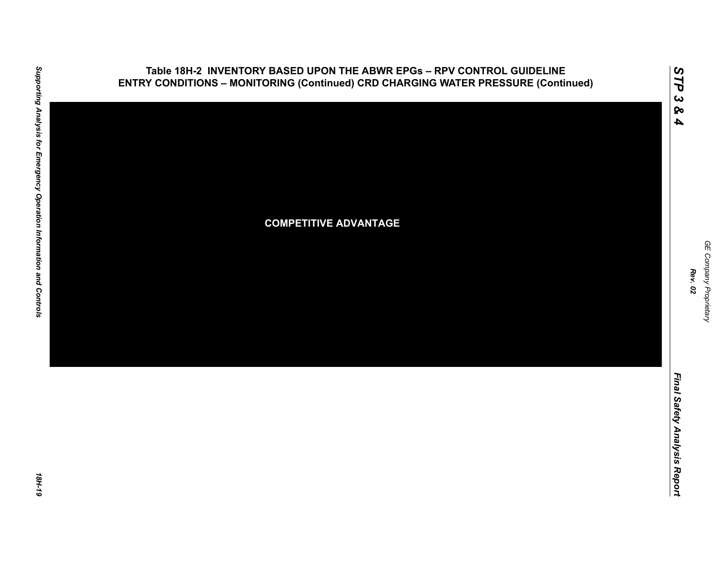

Supporting Analysis for Emergency Operation Information and Controls *Supporting Analysis for Emergency Operation Information and Controls 18H-19*

*GE Company Proprietary*

GE Company Proprietary

*Rev. 02*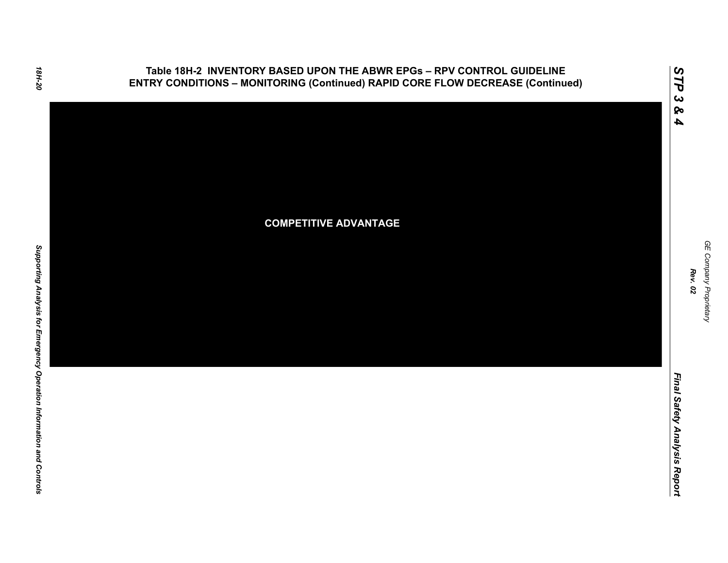**Table 18H-2 INVENTORY BASED UPON THE ABWR EPGs – RPV CONTROL GUIDELINE ENTRY CONDITIONS – MONITORING (Continued) RAPID CORE FLOW DECREASE (Continued)**



*STP 3 & 4*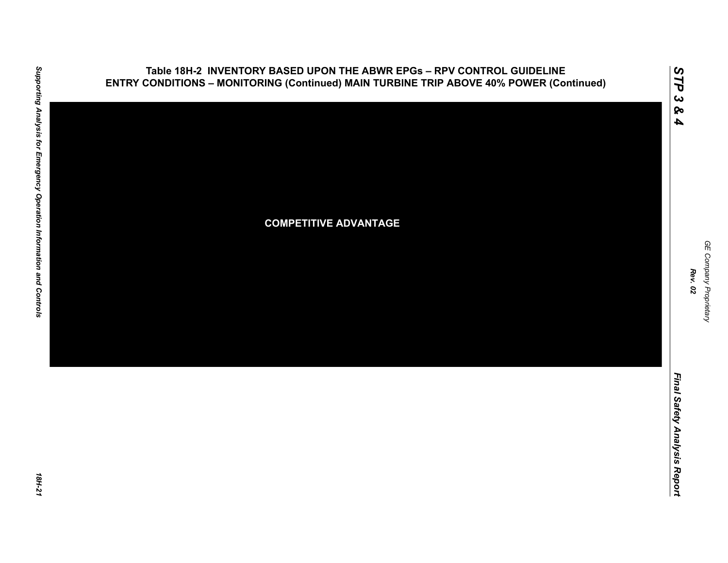

*GE Company Proprietary*

GE Company Proprietary

*Rev. 02*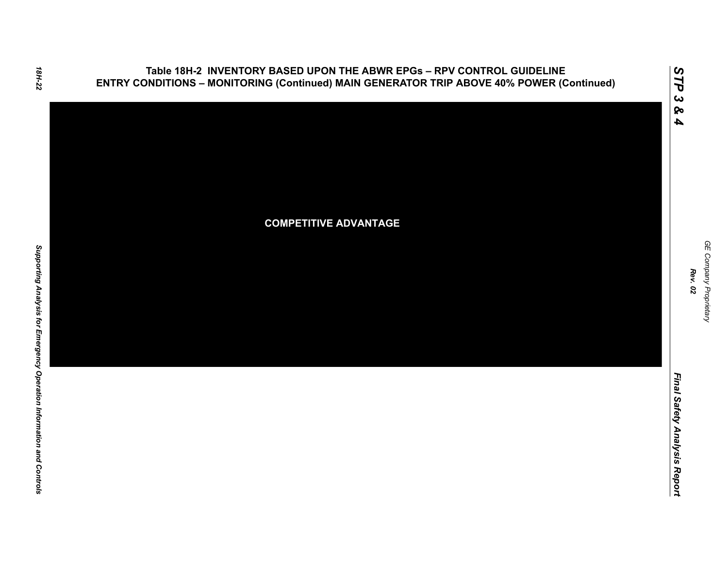**Table 18H-2 INVENTORY BASED UPON THE ABWR EPGs – RPV CONTROL GUIDELINE ENTRY CONDITIONS – MONITORING (Continued) MAIN GENERATOR TRIP ABOVE 40% POWER (Continued)**



GE Company Proprietary *GE Company Proprietary Rev. 02*

*STP 3 & 4*

Final Safety Analysis Report *Final Safety Analysis Report*

18H-22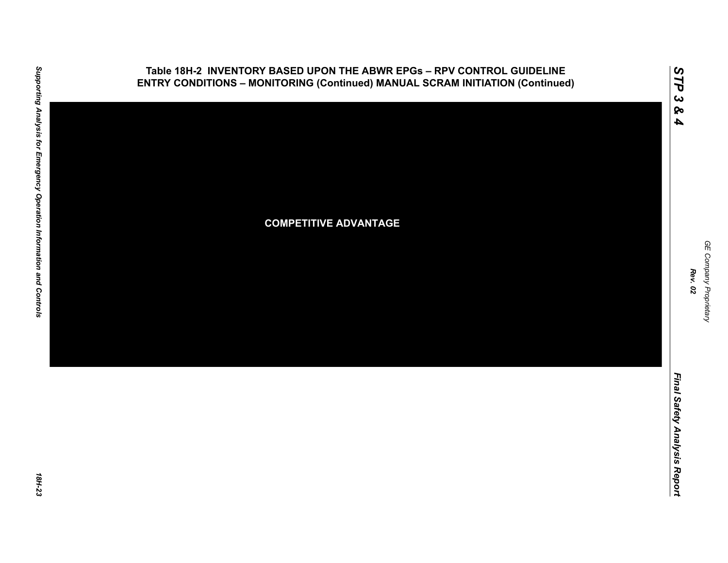

*GE Company Proprietary*

GE Company Proprietary

*Rev. 02*

*STP 3 & 4*

**Table 18H-2 INVENTORY BASED UPON THE ABWR EPGs – RPV CONTROL GUIDELINE ENTRY CONDITIONS – MONITORING (Continued) MANUAL SCRAM INITIATION (Continued)**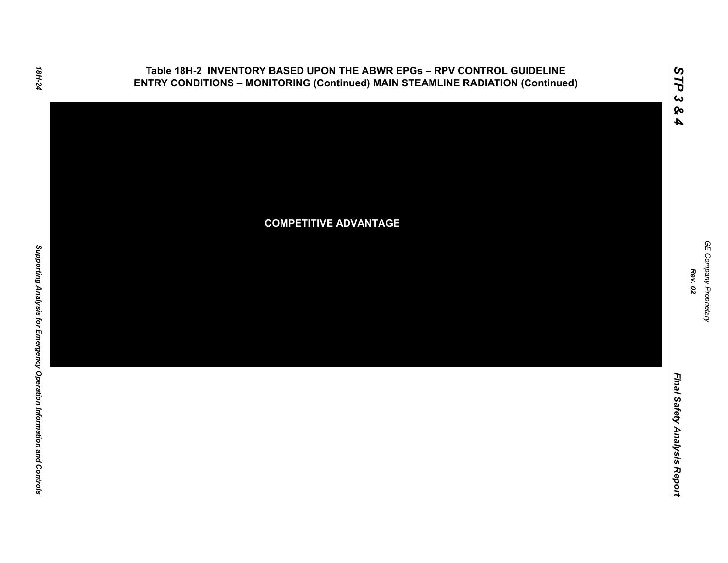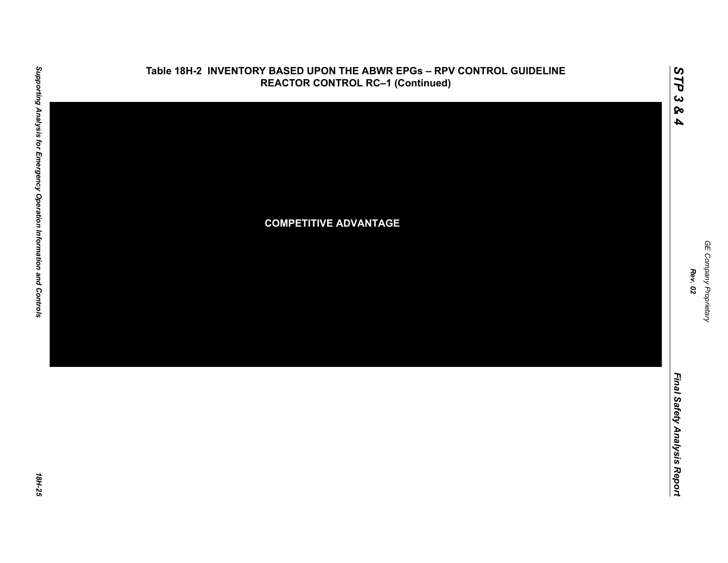

*GE Company Proprietary*

GE Company Proprietary

*Rev. 02*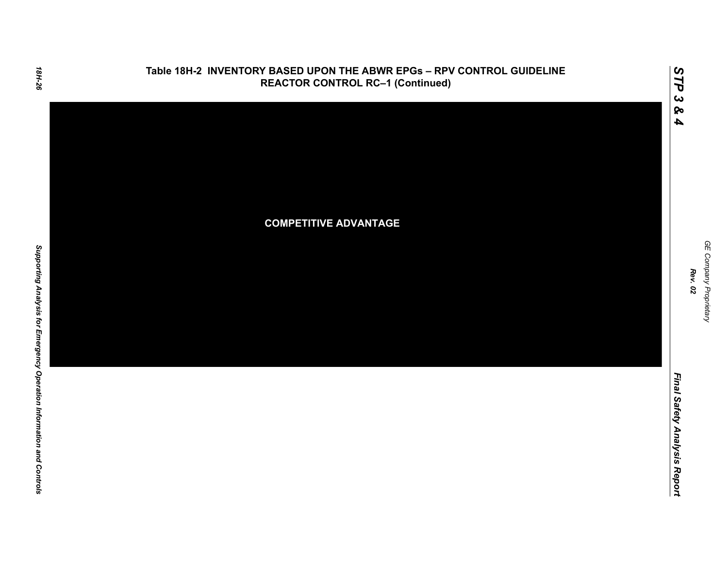

GE Company Proprietary *GE Company Proprietary Rev. 02*

*STP 3 & 4*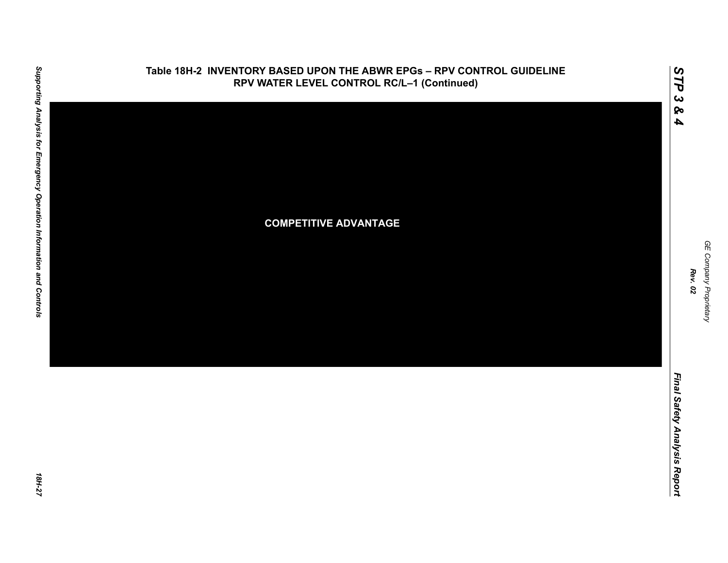

**Table 18H-2 INVENTORY BASED UPON THE ABWR EPGs – RPV CONTROL GUIDELINE**

Supporting Analysis for Emergency Operation Information and Controls

GE Company Proprietary *GE Company Proprietary Rev. 02*

*STP 3 & 4*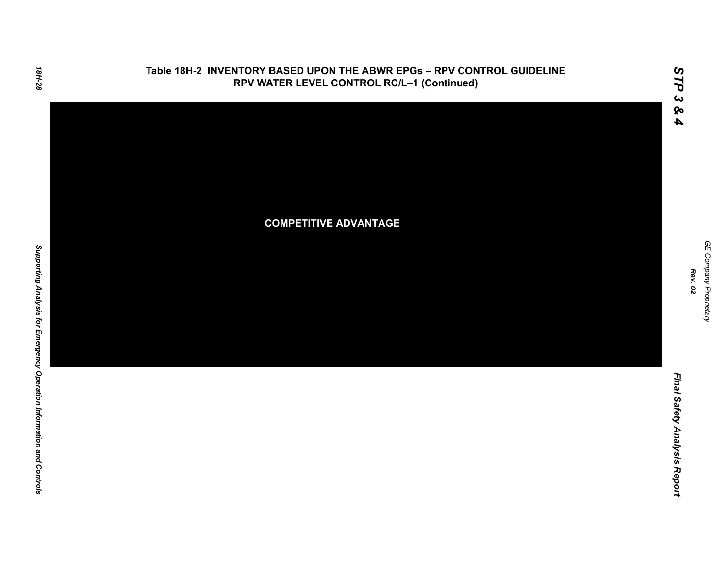

GE Company Proprietary *GE Company Proprietary Rev. 02*

*STP 3 & 4*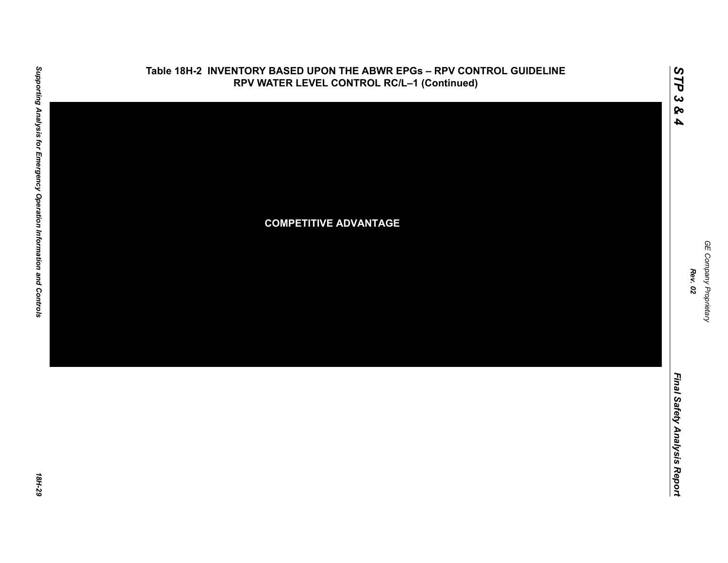

*GE Company Proprietary*

GE Company Proprietary

*Rev. 02*

*Final Safety Analysis Report*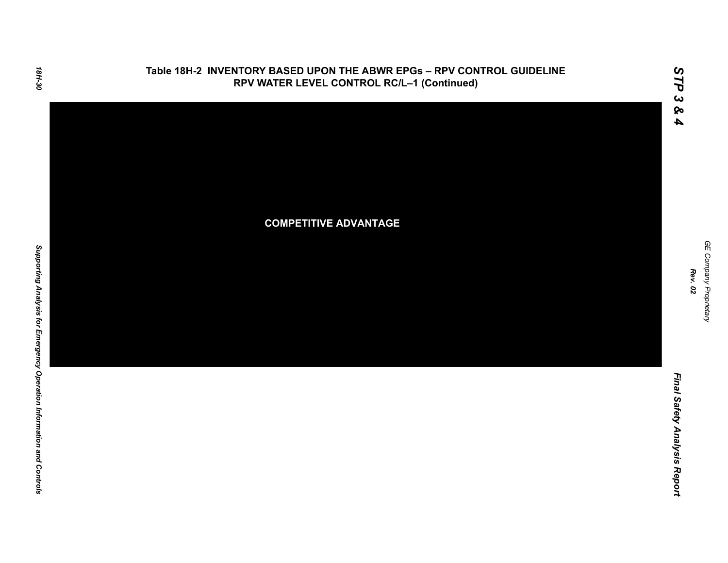

GE Company Proprietary *GE Company Proprietary Rev. 02*

*STP 3 & 4*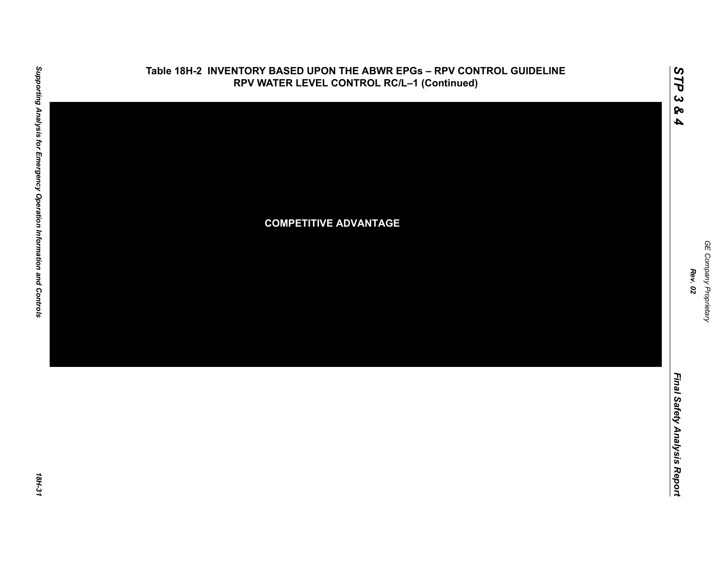

*GE Company Proprietary*

GE Company Proprietary

*Rev. 02*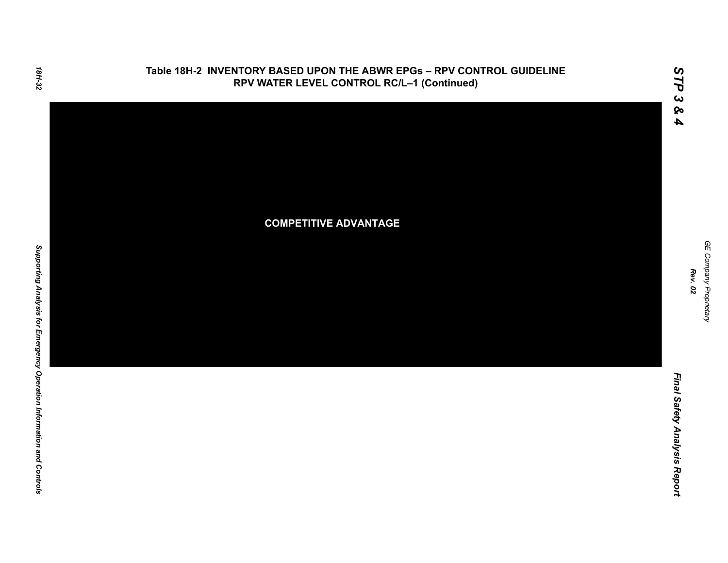

GE Company Proprietary *GE Company Proprietary Rev. 02*

*STP 3 & 4*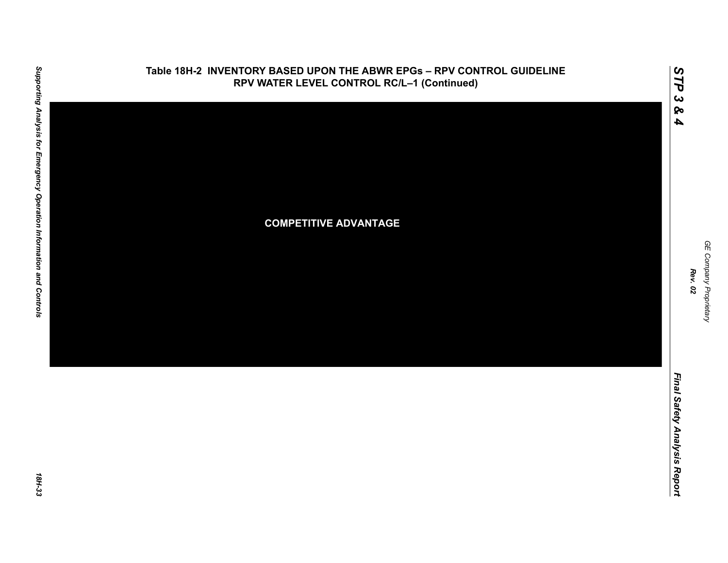

GE Company Proprietary *GE Company Proprietary Rev. 02*

*STP 3 & 4*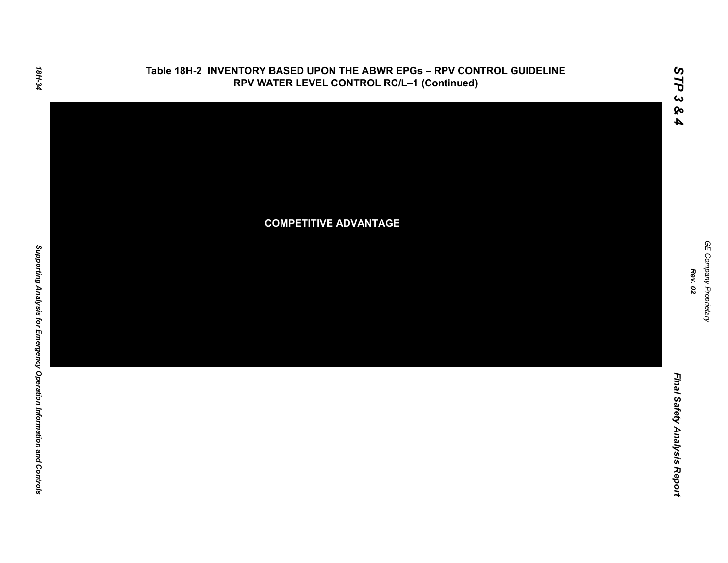

# 18H-34

Final Safety Analysis Report *Final Safety Analysis Report*

GE Company Proprietary *GE Company Proprietary Rev. 02*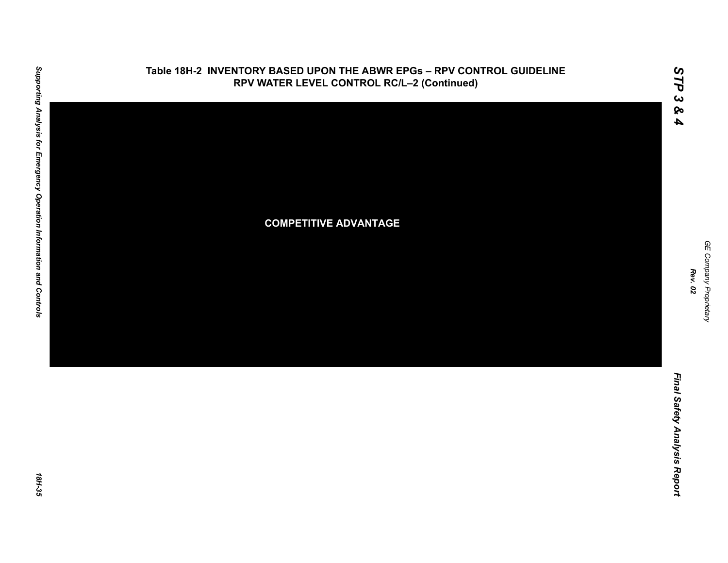

GE Company Proprietary *GE Company Proprietary Rev. 02*

*STP 3 & 4*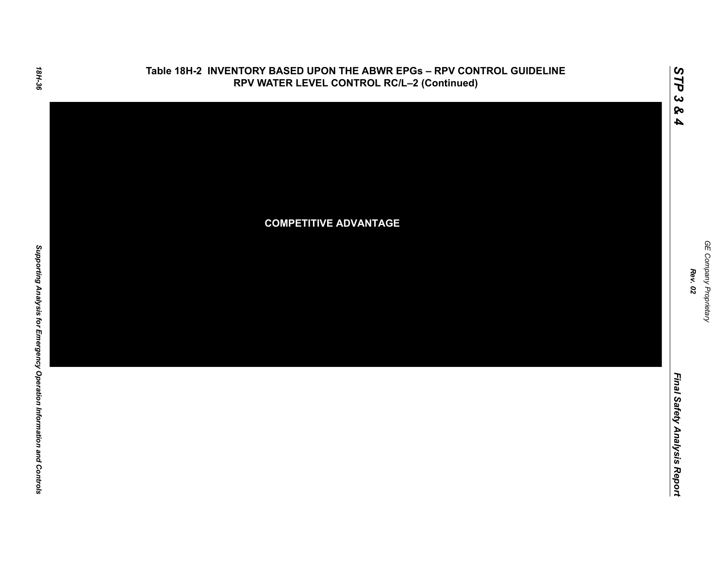

GE Company Proprietary *GE Company Proprietary Rev. 02*

*STP 3 & 4*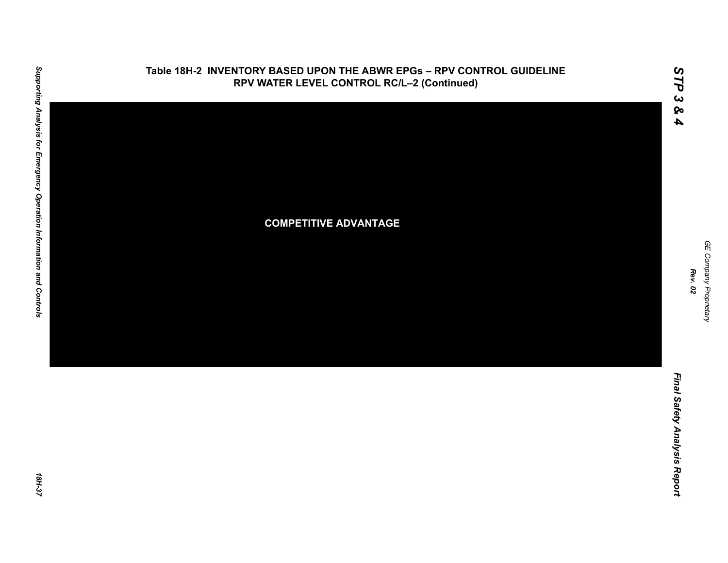

GE Company Proprietary *GE Company Proprietary Rev. 02*

*STP 3 & 4*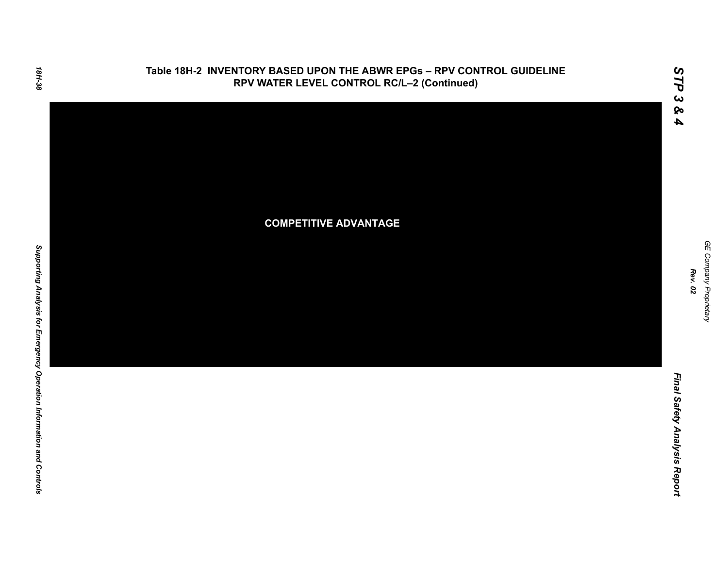

GE Company Proprietary *GE Company Proprietary Rev. 02*

*STP 3 & 4*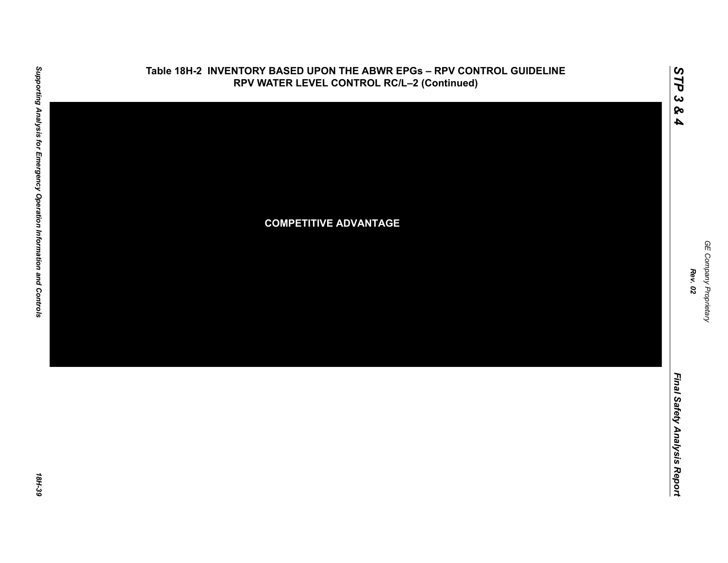

GE Company Proprietary *GE Company Proprietary Rev. 02*

*STP 3 & 4*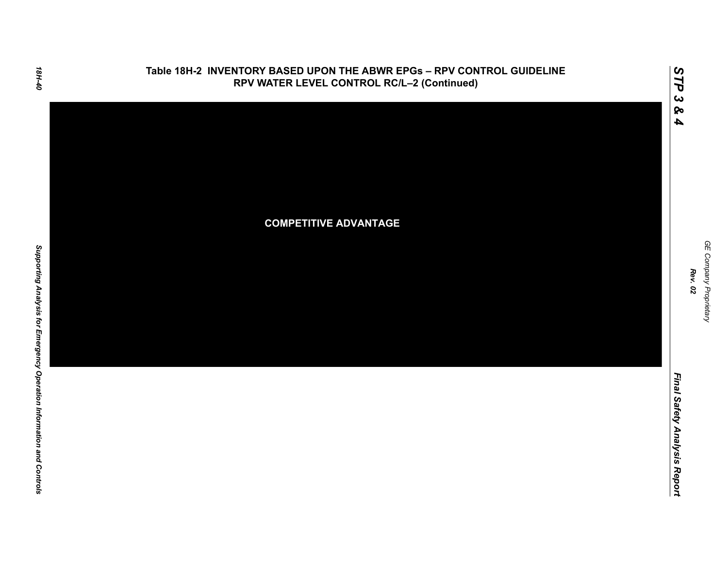

GE Company Proprietary *GE Company Proprietary Rev. 02*

*STP 3 & 4*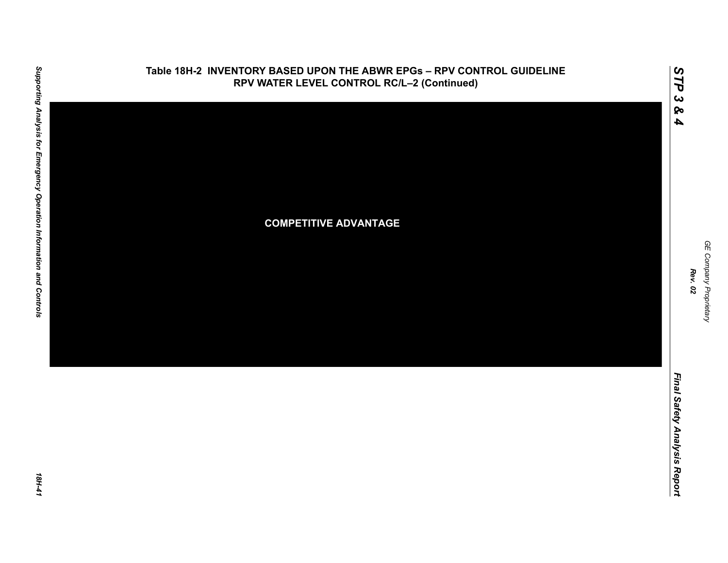

GE Company Proprietary *GE Company Proprietary Rev. 02*

*STP 3 & 4*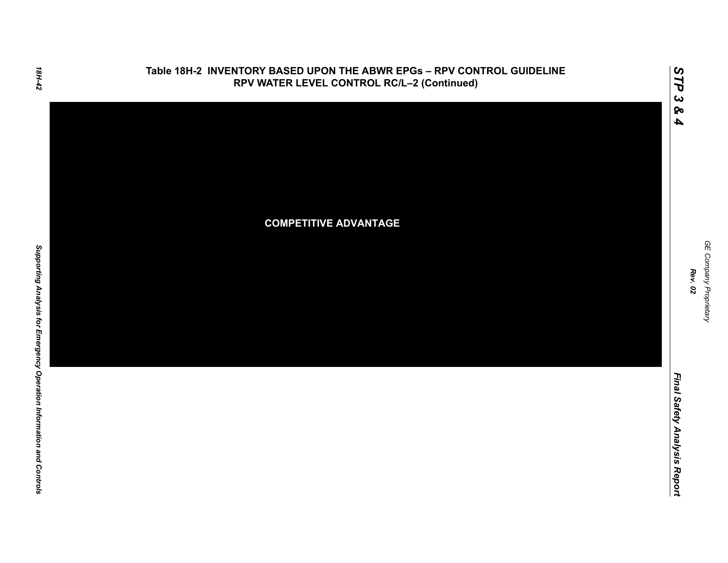

Final Safety Analysis Report *Final Safety Analysis Report*

*STP 3 & 4*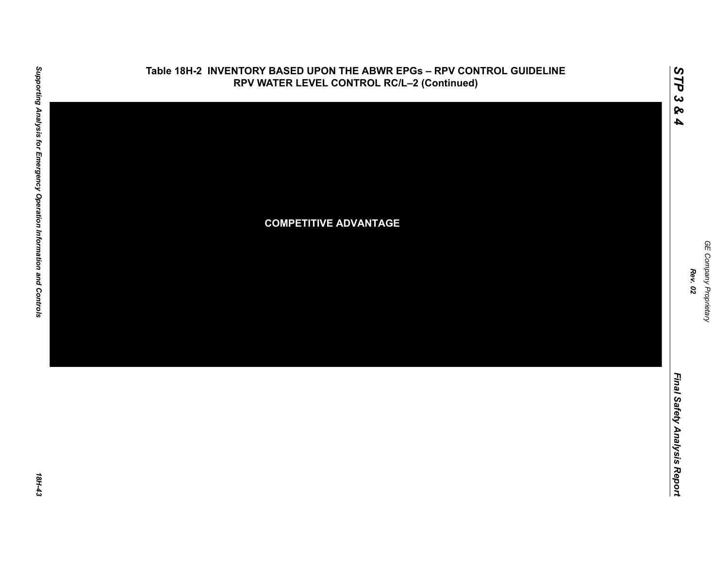

GE Company Proprietary *GE Company Proprietary Rev. 02*

*STP 3 & 4*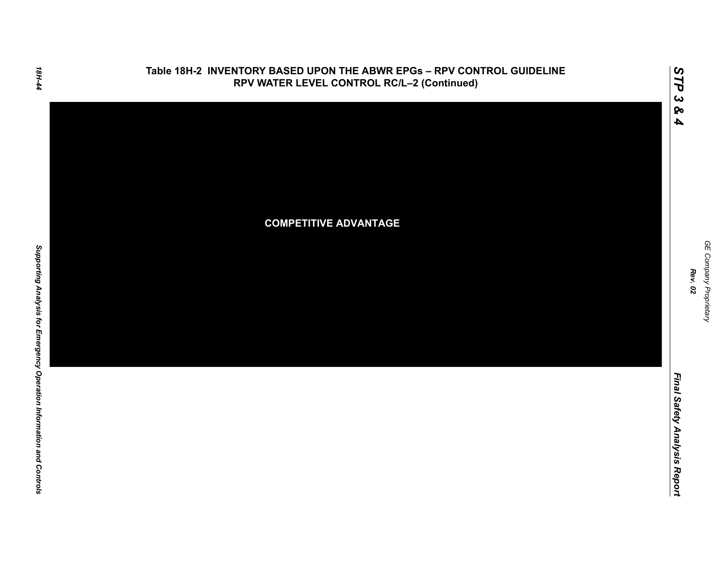

# 18H-44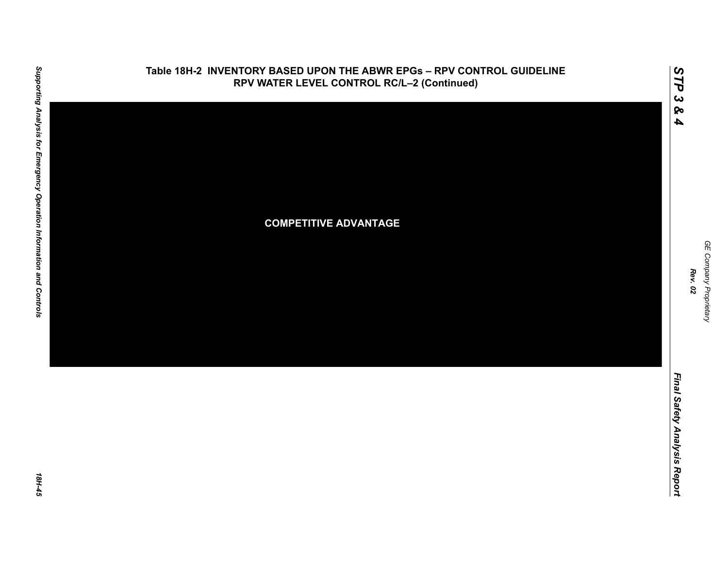

GE Company Proprietary *GE Company Proprietary Rev. 02*

*STP 3 & 4*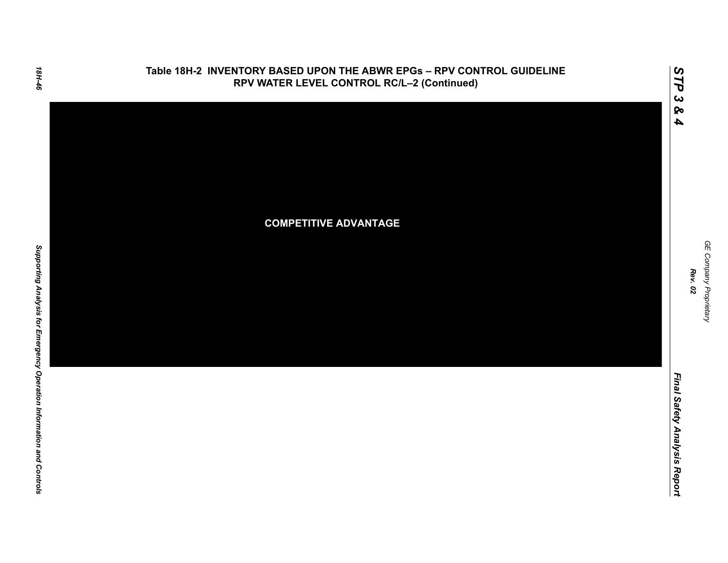

GE Company Proprietary *GE Company Proprietary Rev. 02*

*STP 3 & 4*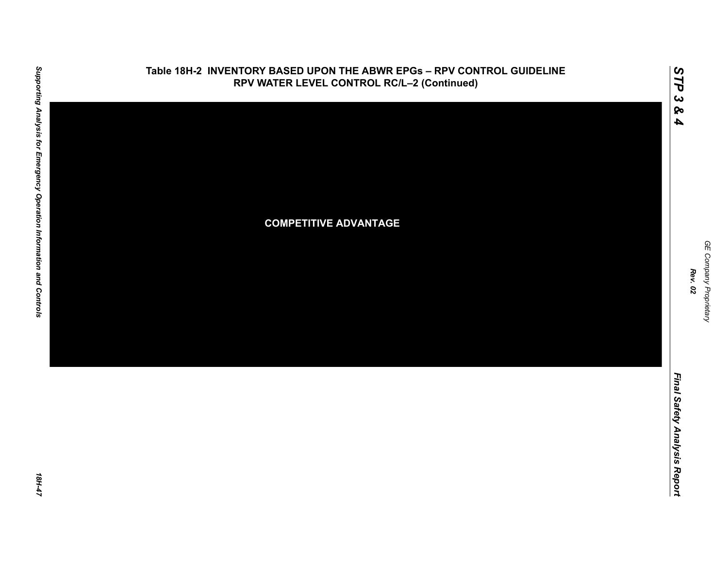

GE Company Proprietary *GE Company Proprietary Rev. 02*

*STP 3 & 4*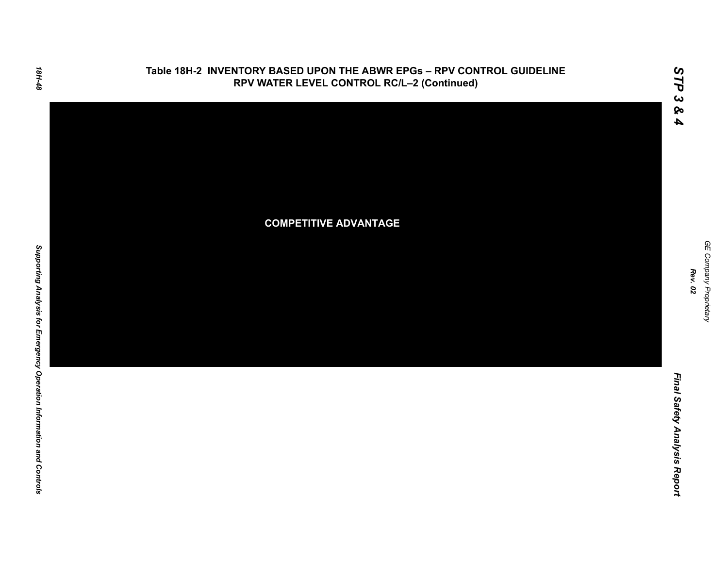

GE Company Proprietary *GE Company Proprietary Rev. 02*

*STP 3 & 4*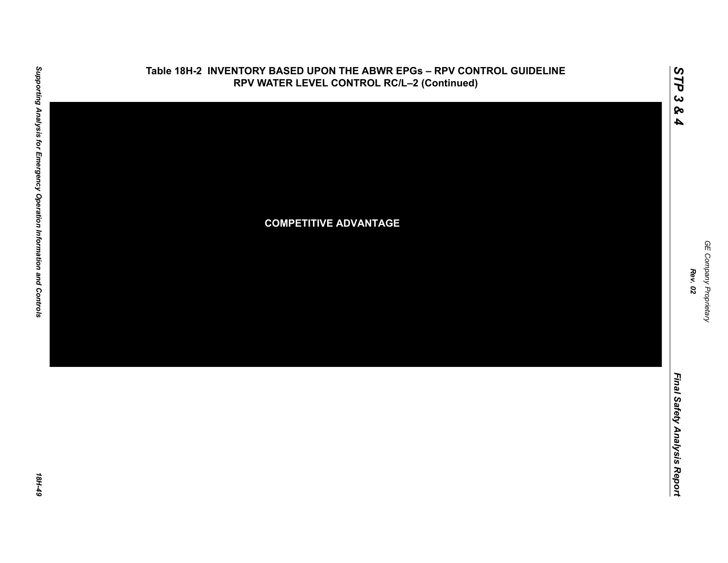

GE Company Proprietary *GE Company Proprietary Rev. 02*

*STP 3 & 4*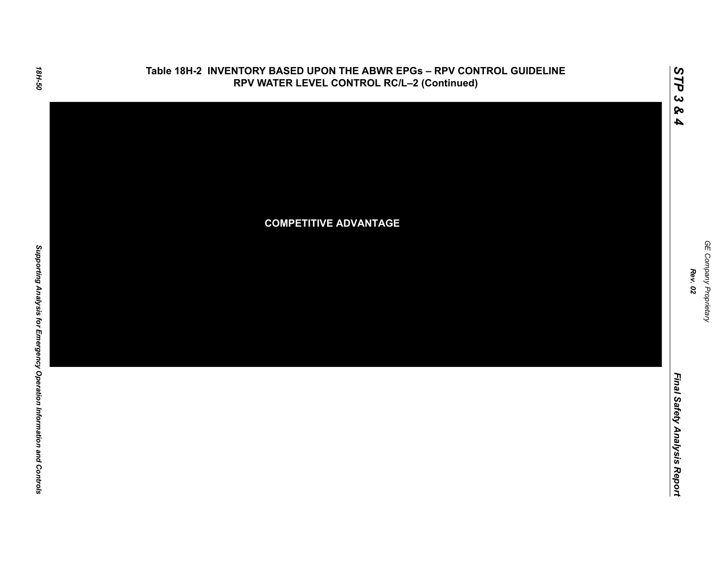

GE Company Proprietary *GE Company Proprietary Rev. 02*

*STP 3 & 4*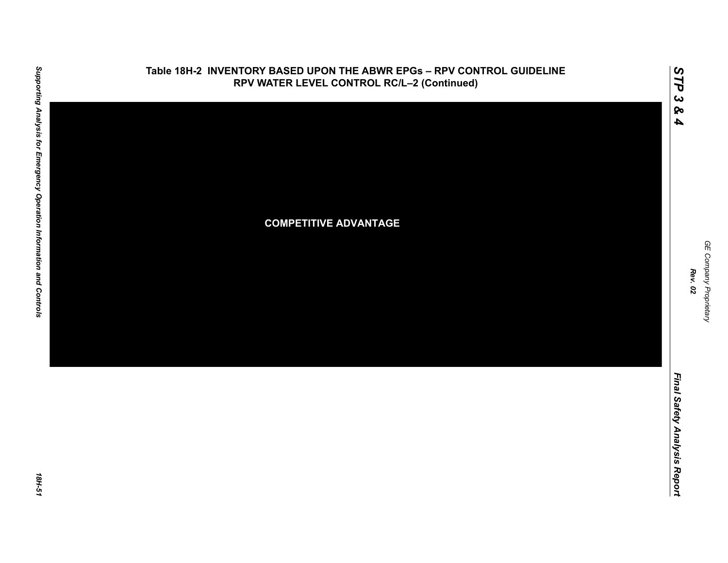

GE Company Proprietary *GE Company Proprietary Rev. 02*

*STP 3 & 4*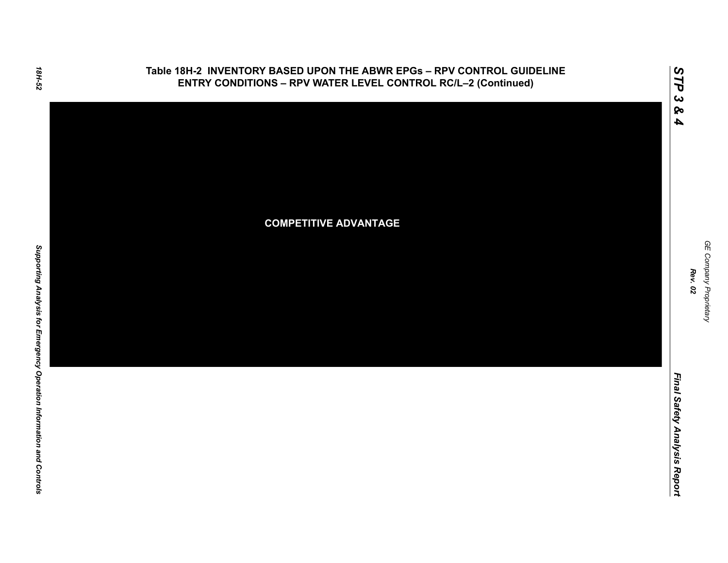

# 18H-52

Final Safety Analysis Report *Final Safety Analysis Report*

GE Company Proprietary *GE Company Proprietary Rev. 02*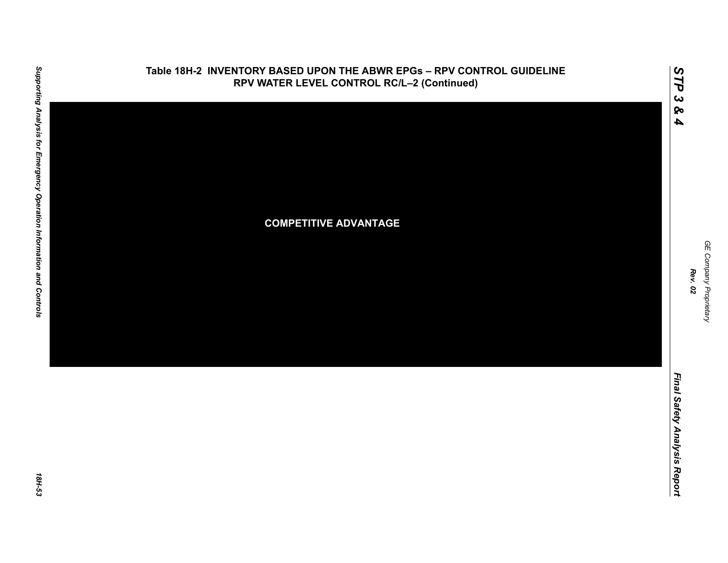

GE Company Proprietary *GE Company Proprietary Rev. 02*

*STP 3 & 4*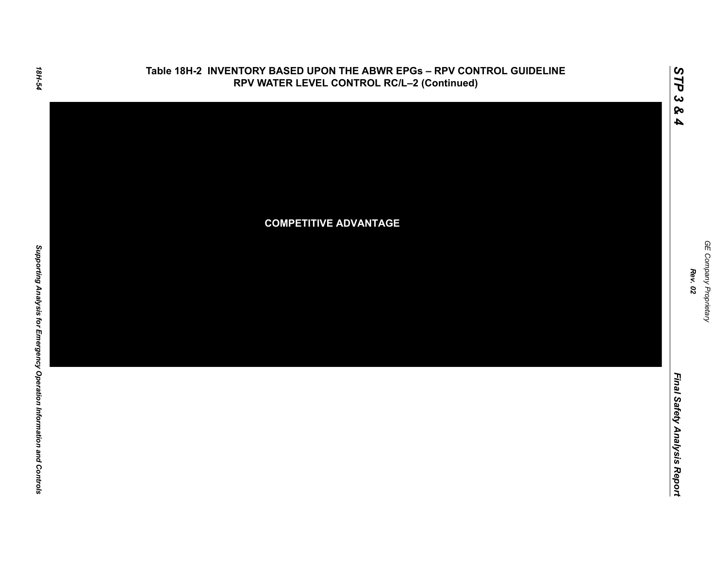

GE Company Proprietary *GE Company Proprietary Rev. 02*

*STP 3 & 4*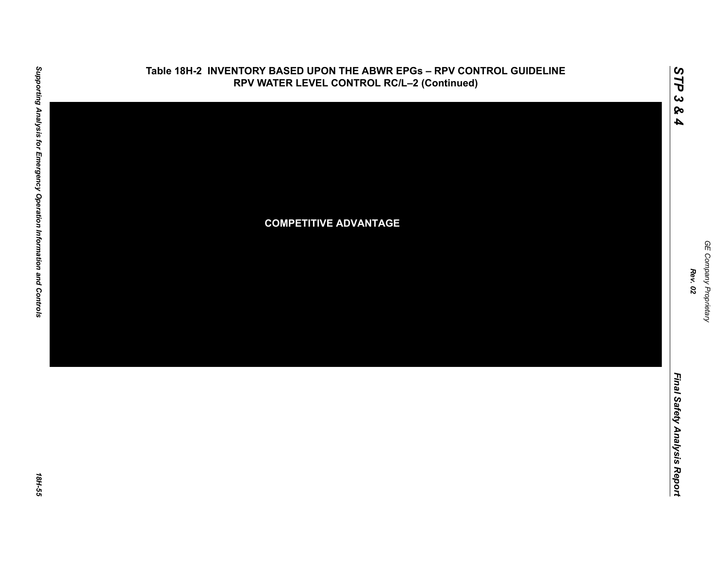

GE Company Proprietary *GE Company Proprietary Rev. 02*

*STP 3 & 4*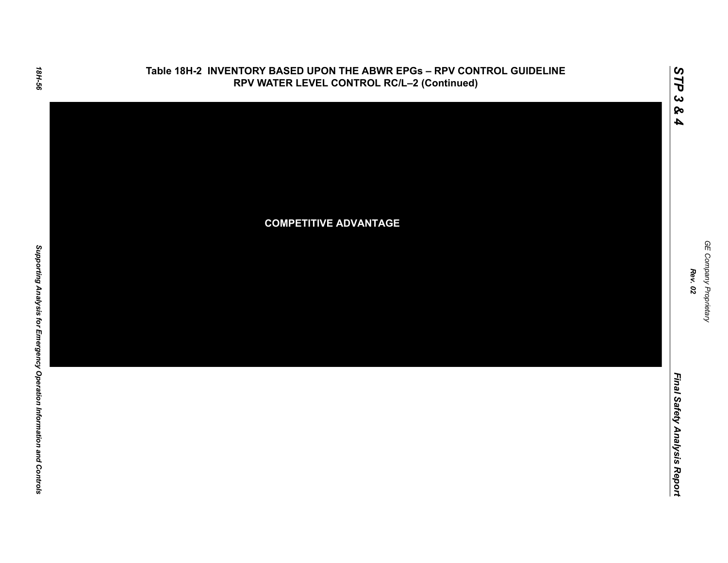

GE Company Proprietary *GE Company Proprietary Rev. 02*

*STP 3 & 4*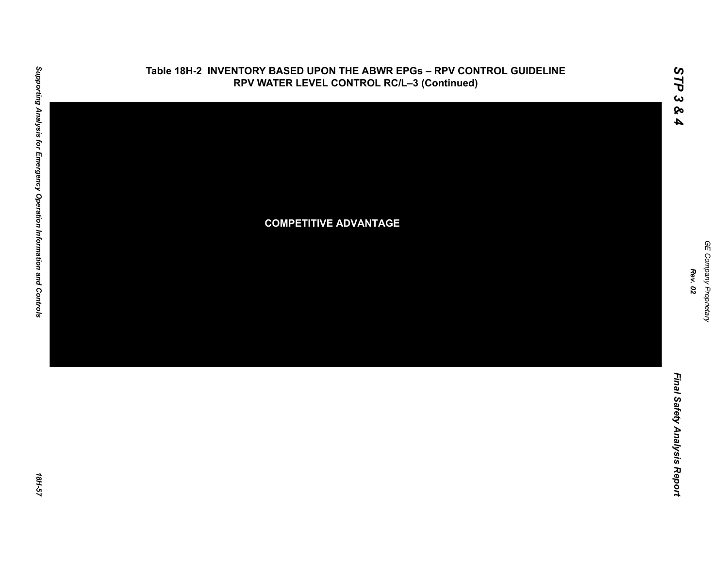

GE Company Proprietary *GE Company Proprietary Rev. 02*

*STP 3 & 4*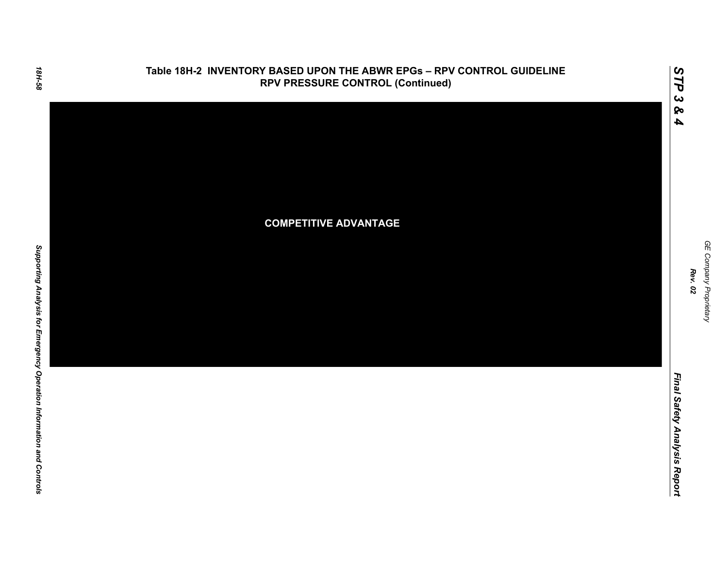

GE Company Proprietary *GE Company Proprietary Rev. 02*

*STP 3 & 4*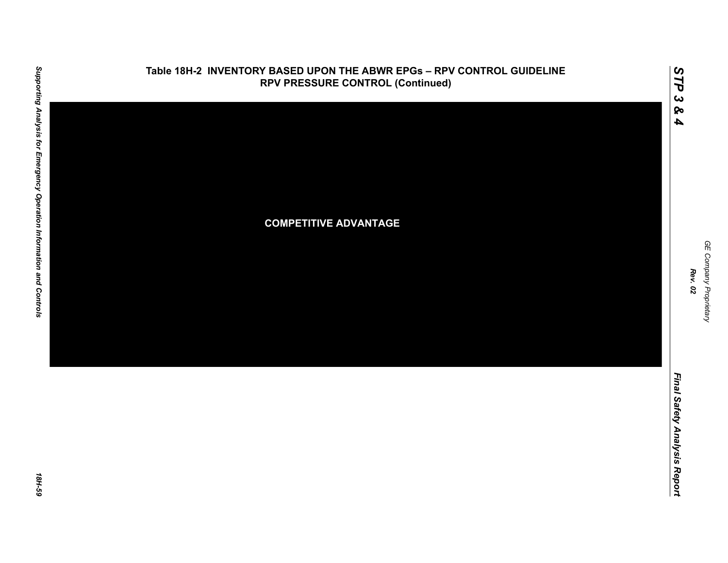

*GE Company Proprietary*

GE Company Proprietary

*Rev. 02*

*Final Safety Analysis Report*

*STP 3 & 4*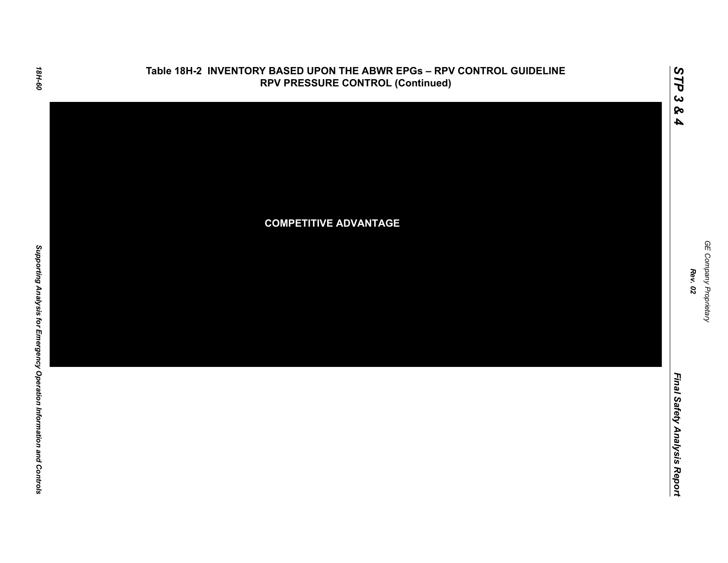

GE Company Proprietary *GE Company Proprietary Rev. 02*

*STP 3 & 4*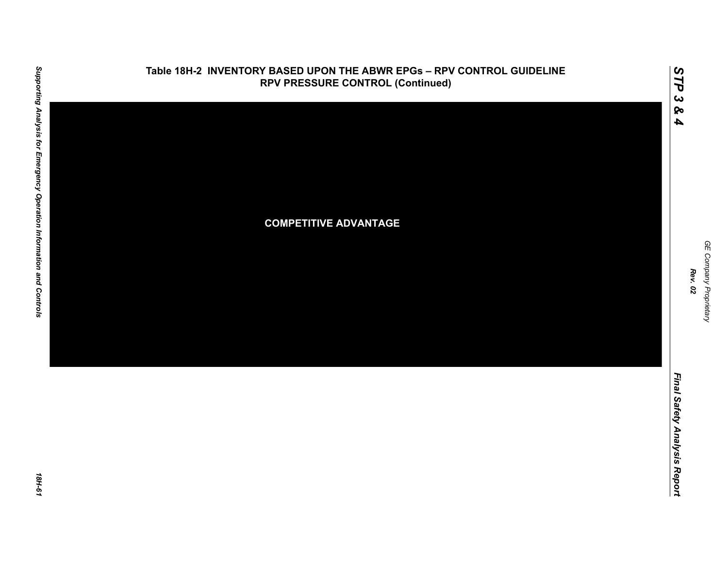

*GE Company Proprietary*

GE Company Proprietary

*Rev. 02*

*STP 3 & 4*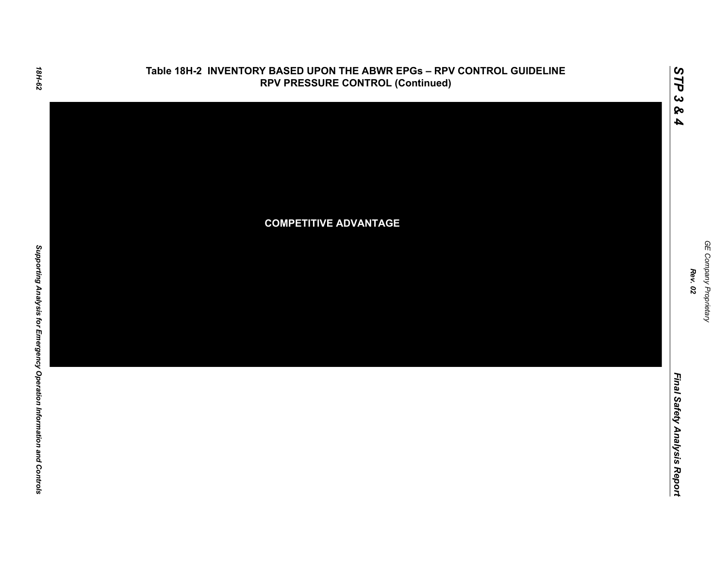

GE Company Proprietary *GE Company Proprietary Rev. 02*

*STP 3 & 4*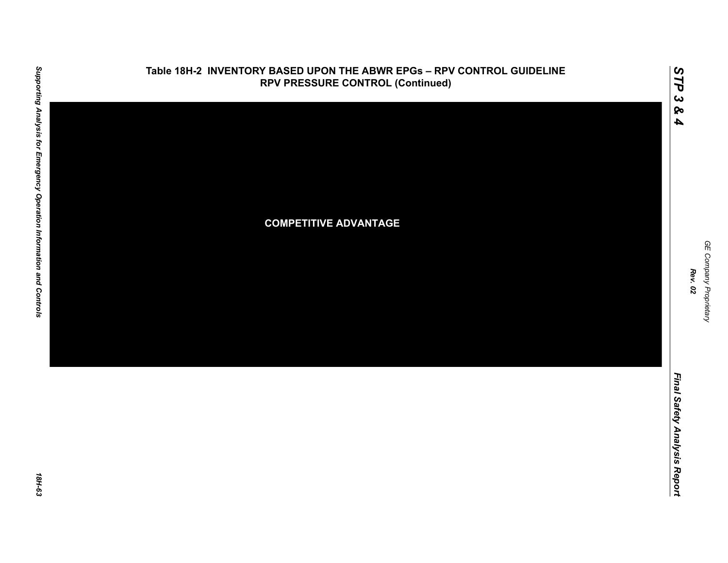

*GE Company Proprietary*

GE Company Proprietary

*Rev. 02*

*Final Safety Analysis Report*

*STP 3 & 4*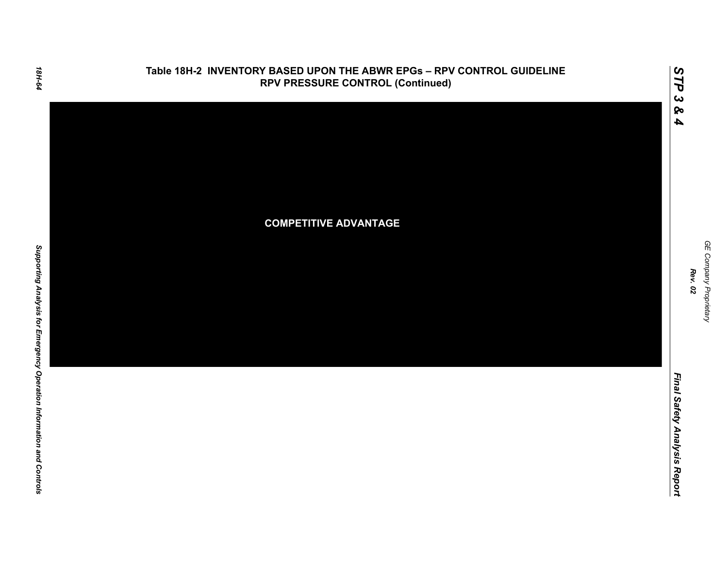

GE Company Proprietary *GE Company Proprietary Rev. 02*

*STP 3 & 4*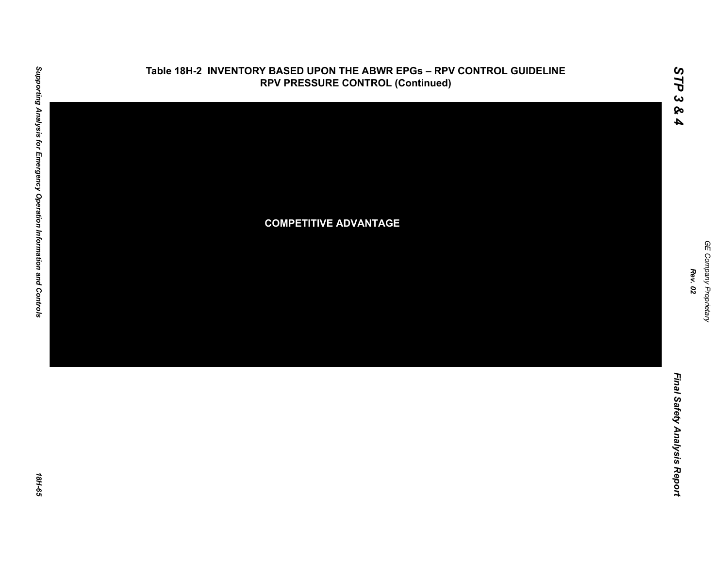

*GE Company Proprietary*

GE Company Proprietary

*Rev. 02*

*Final Safety Analysis Report*

Final Safety Analysis Report

*STP 3 & 4*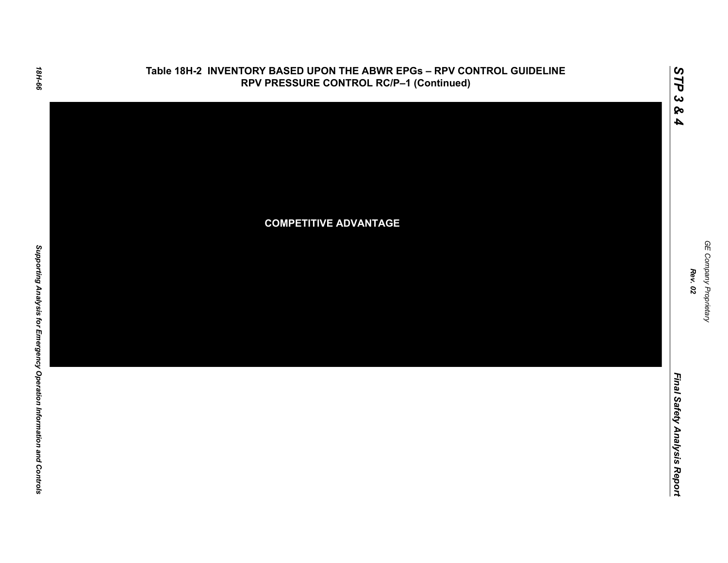

*STP 3 & 4*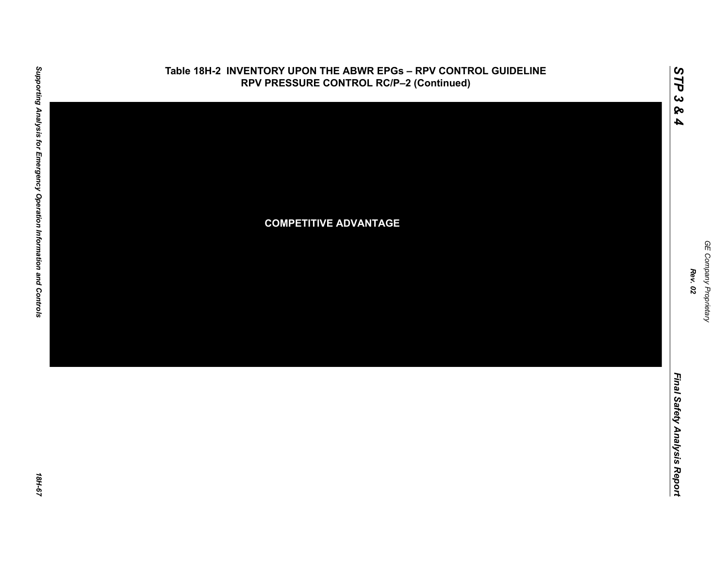

*GE Company Proprietary*

GE Company Proprietary

*Rev. 02*

*STP 3 & 4*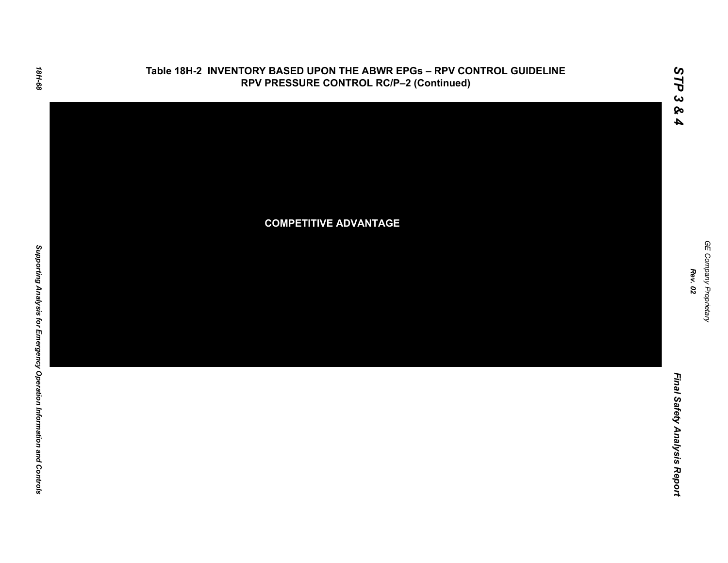

GE Company Proprietary *GE Company Proprietary Rev. 02*

*STP 3 & 4*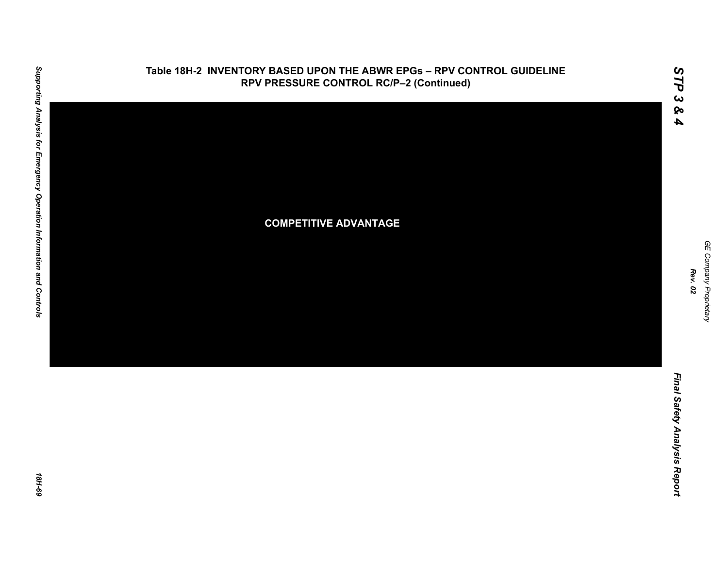

GE Company Proprietary *GE Company Proprietary Rev. 02*

*STP 3 & 4*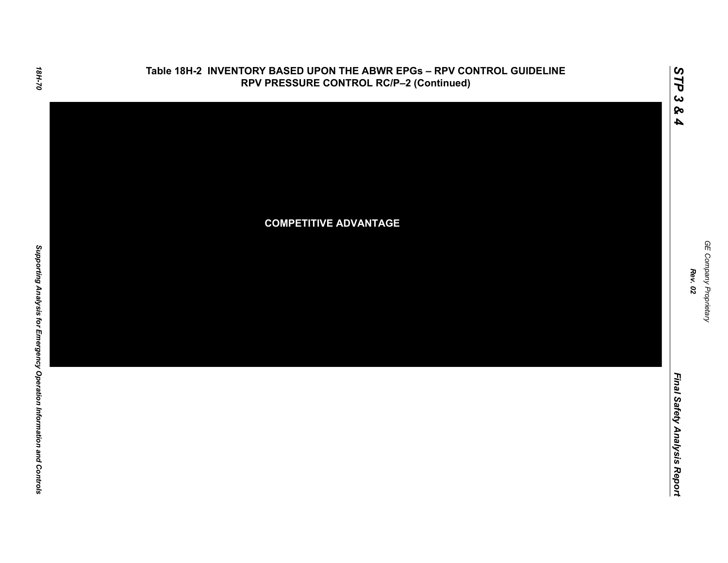

GE Company Proprietary *GE Company Proprietary Rev. 02*

*STP 3 & 4*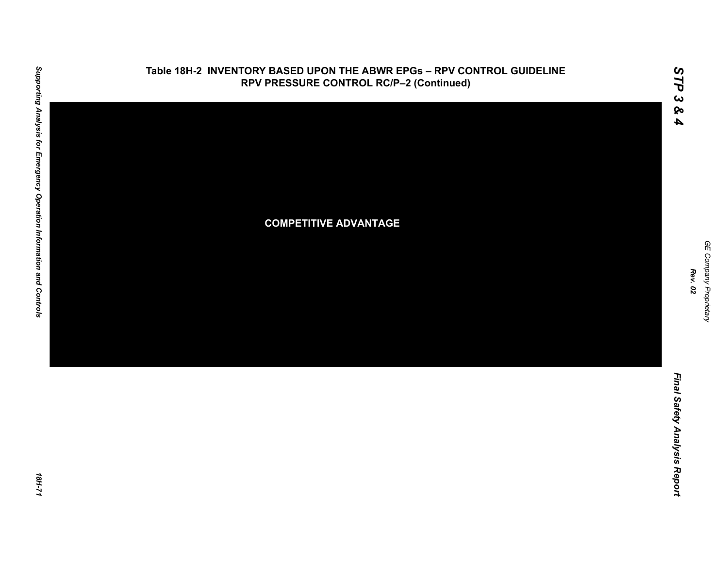

*GE Company Proprietary*

GE Company Proprietary

*Rev. 02*

*STP 3 & 4*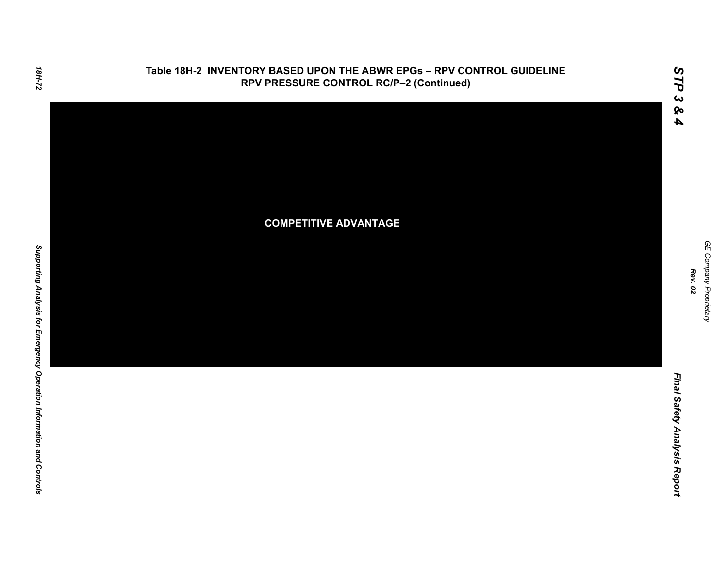

GE Company Proprietary *GE Company Proprietary Rev. 02*

*STP 3 & 4*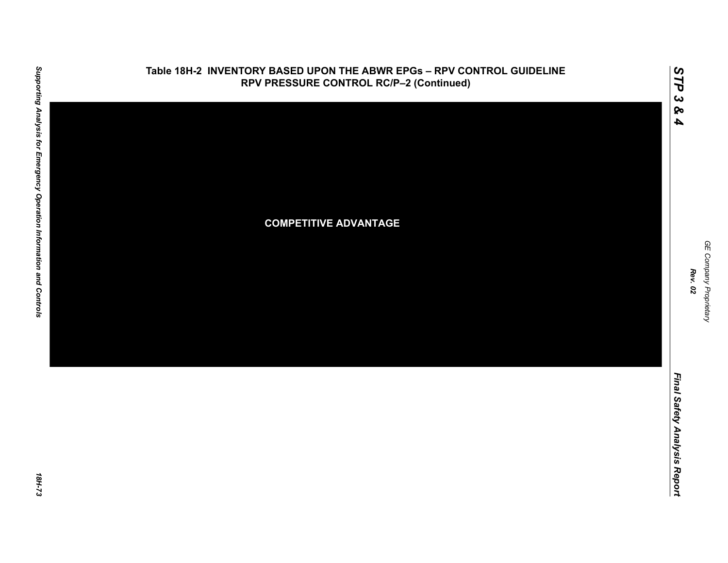

*GE Company Proprietary*

GE Company Proprietary

*Rev. 02*

*STP 3 & 4*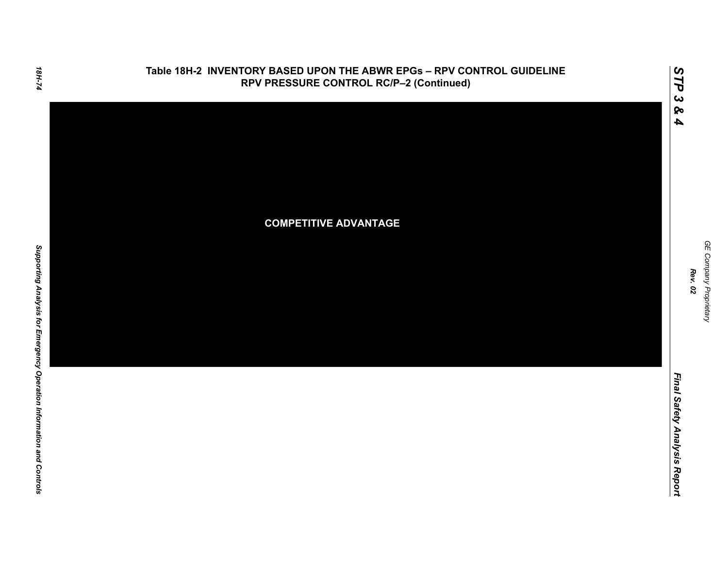

*STP 3 & 4*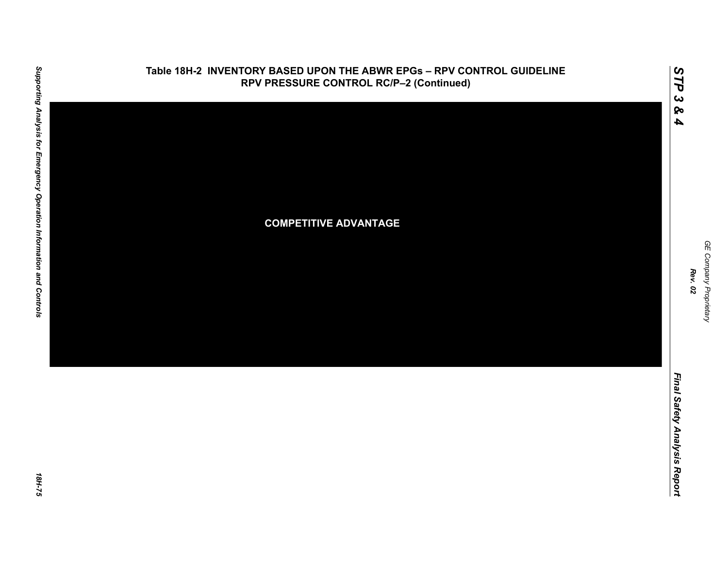

*GE Company Proprietary*

GE Company Proprietary

*Rev. 02*

*STP 3 & 4*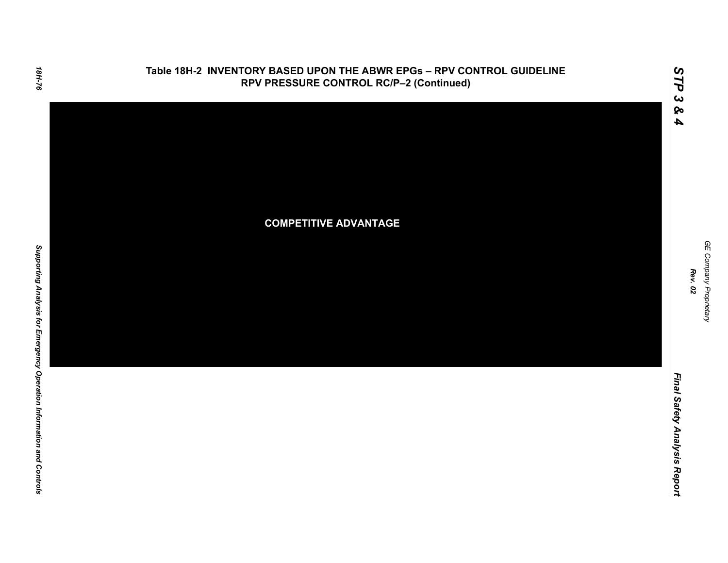

*STP 3 & 4*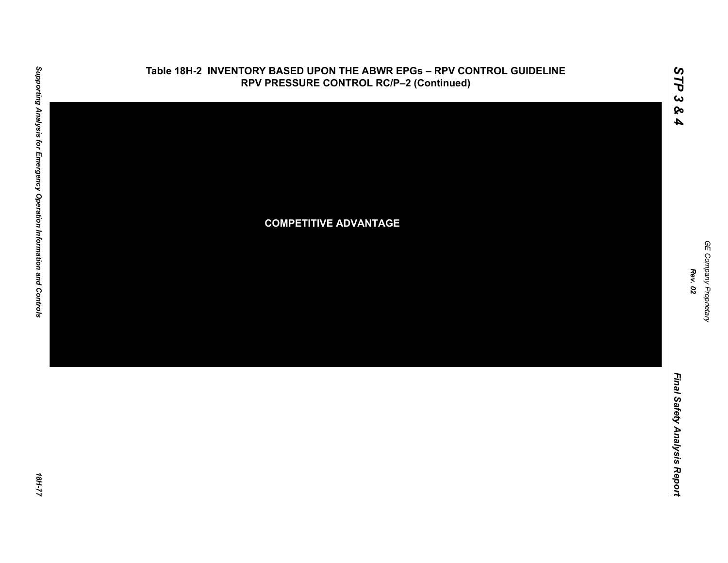

*GE Company Proprietary*

*Rev. 02*

*STP 3 & 4*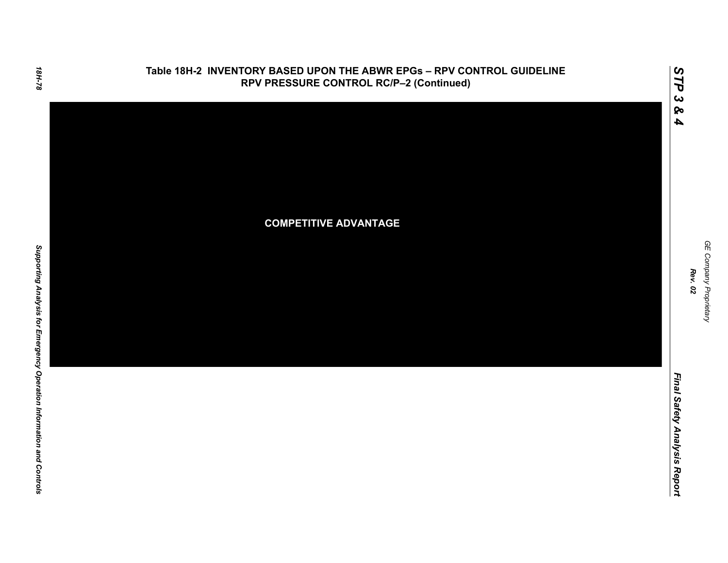

*STP 3 & 4*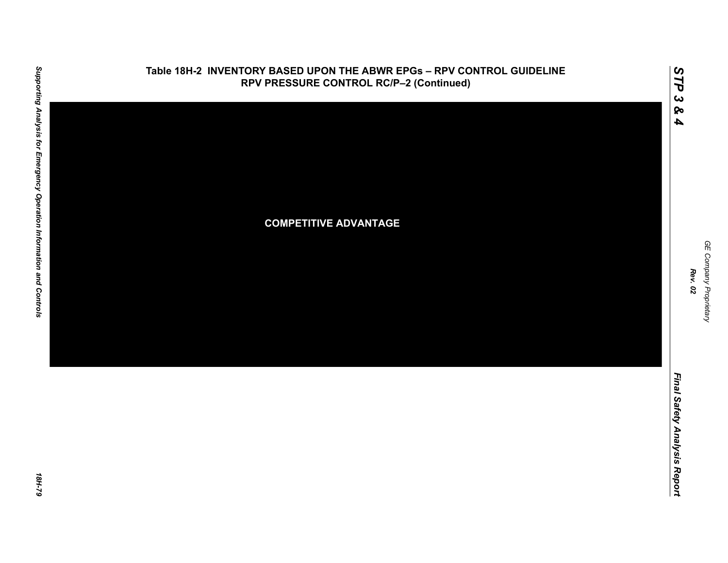

*GE Company Proprietary*

GE Company Proprietary

*Rev. 02*

*STP 3 & 4*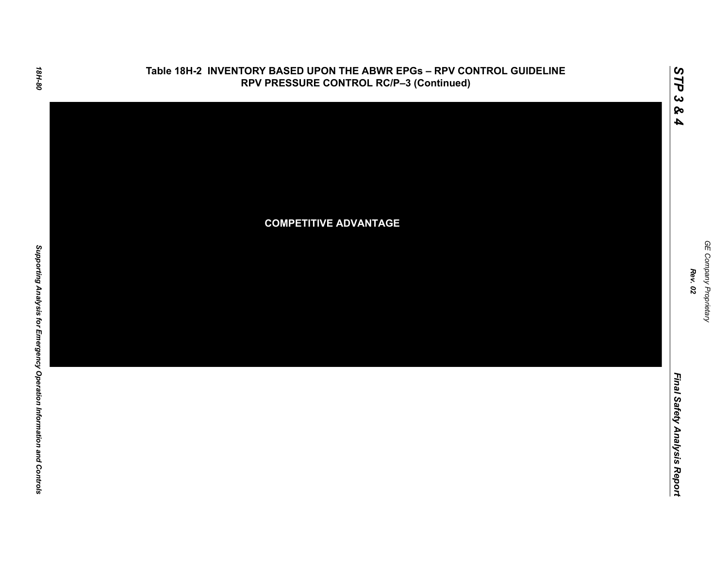

GE Company Proprietary *GE Company Proprietary Rev. 02*

*STP 3 & 4*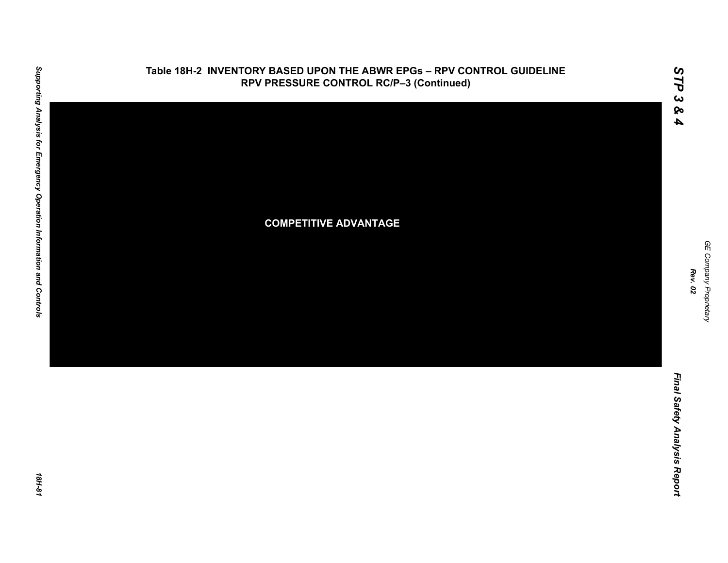

1811-81

GE Company Proprietary *GE Company Proprietary Rev. 02*

*STP 3 & 4*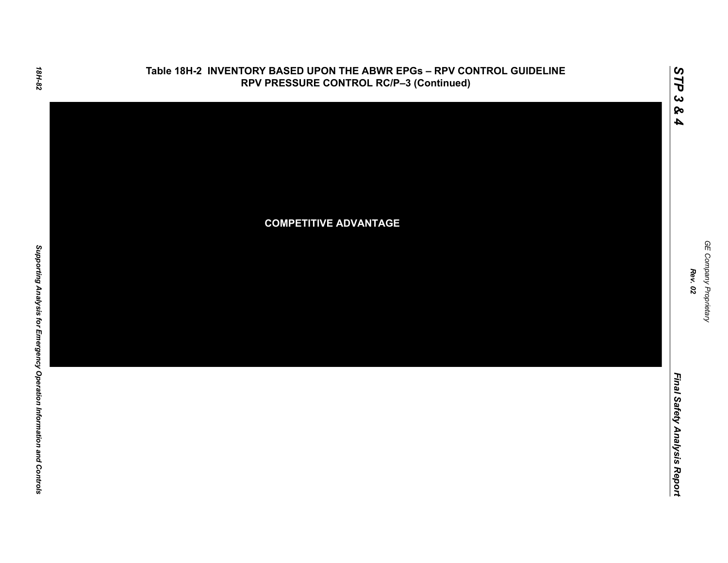

GE Company Proprietary *GE Company Proprietary Rev. 02*

*STP 3 & 4*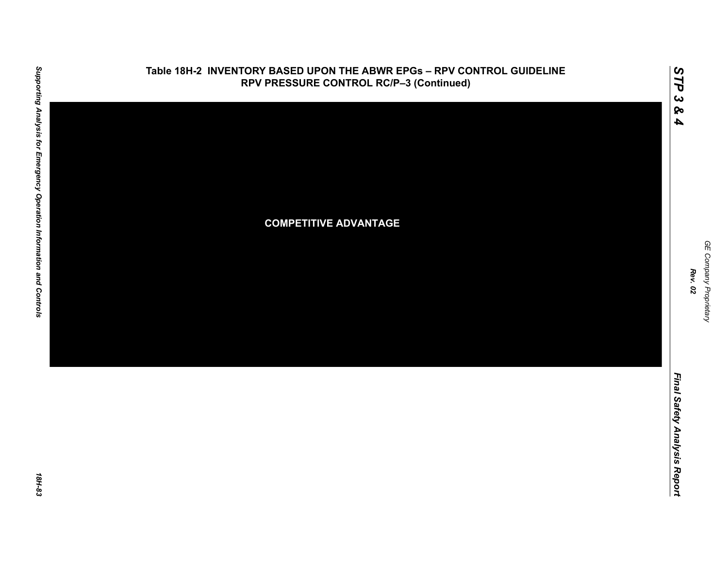

GE Company Proprietary *GE Company Proprietary Rev. 02*

*STP 3 & 4*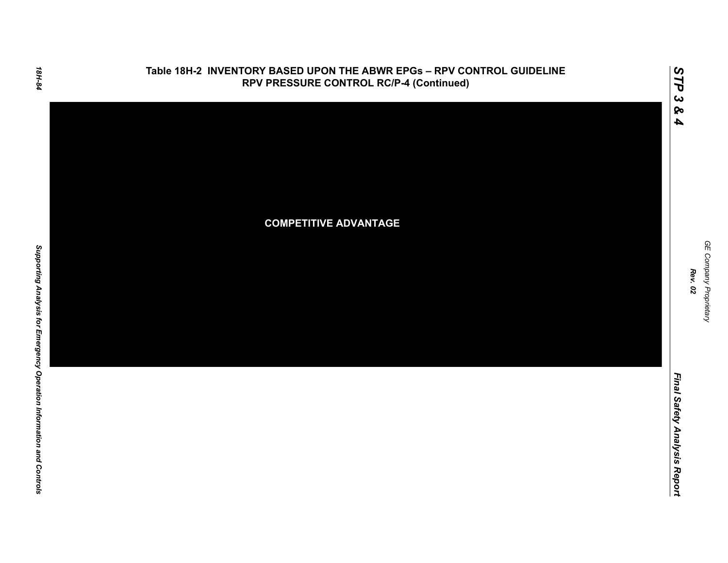

GE Company Proprietary *GE Company Proprietary Rev. 02*

*STP 3 & 4*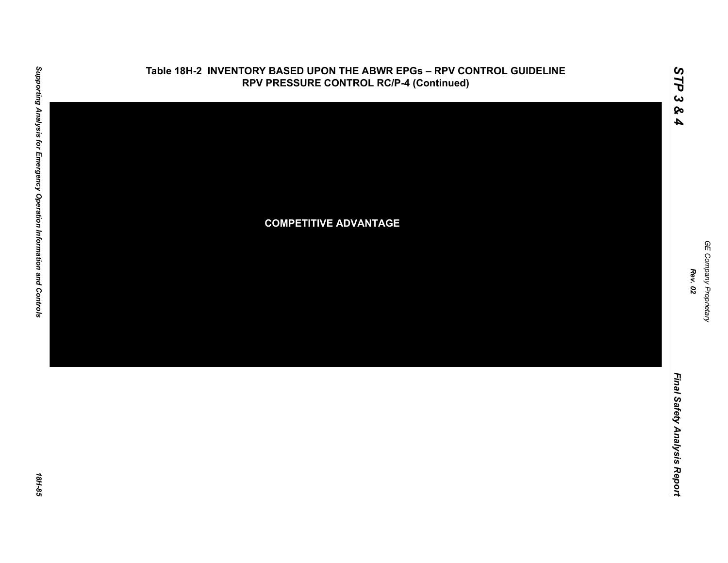

GE Company Proprietary *GE Company Proprietary*

*Rev. 02*

*STP 3 & 4*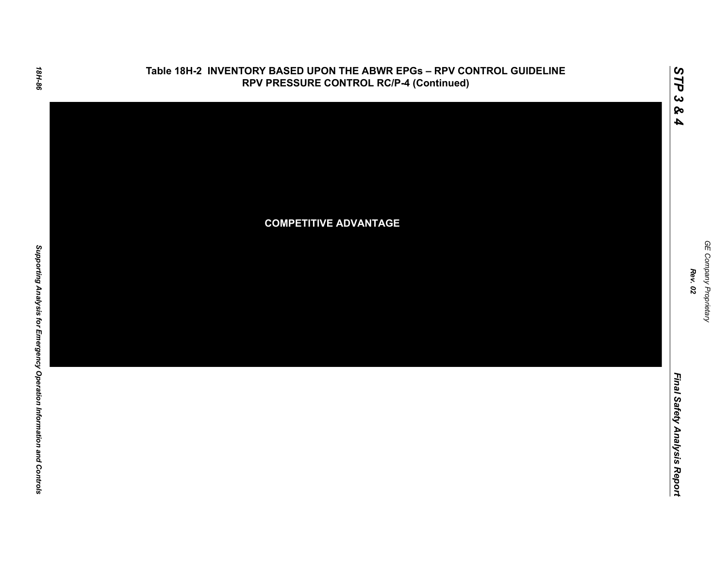

GE Company Proprietary *GE Company Proprietary Rev. 02*

*STP 3 & 4*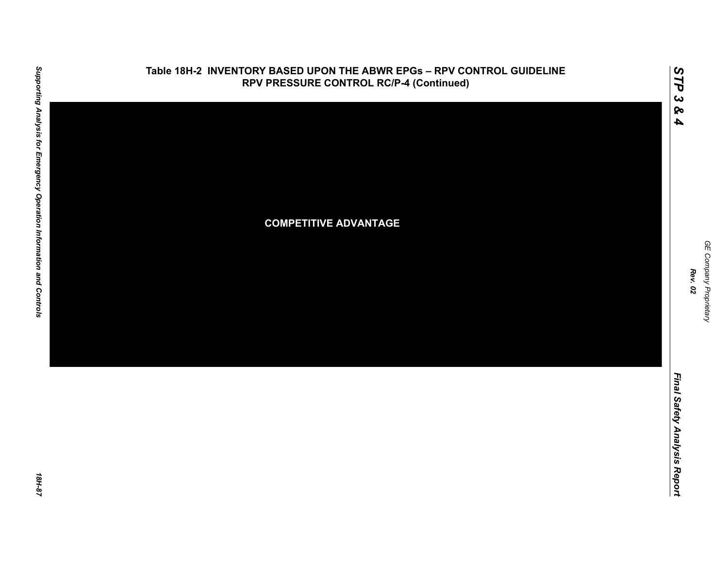

GE Company Proprietary *GE Company Proprietary Rev. 02*

*STP 3 & 4*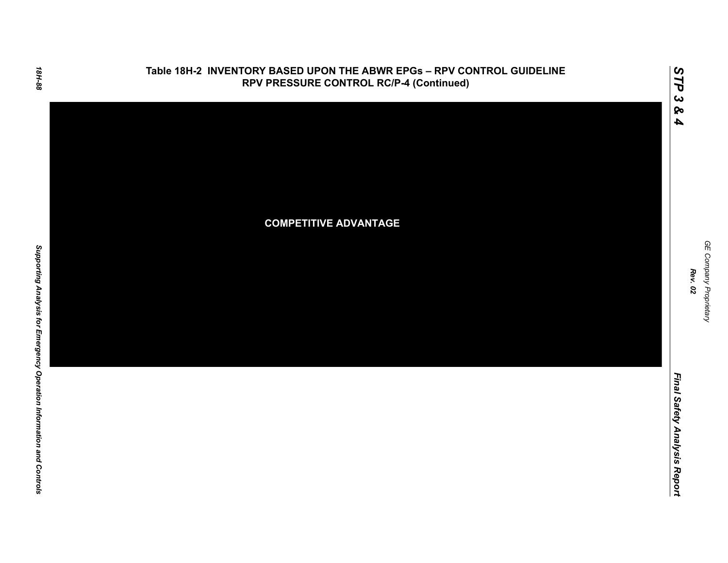

GE Company Proprietary *GE Company Proprietary Rev. 02*

*STP 3 & 4*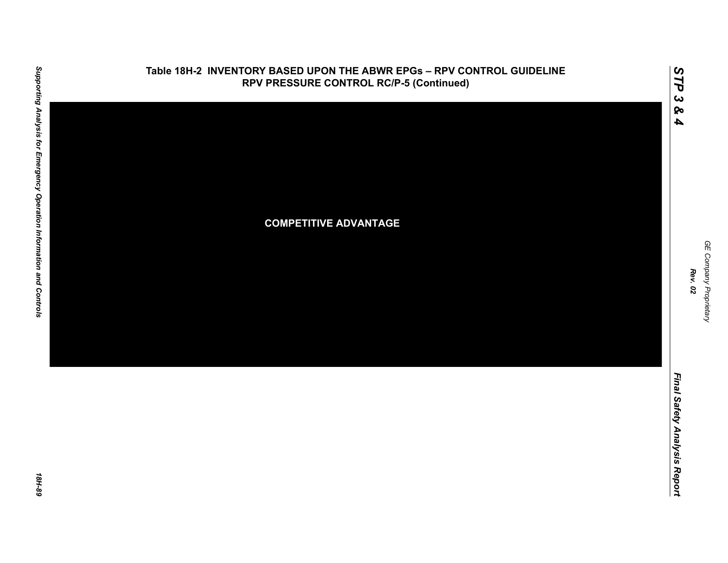

GE Company Proprietary *GE Company Proprietary*

*Rev. 02*

*STP 3 & 4*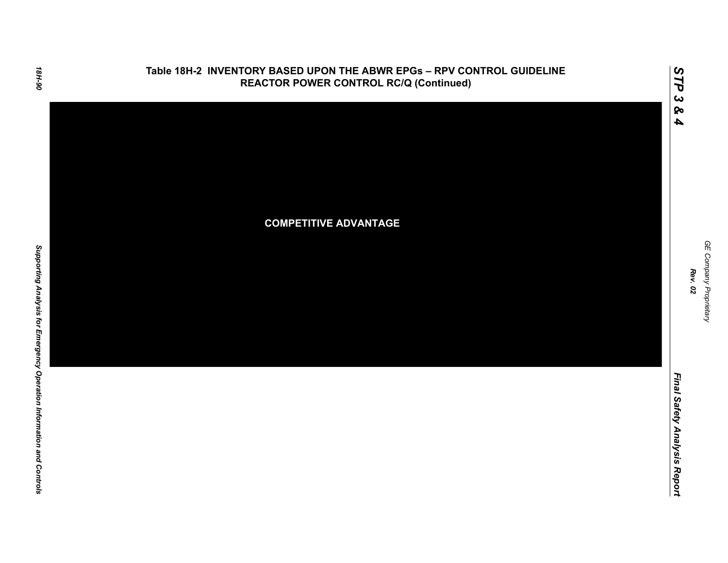

GE Company Proprietary *GE Company Proprietary Rev. 02*

*STP 3 & 4*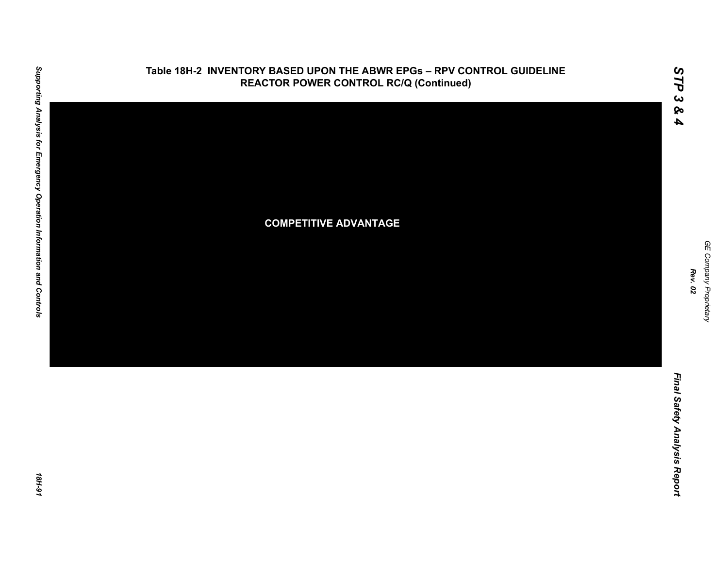

GE Company Proprietary *GE Company Proprietary Rev. 02*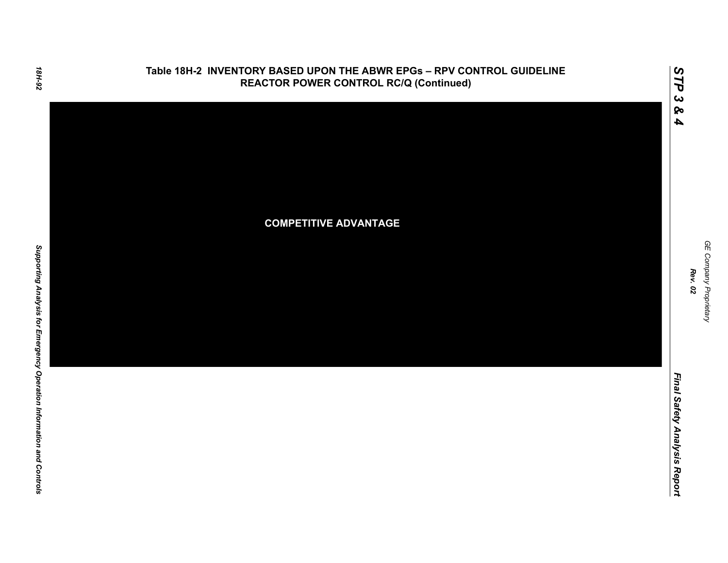

GE Company Proprietary *GE Company Proprietary Rev. 02*

*STP 3 & 4*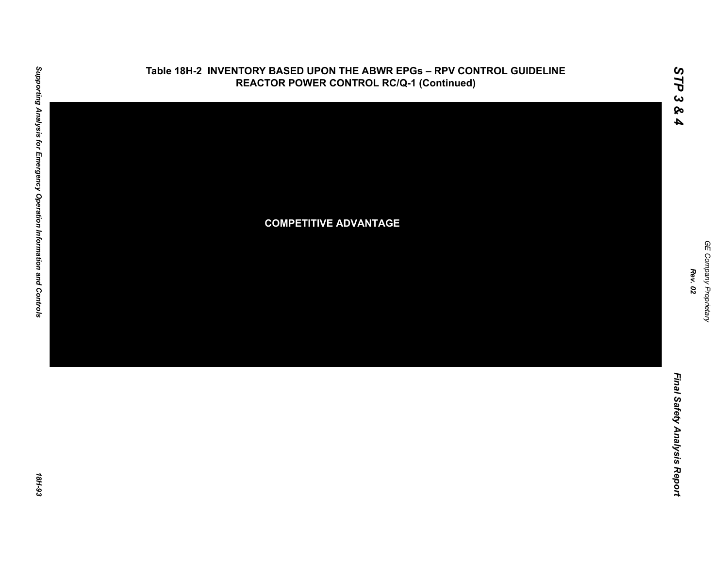

GE Company Proprietary *GE Company Proprietary Rev. 02*

*STP 3 & 4*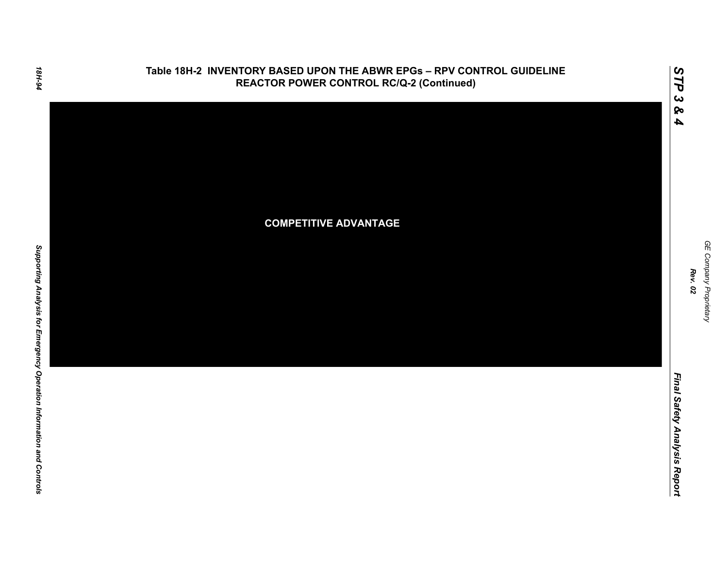

GE Company Proprietary *GE Company Proprietary Rev. 02*

*STP 3 & 4*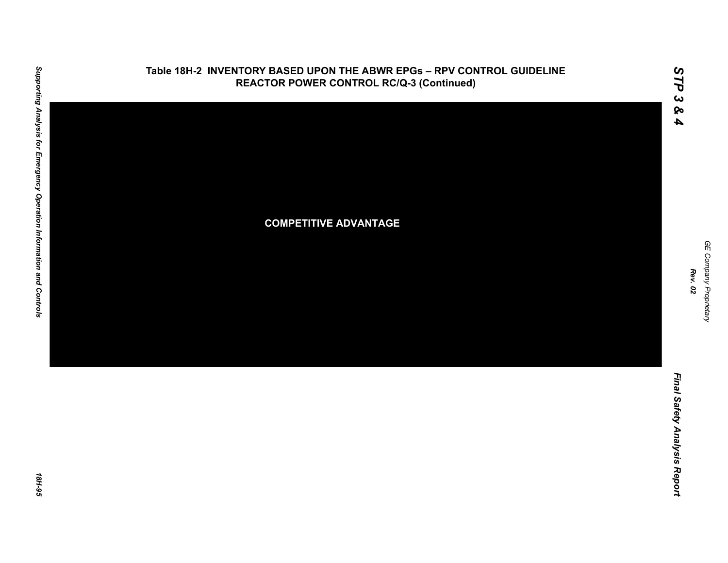

18H-95

GE Company Proprietary *GE Company Proprietary*

*Rev. 02*

*STP 3 & 4*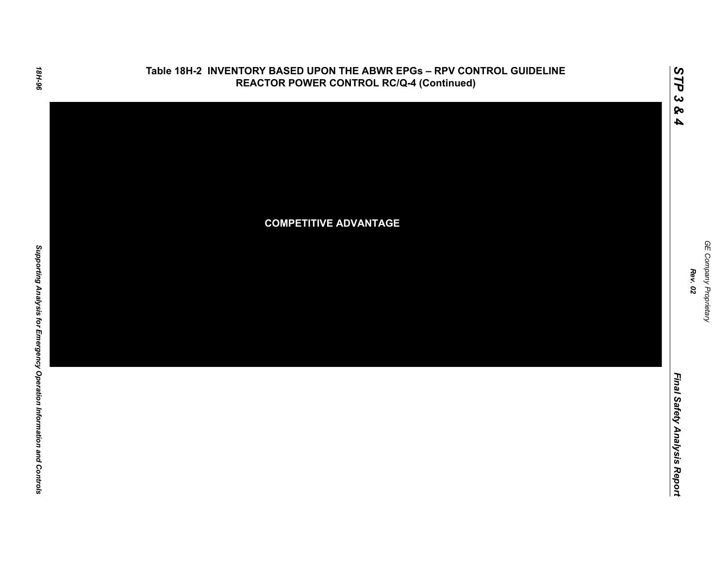

*STP 3 & 4*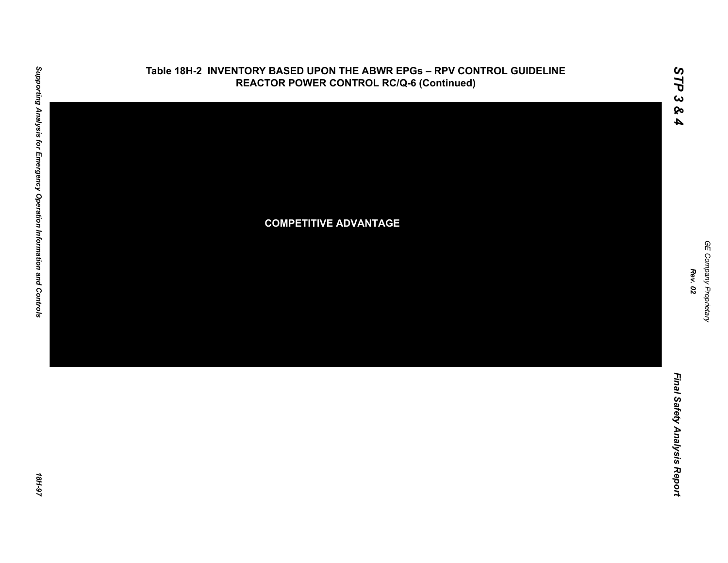

*GE Company Proprietary*

GE Company Proprietary

*Rev. 02*

*STP 3 & 4*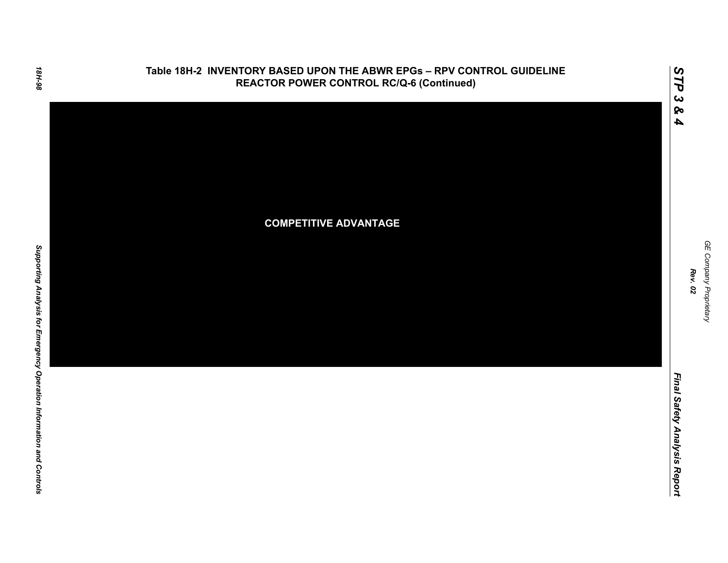

*STP 3 & 4*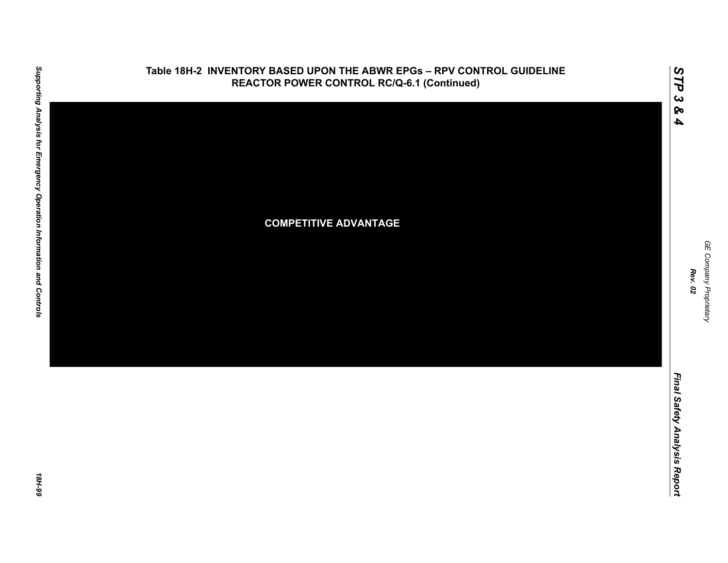

GE Company Proprietary

*GE Company Proprietary*

*Rev. 02*

*Final Safety Analysis Report*

Final Safety Analysis Report

*STP 3 & 4*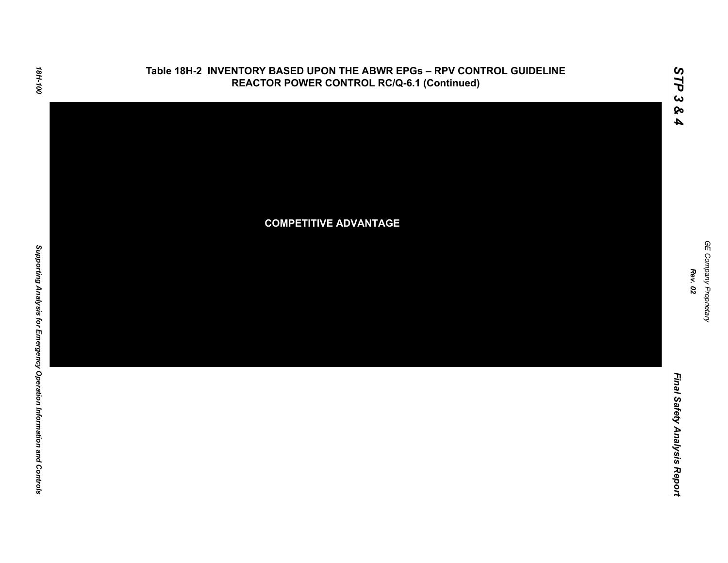

**Table 18H-2 INVENTORY BASED UPON THE ABWR EPGs – RPV CONTROL GUIDELINE**

18H-100

Final Safety Analysis Report *Final Safety Analysis Report*

GE Company Proprietary *GE Company Proprietary Rev. 02*

*STP 3 & 4*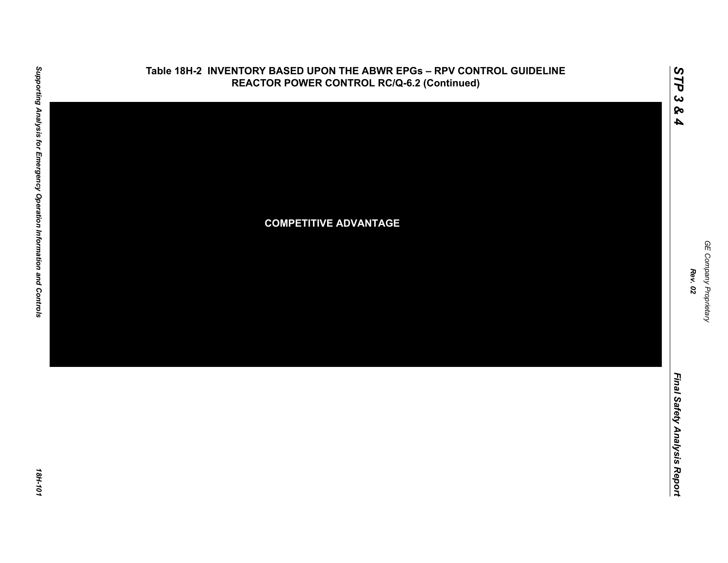

GE Company Proprietary *GE Company Proprietary Rev. 02*

*STP 3 & 4*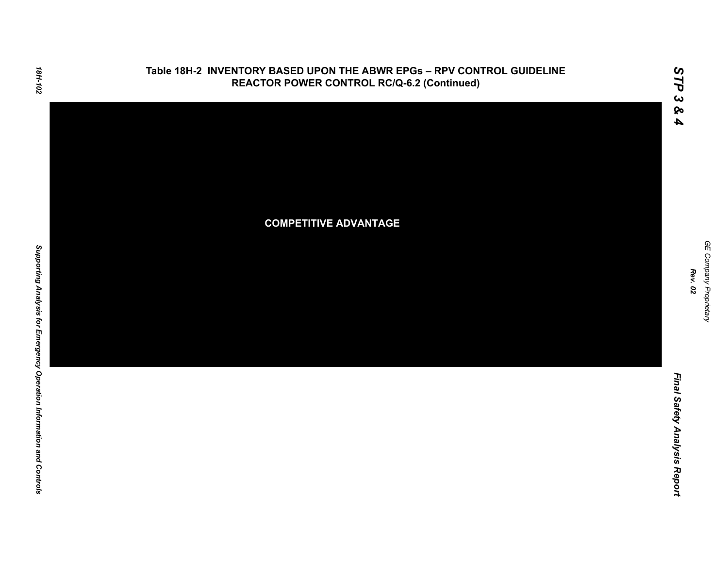

### 18H-102

Final Safety Analysis Report *Final Safety Analysis Report*

GE Company Proprietary *GE Company Proprietary Rev. 02*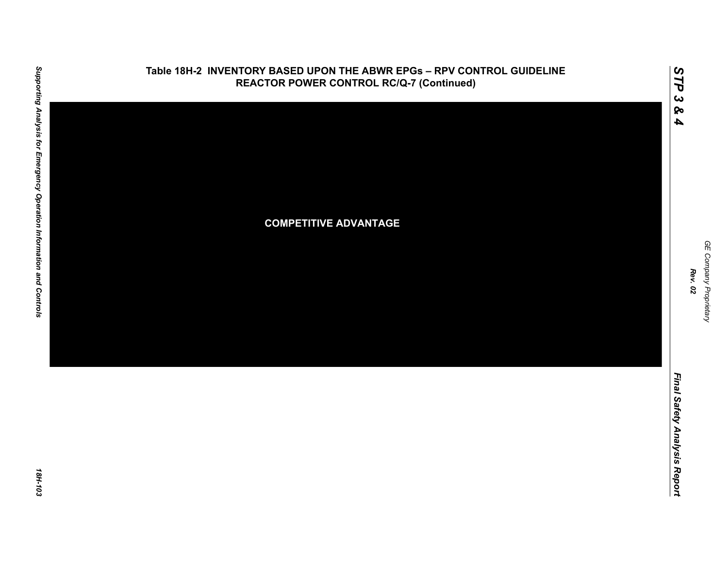

# Supporting Analysis for Emergency Operation Information and Controls *Supporting Analysis for Emergency Operation Information and Controls 18H-103*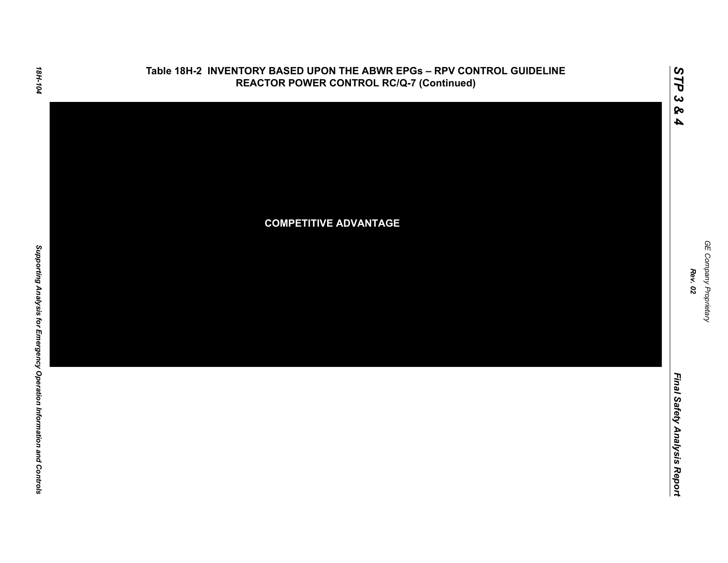

GE Company Proprietary *GE Company Proprietary Rev. 02*

*STP 3 & 4*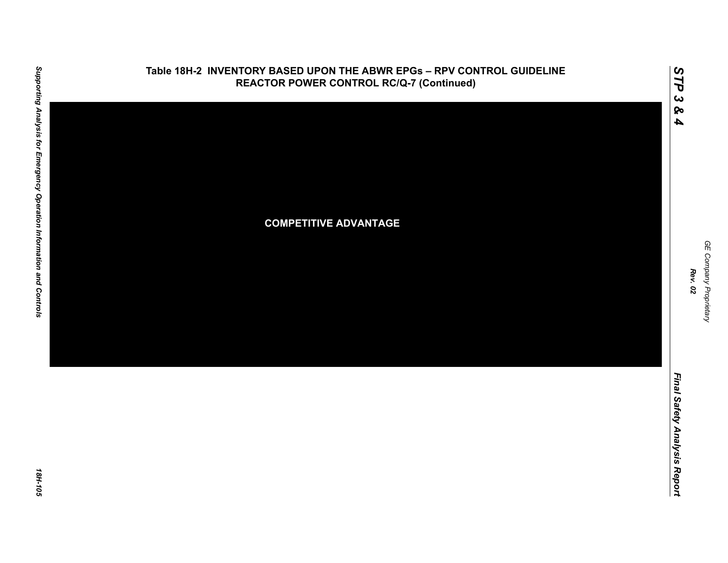

# Supporting Analysis for Emergency Operation Information and Controls *Supporting Analysis for Emergency Operation Information and Controls 18H-105*

*Rev. 02*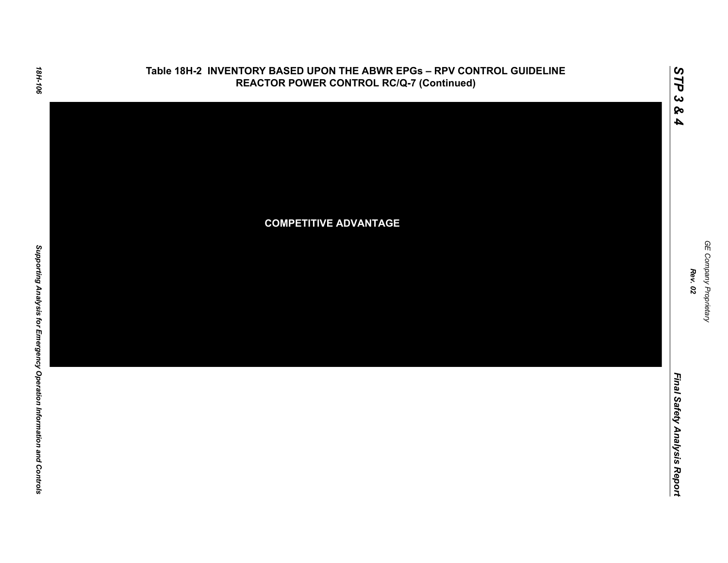

GE Company Proprietary *GE Company Proprietary Rev. 02*

*STP 3 & 4*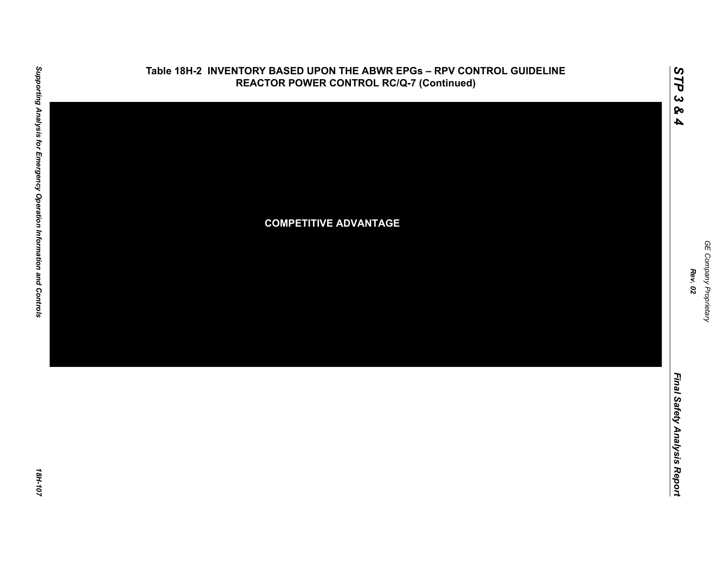

# Supporting Analysis for Emergency Operation Information and Controls *Supporting Analysis for Emergency Operation Information and Controls 18H-107*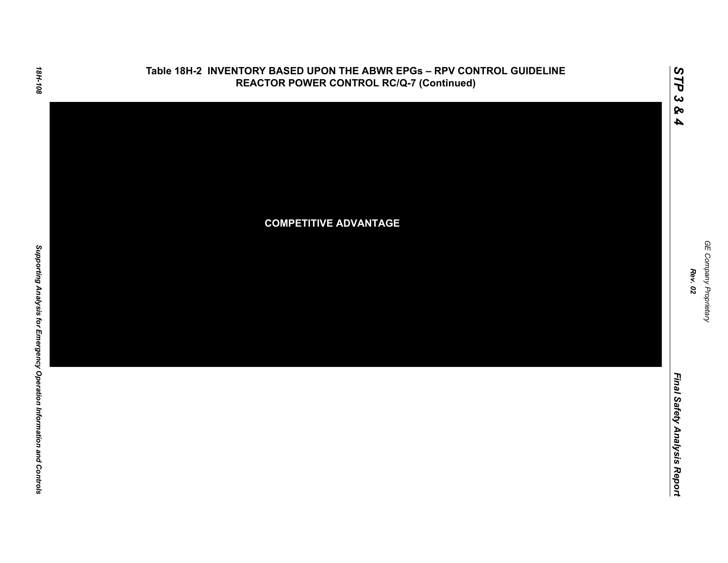

GE Company Proprietary *GE Company Proprietary Rev. 02*

*STP 3 & 4*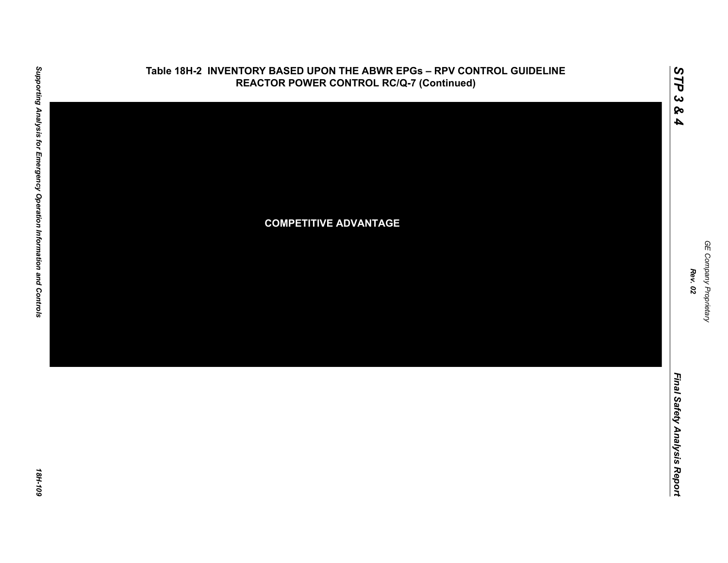

# Supporting Analysis for Emergency Operation Information and Controls *Supporting Analysis for Emergency Operation Information and Controls 18H-109*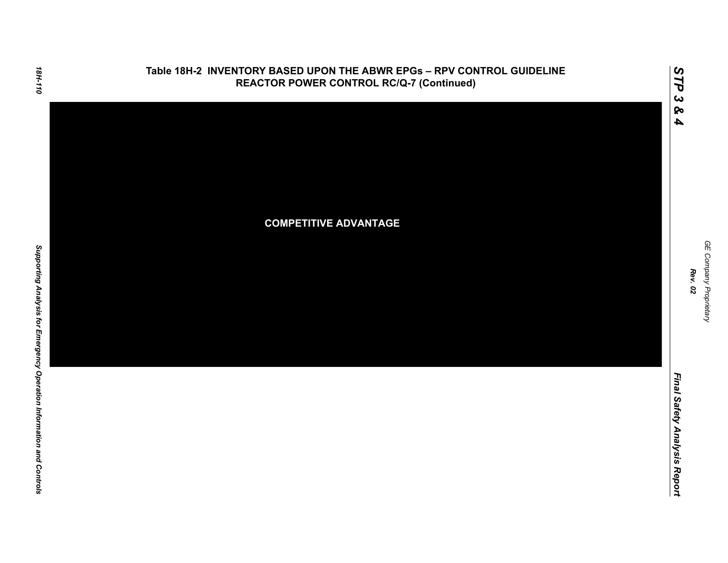

### **Table 18H-2 INVENTORY BASED UPON THE ABWR EPGs – RPV CONTROL GUIDELINE REACTOR POWER CONTROL RC/Q-7 (Continued)**

GE Company Proprietary *GE Company Proprietary Rev. 02*

*Final Safety Analysis Report*

Final Safety Analysis Report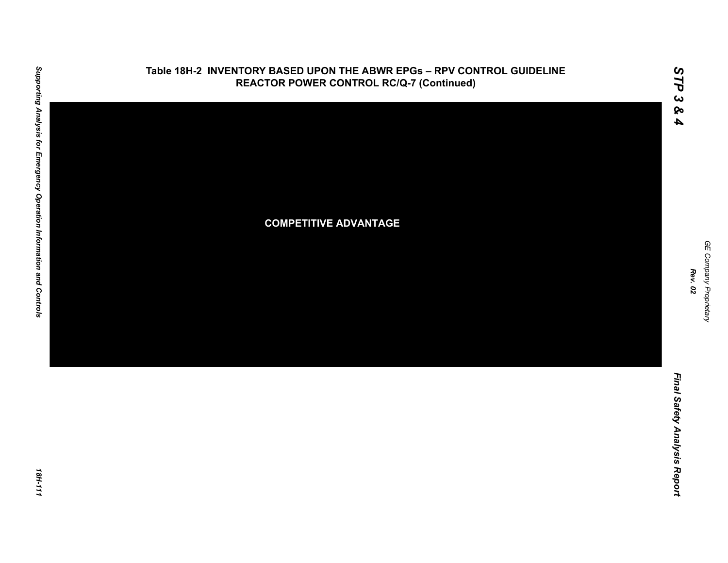

# Supporting Analysis for Emergency Operation Information and Controls *Supporting Analysis for Emergency Operation Information and Controls 18H-111*

GE Company Proprietary *GE Company Proprietary Rev. 02*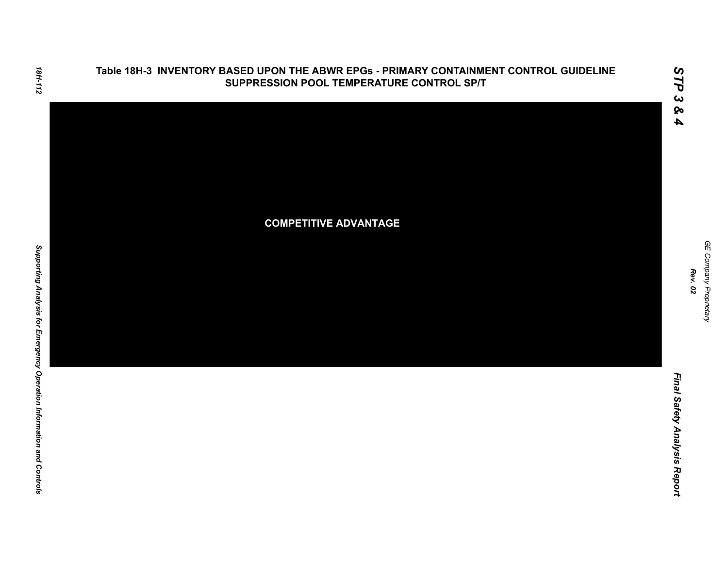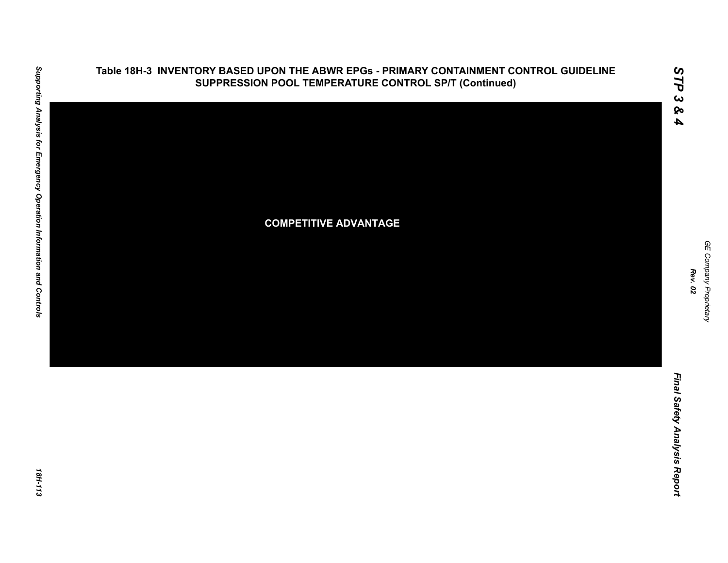

### **Table 18H-3 INVENTORY BASED UPON THE ABWR EPGs - PRIMARY CONTAINMENT CONTROL GUIDELINE SUPPRESSION POOL TEMPERATURE CONTROL SP/T (Continued)**

GE Company Proprietary *GE Company Proprietary Rev. 02*

*STP 3 & 4*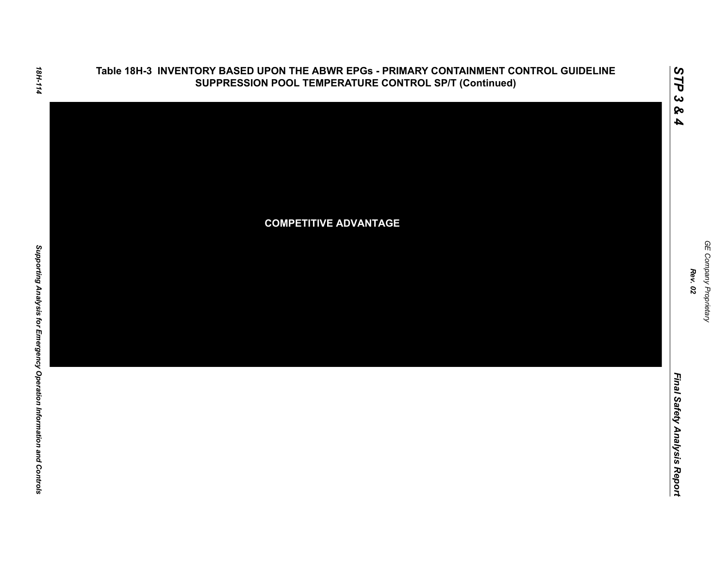

GE Company Proprietary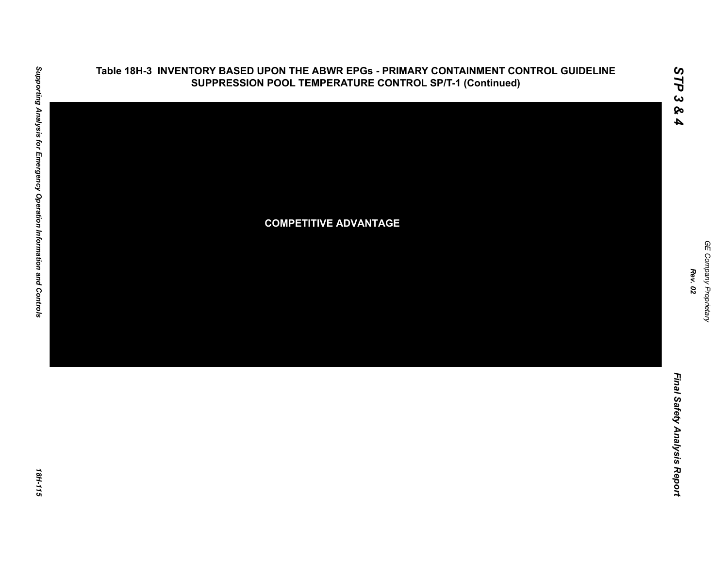

### **Table 18H-3 INVENTORY BASED UPON THE ABWR EPGs - PRIMARY CONTAINMENT CONTROL GUIDELINE SUPPRESSION POOL TEMPERATURE CONTROL SP/T-1 (Continued)**

GE Company Proprietary *GE Company Proprietary Rev. 02*

*STP 3 & 4*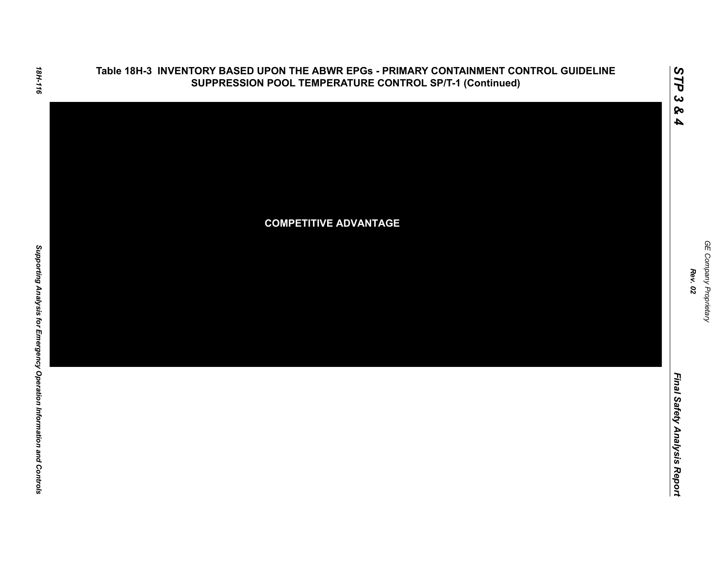

GE Company Proprietary

*Rev. 02*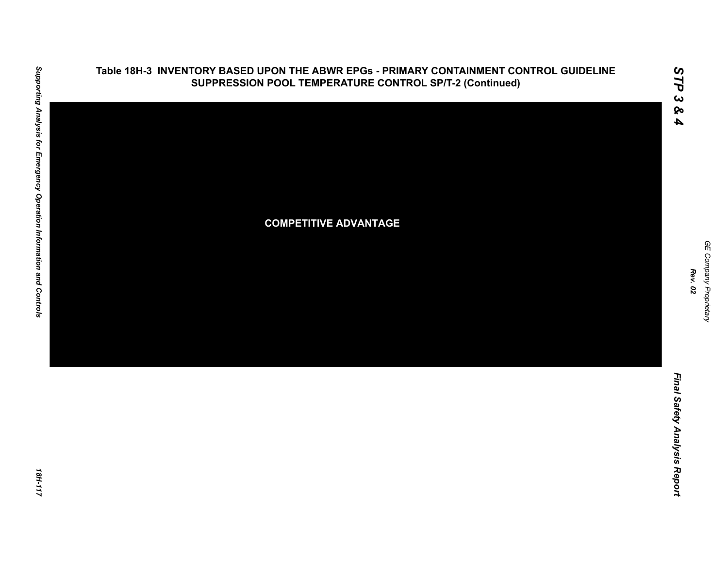

### **Table 18H-3 INVENTORY BASED UPON THE ABWR EPGs - PRIMARY CONTAINMENT CONTROL GUIDELINE SUPPRESSION POOL TEMPERATURE CONTROL SP/T-2 (Continued)**

Final Safety Analysis Report *Final Safety Analysis Report*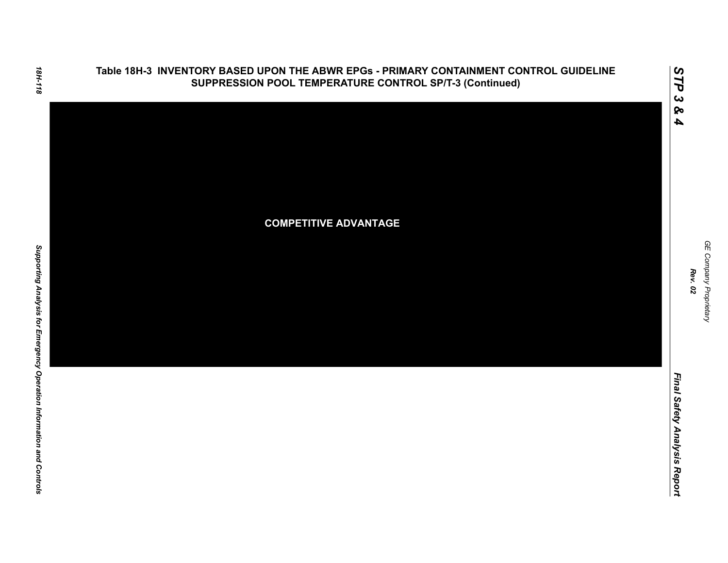

Final Safety Analysis Report *Final Safety Analysis Report*

*GE Company Proprietary*

GE Company Proprietary

*Rev. 02*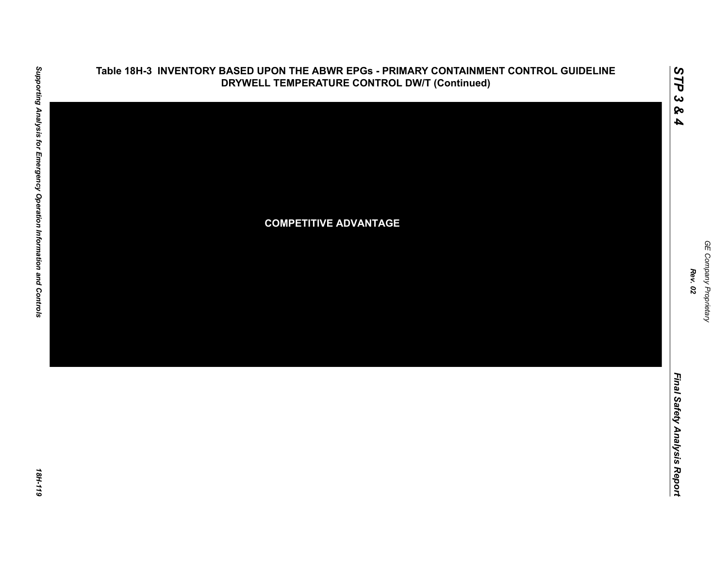

### **Table 18H-3 INVENTORY BASED UPON THE ABWR EPGs - PRIMARY CONTAINMENT CONTROL GUIDELINE DRYWELL TEMPERATURE CONTROL DW/T (Continued)**

*GE Company Proprietary*

GE Company Proprietary

*Rev. 02*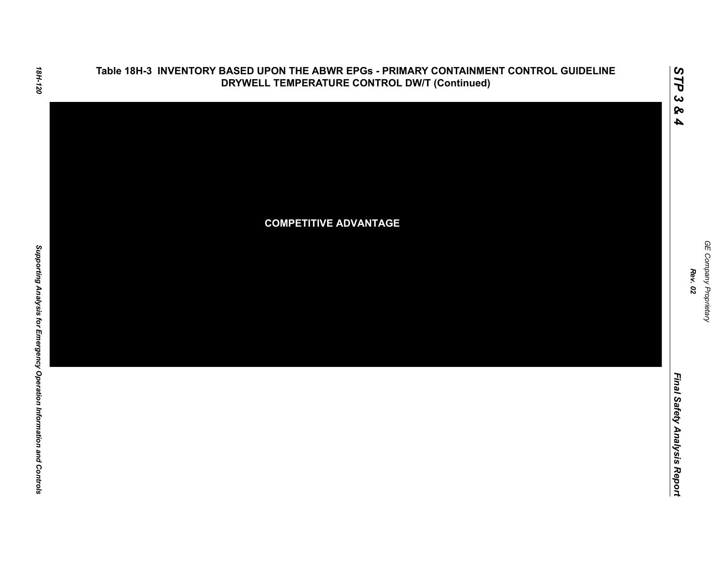### **Table 18H-3 INVENTORY BASED UPON THE ABWR EPGs - PRIMARY CONTAINMENT CONTROL GUIDELINE DRYWELL TEMPERATURE CONTROL DW/T (Continued)**



*GE Company Proprietary*

*Rev. 02*

*Final Safety Analysis Report*

Final Safety Analysis Report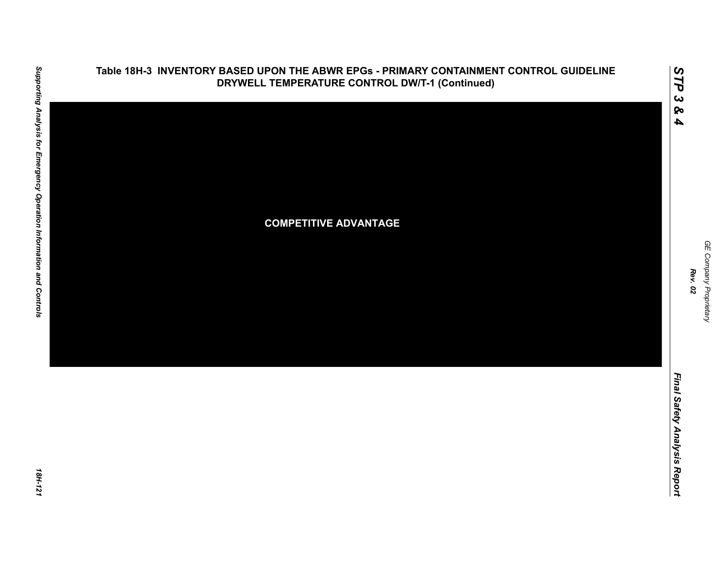

GE Company Proprietary *GE Company Proprietary Rev. 02*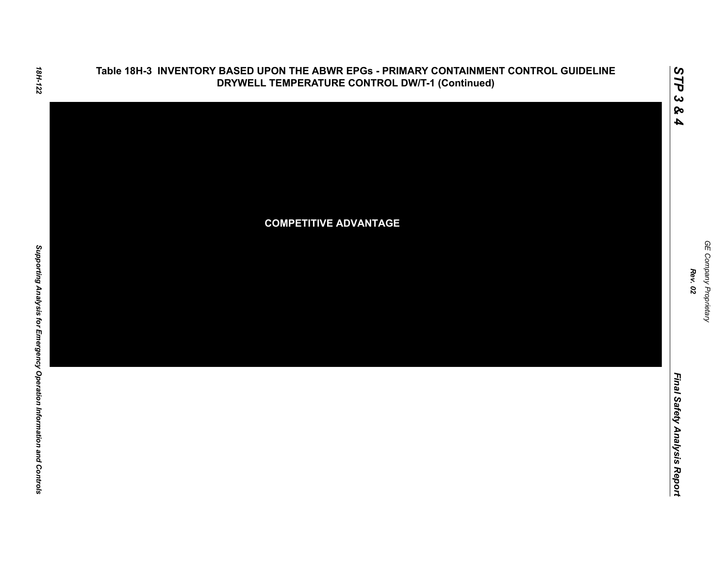

18H-122

*GE Company Proprietary*

GE Company Proprietary

*Final Safety Analysis Report*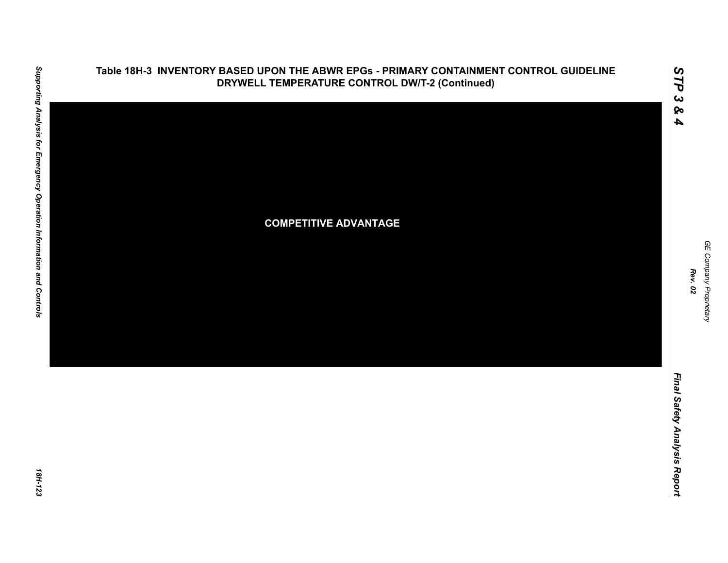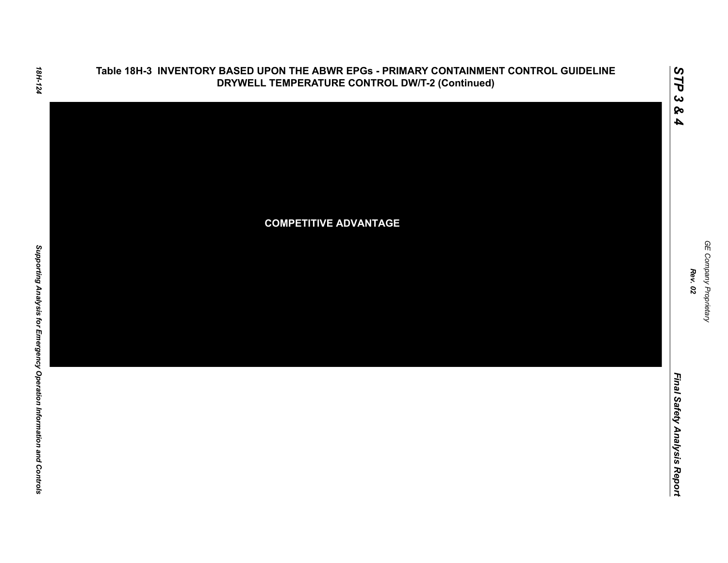

Final Safety Analysis Report *Final Safety Analysis Report*

*GE Company Proprietary*

GE Company Proprietary

18H-124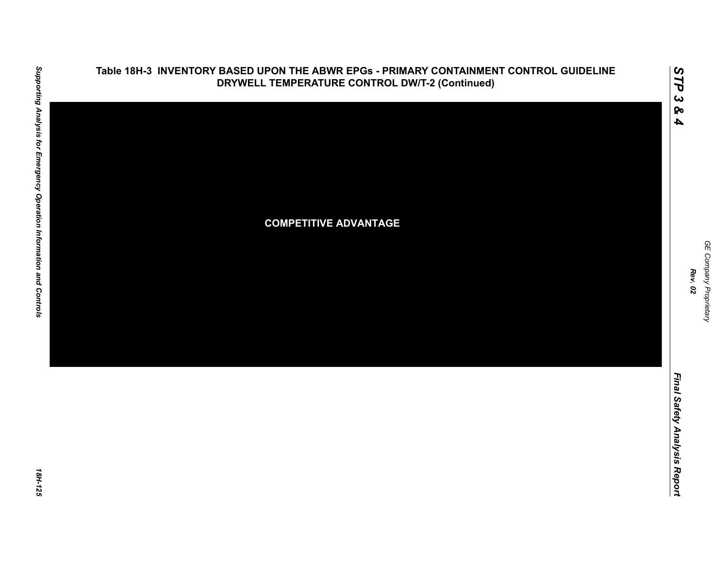

### **Table 18H-3 INVENTORY BASED UPON THE ABWR EPGs - PRIMARY CONTAINMENT CONTROL GUIDELINE DRYWELL TEMPERATURE CONTROL DW/T-2 (Continued)**

GE Company Proprietary *GE Company Proprietary Rev. 02*

*STP 3 & 4*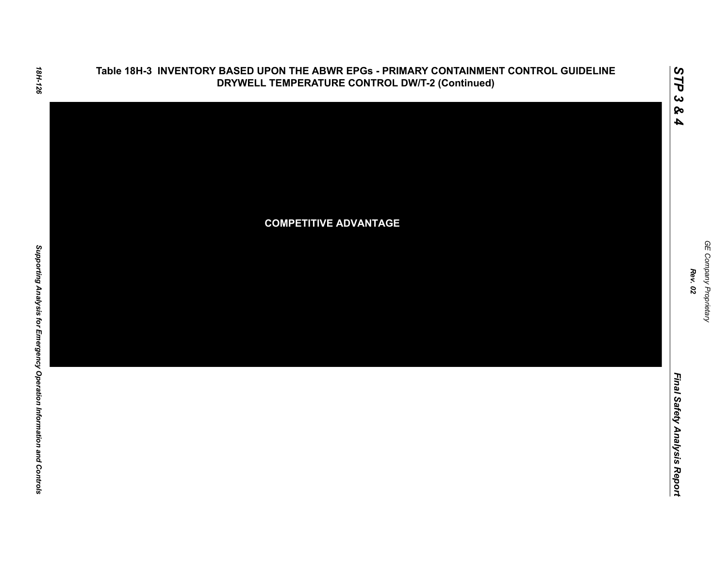

Final Safety Analysis Report *Final Safety Analysis Report*

*GE Company Proprietary*

GE Company Proprietary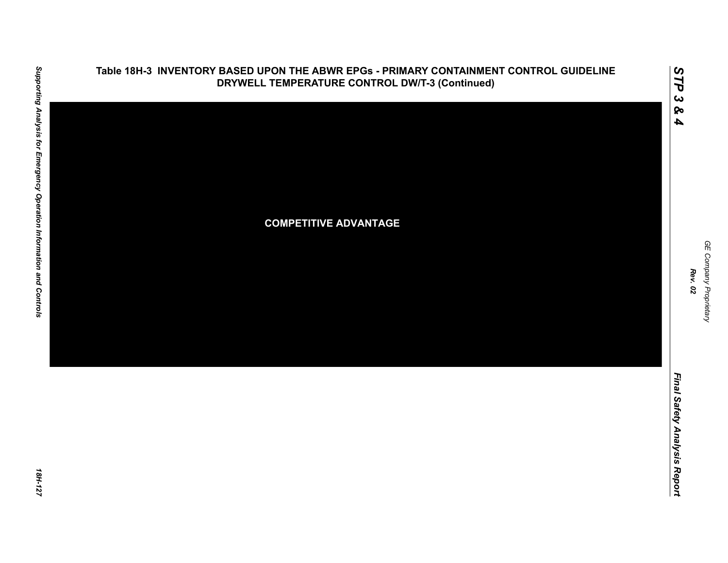

GE Company Proprietary *GE Company Proprietary Rev. 02*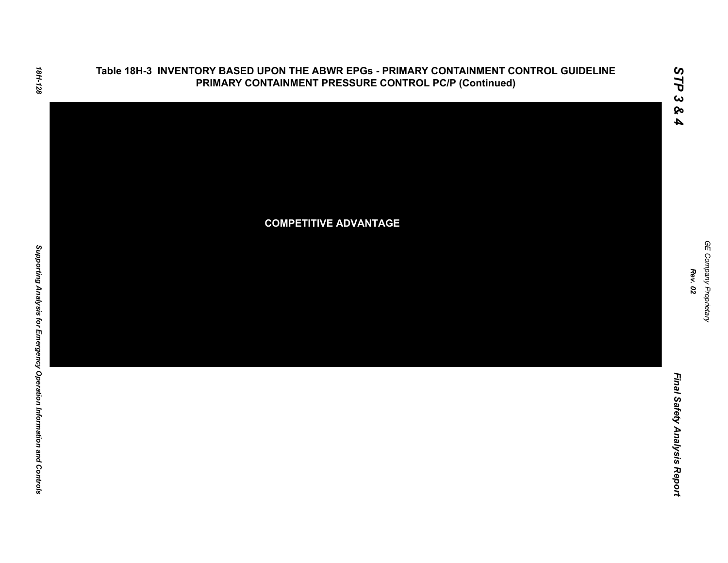

Final Safety Analysis Report *Final Safety Analysis Report*

GE Company Proprietary *GE Company Proprietary Rev. 02*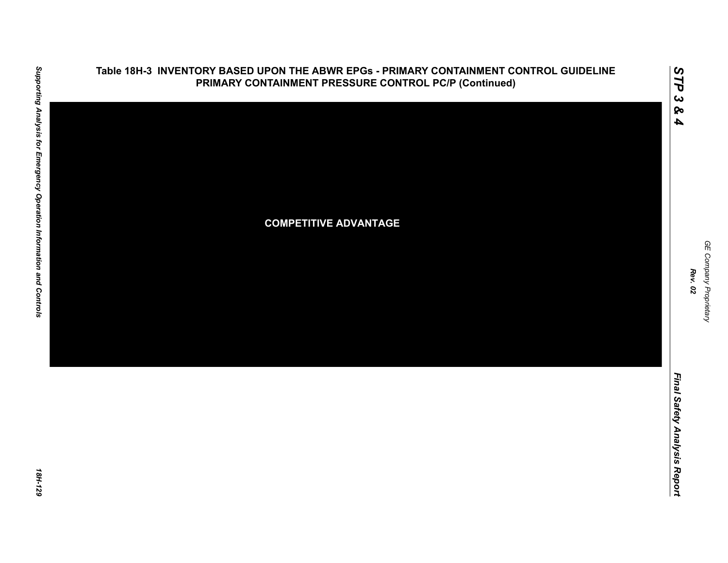

### **Table 18H-3 INVENTORY BASED UPON THE ABWR EPGs - PRIMARY CONTAINMENT CONTROL GUIDELINE PRIMARY CONTAINMENT PRESSURE CONTROL PC/P (Continued)**

Final Safety Analysis Report *Final Safety Analysis Report*

*GE Company Proprietary*

GE Company Proprietary

*Rev. 02*

*STP 3 & 4*

18H-129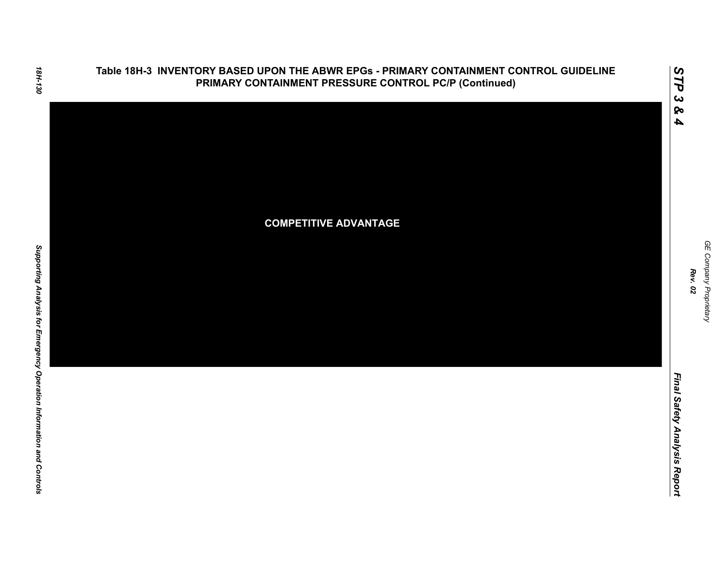

Final Safety Analysis Report *Final Safety Analysis Report*

GE Company Proprietary *GE Company Proprietary Rev. 02*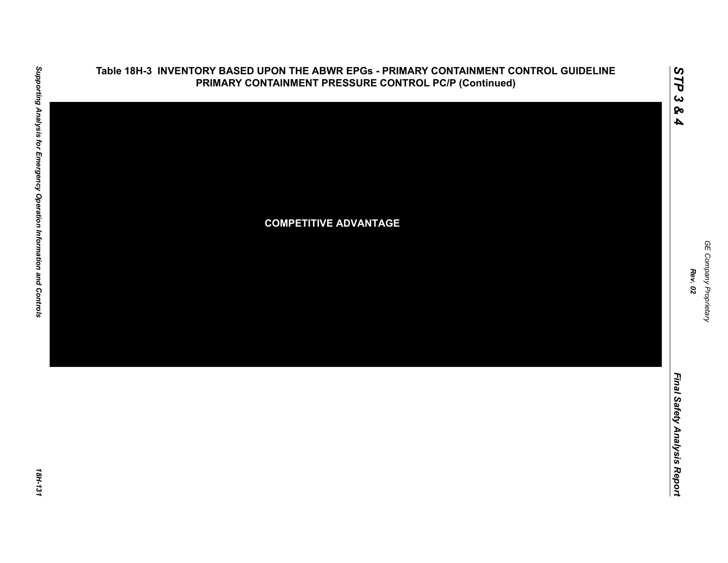

### **Table 18H-3 INVENTORY BASED UPON THE ABWR EPGs - PRIMARY CONTAINMENT CONTROL GUIDELINE PRIMARY CONTAINMENT PRESSURE CONTROL PC/P (Continued)**

GE Company Proprietary *GE Company Proprietary*

*Rev. 02*

*STP 3 & 4*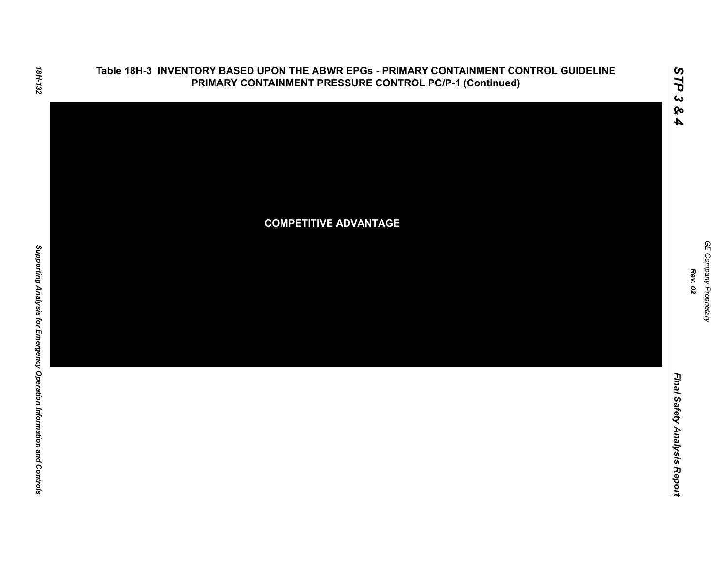

Final Safety Analysis Report *Final Safety Analysis Report*

GE Company Proprietary *GE Company Proprietary Rev. 02*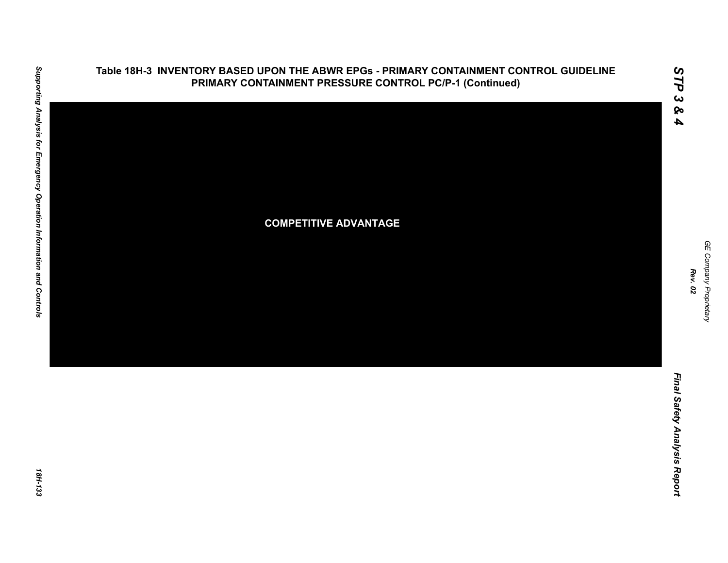

*Rev. 02*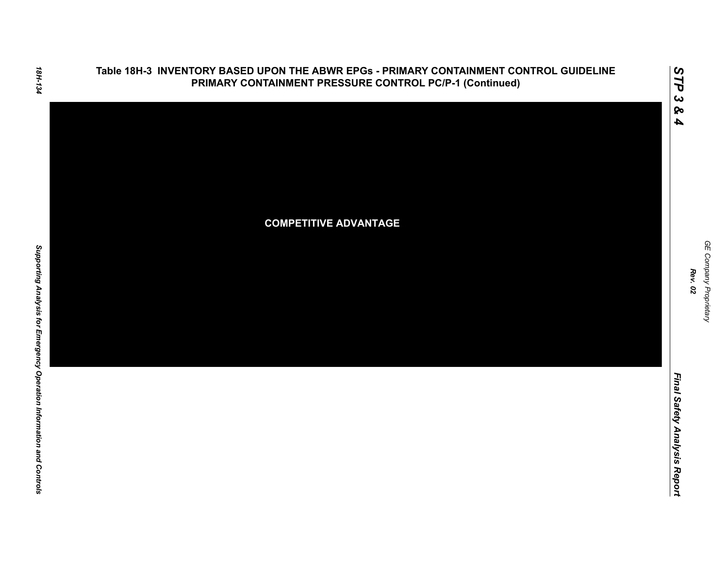

GE Company Proprietary *GE Company Proprietary Rev. 02*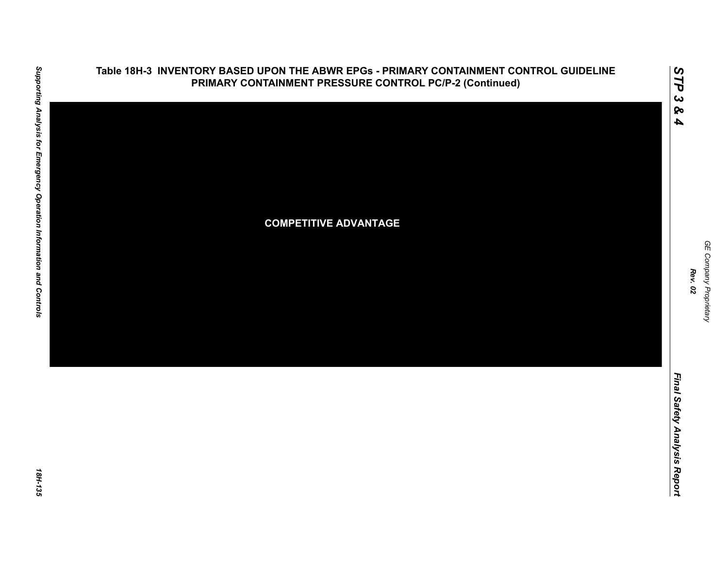

## **Table 18H-3 INVENTORY BASED UPON THE ABWR EPGs - PRIMARY CONTAINMENT CONTROL GUIDELINE PRIMARY CONTAINMENT PRESSURE CONTROL PC/P-2 (Continued)**

*STP 3 & 4*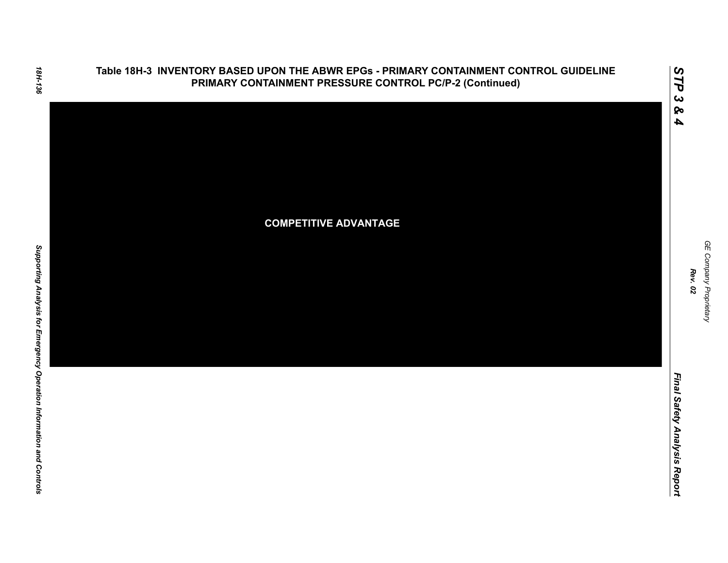

*GE Company Proprietary*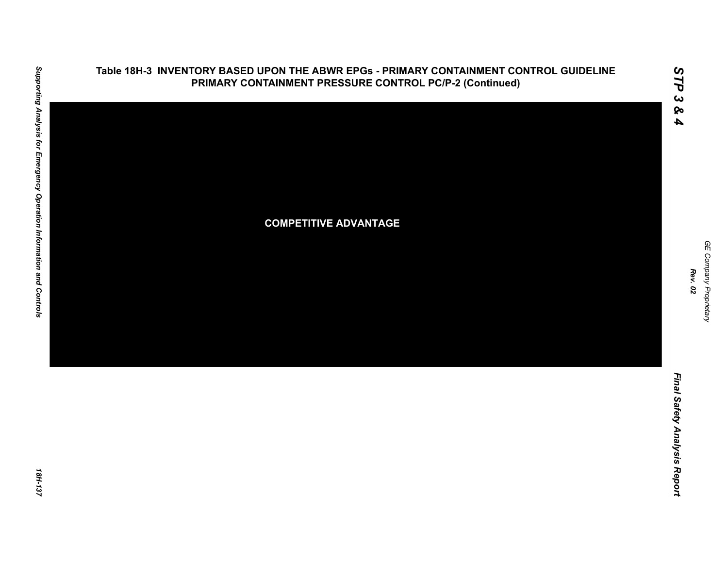

### **Table 18H-3 INVENTORY BASED UPON THE ABWR EPGs - PRIMARY CONTAINMENT CONTROL GUIDELINE PRIMARY CONTAINMENT PRESSURE CONTROL PC/P-2 (Continued)**

GE Company Proprietary *GE Company Proprietary Rev. 02*

*STP 3 & 4*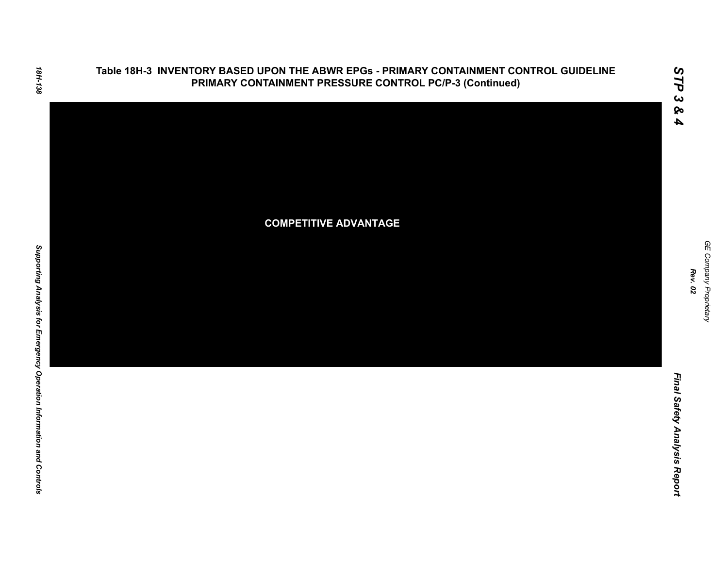

*Rev. 02*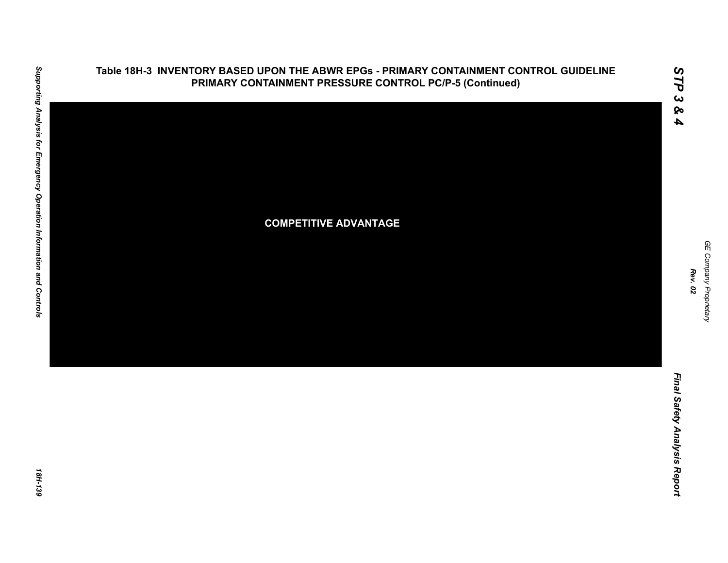

# **Table 18H-3 INVENTORY BASED UPON THE ABWR EPGs - PRIMARY CONTAINMENT CONTROL GUIDELINE PRIMARY CONTAINMENT PRESSURE CONTROL PC/P-5 (Continued)**

*STP 3 & 4*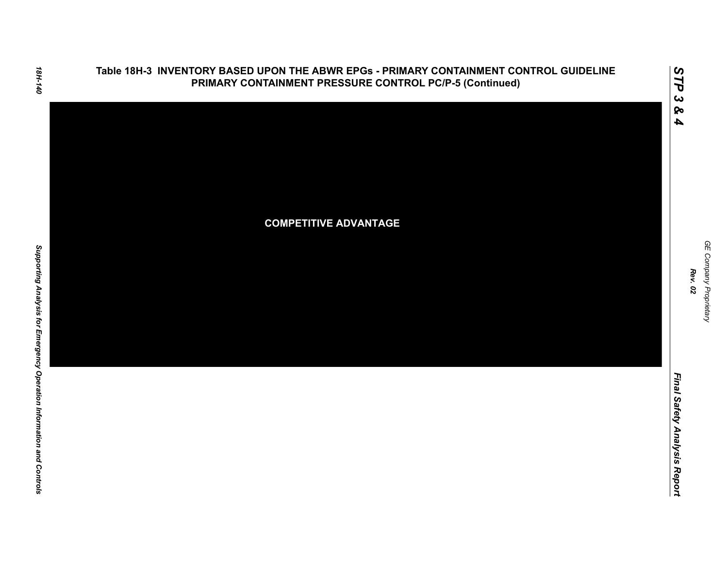

*GE Company Proprietary*

*Rev. 02*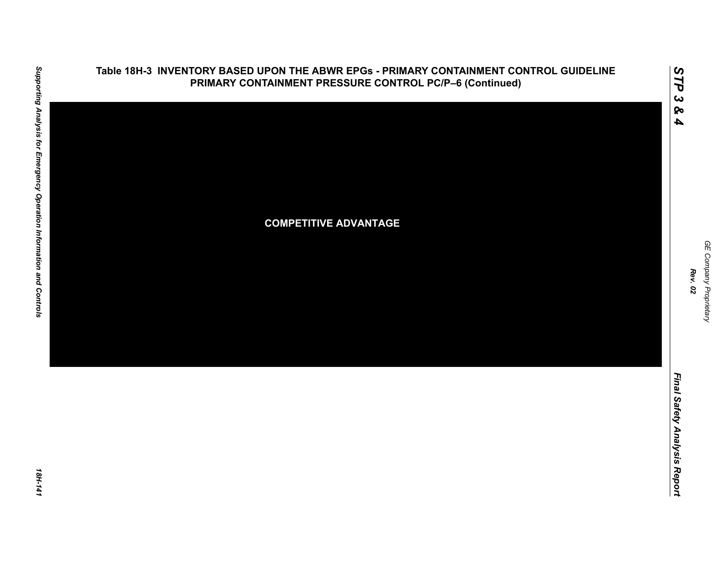

## **Table 18H-3 INVENTORY BASED UPON THE ABWR EPGs - PRIMARY CONTAINMENT CONTROL GUIDELINE PRIMARY CONTAINMENT PRESSURE CONTROL PC/P–6 (Continued)**

GE Company Proprietary *GE Company Proprietary Rev. 02*

*STP 3 & 4*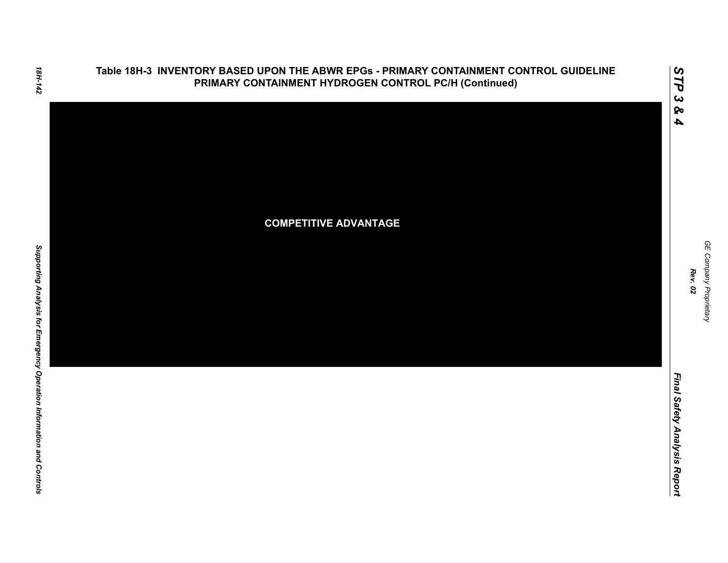

GE Company Proprietary

*Rev. 02*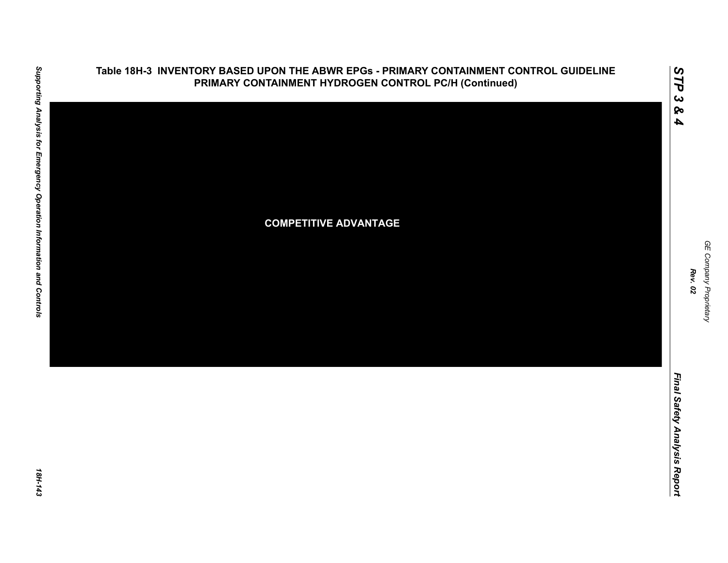

**Table 18H-3 INVENTORY BASED UPON THE ABWR EPGs - PRIMARY CONTAINMENT CONTROL GUIDELINE**

18H-143

*GE Company Proprietary*

*Rev. 02*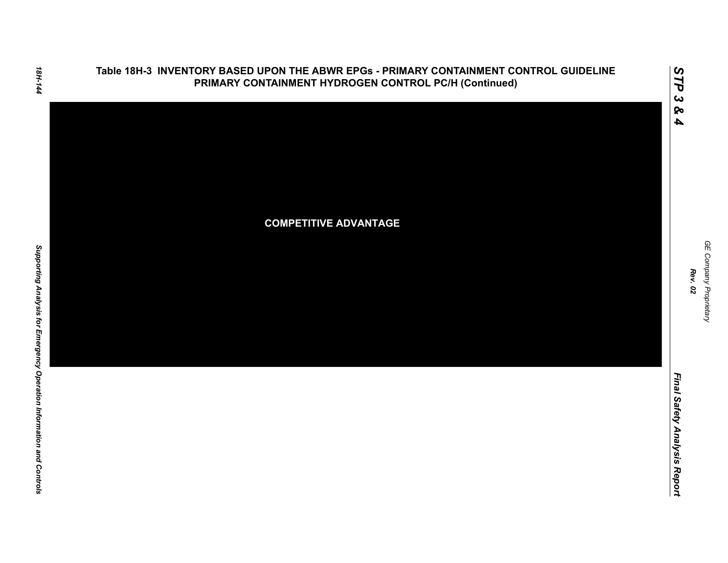

GE Company Proprietary

*Rev. 02*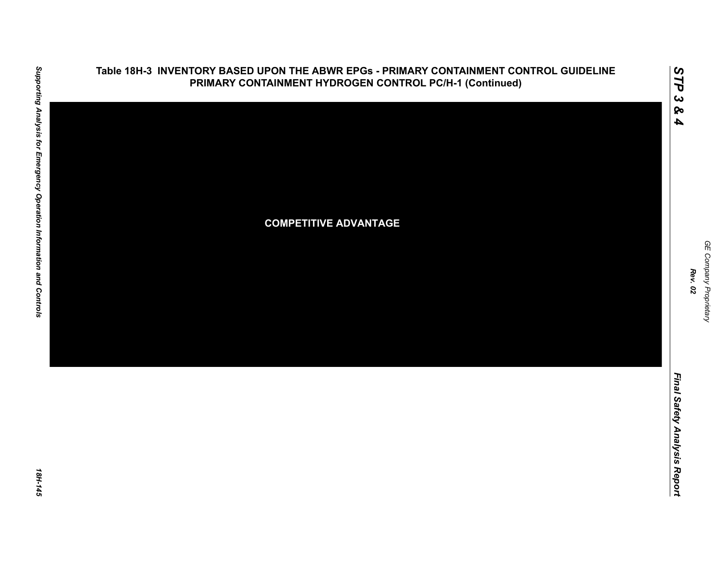

### **Table 18H-3 INVENTORY BASED UPON THE ABWR EPGs - PRIMARY CONTAINMENT CONTROL GUIDELINE PRIMARY CONTAINMENT HYDROGEN CONTROL PC/H-1 (Continued)**

GE Company Proprietary *GE Company Proprietary Rev. 02*

*STP 3 & 4*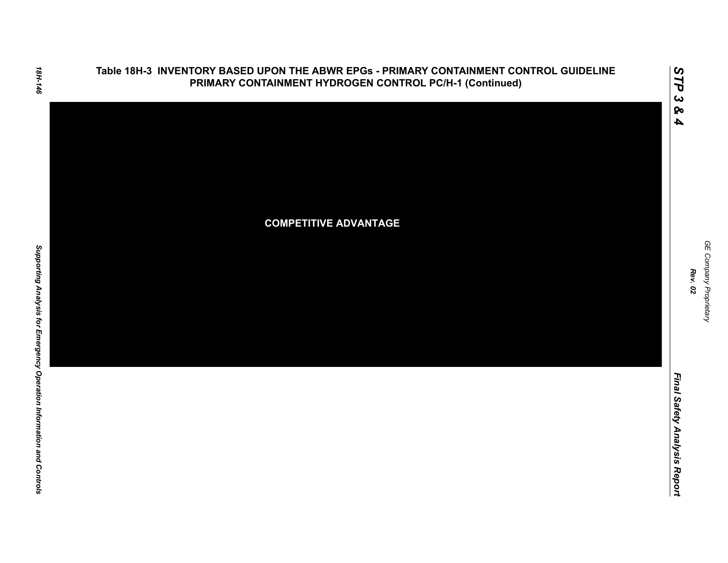

Final Safety Analysis Report

*GE Company Proprietary*

GE Company Proprietary

*Rev. 02*

*Final Safety Analysis Report*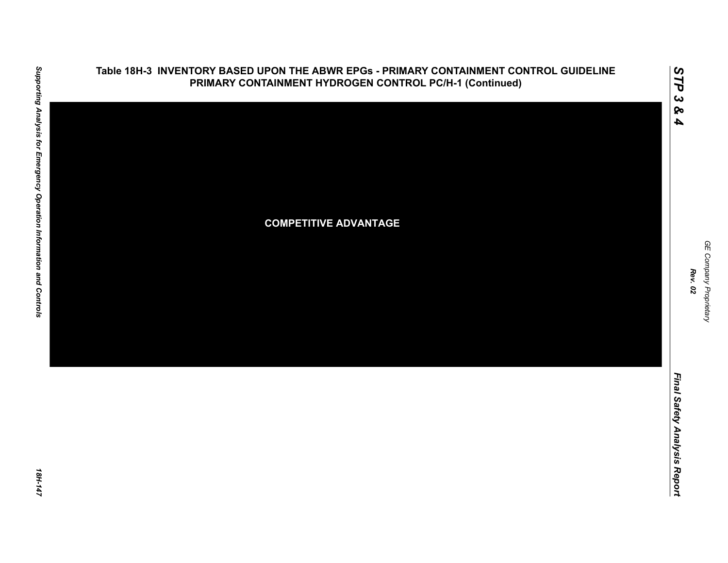

### **Table 18H-3 INVENTORY BASED UPON THE ABWR EPGs - PRIMARY CONTAINMENT CONTROL GUIDELINE PRIMARY CONTAINMENT HYDROGEN CONTROL PC/H-1 (Continued)**

GE Company Proprietary *GE Company Proprietary Rev. 02*

*STP 3 & 4*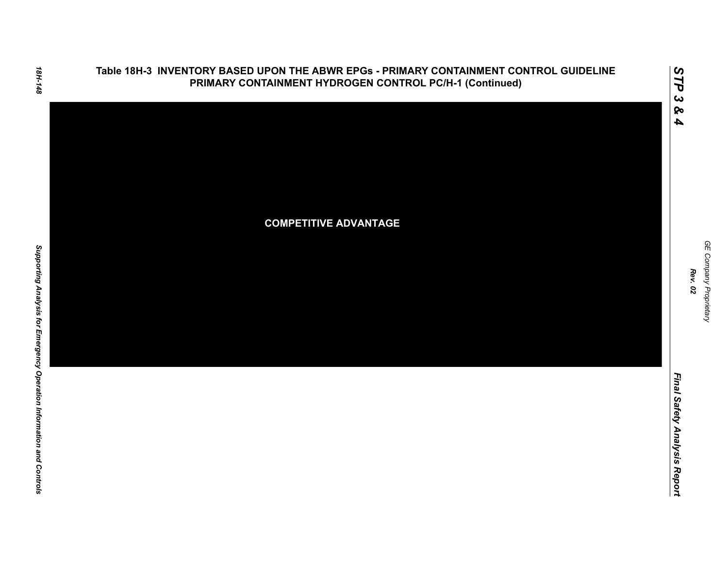

# 18H-148

*GE Company Proprietary*

GE Company Proprietary

*Rev. 02*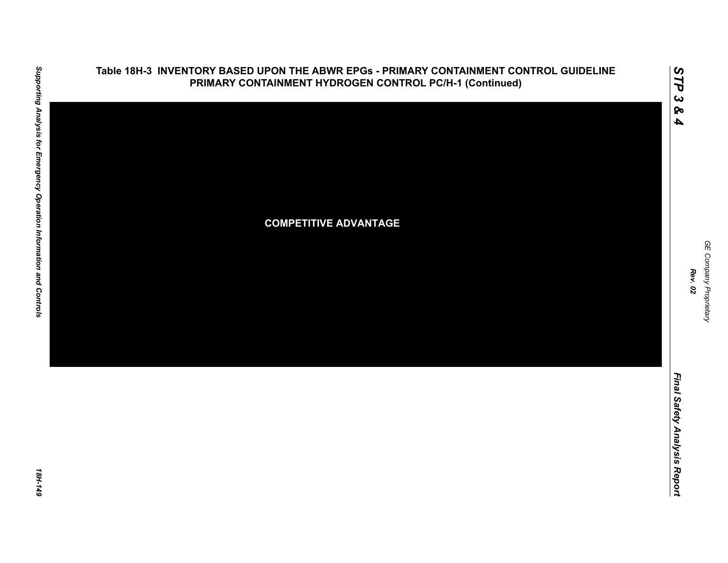

*GE Company Proprietary*

GE Company Proprietary

18H-149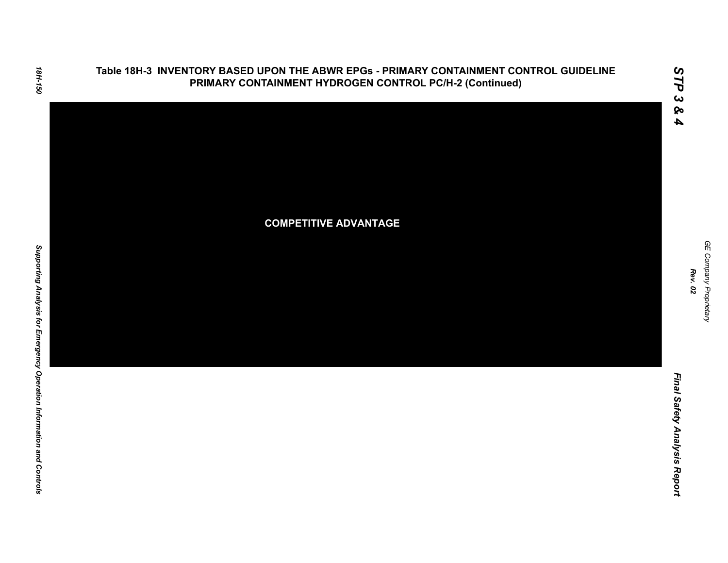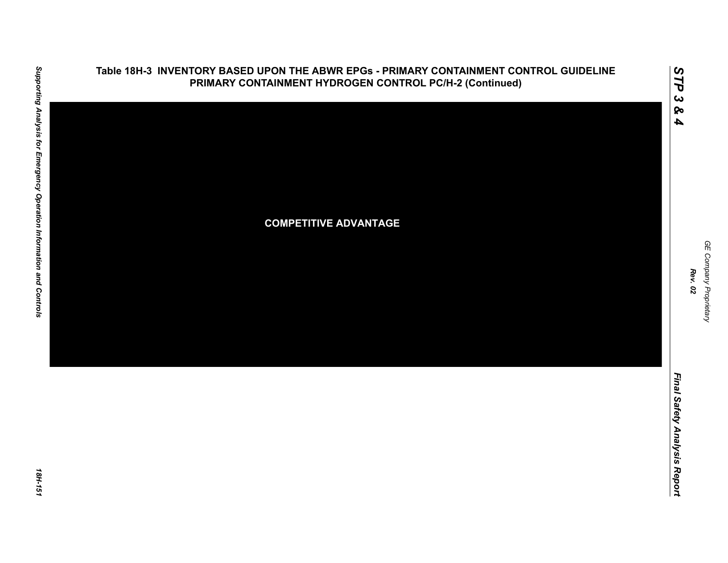

### **Table 18H-3 INVENTORY BASED UPON THE ABWR EPGs - PRIMARY CONTAINMENT CONTROL GUIDELINE PRIMARY CONTAINMENT HYDROGEN CONTROL PC/H-2 (Continued)**

*GE Company Proprietary*

GE Company Proprietary

*Rev. 02*

*STP 3 & 4*

18H-151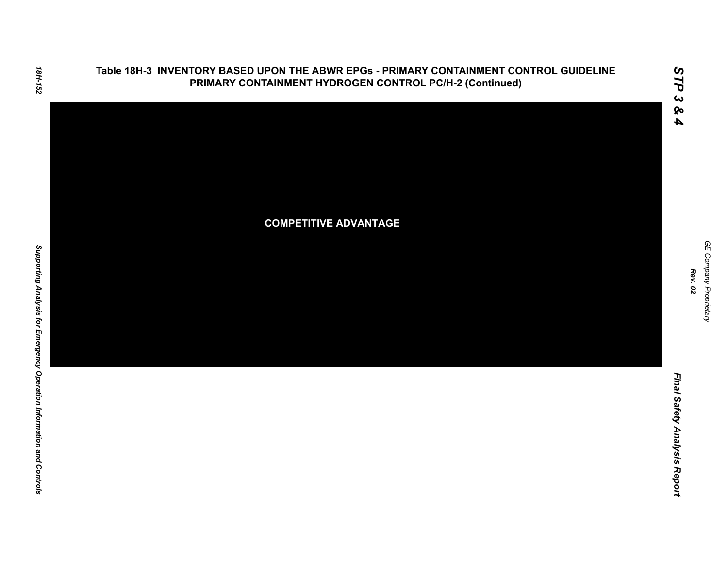

*GE Company Proprietary*

GE Company Proprietary

*Rev. 02*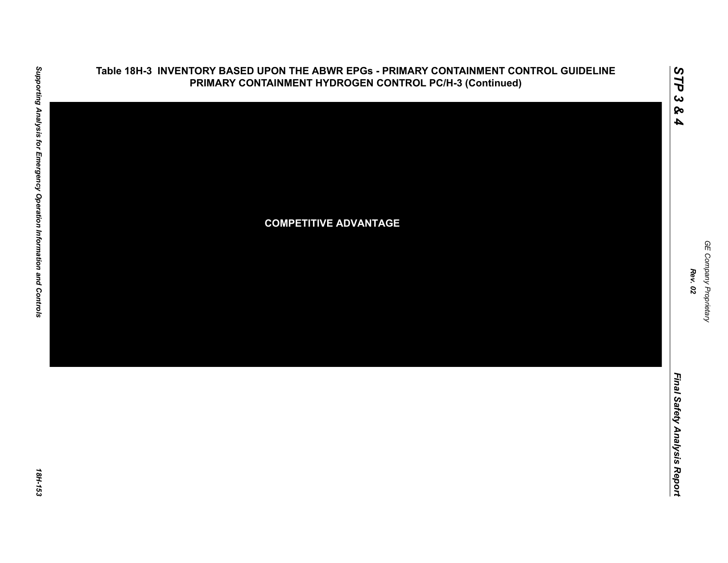

# **Table 18H-3 INVENTORY BASED UPON THE ABWR EPGs - PRIMARY CONTAINMENT CONTROL GUIDELINE PRIMARY CONTAINMENT HYDROGEN CONTROL PC/H-3 (Continued)**

GE Company Proprietary *GE Company Proprietary Rev. 02*

*STP 3 & 4*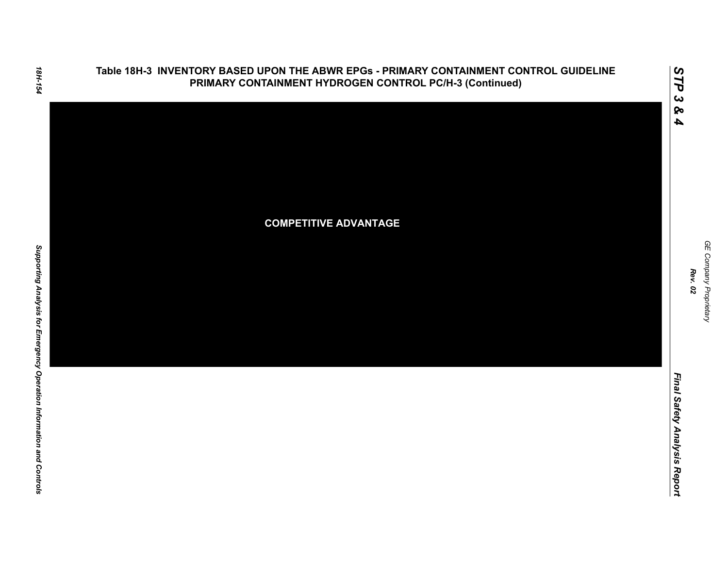

*GE Company Proprietary*

GE Company Proprietary

*Rev. 02*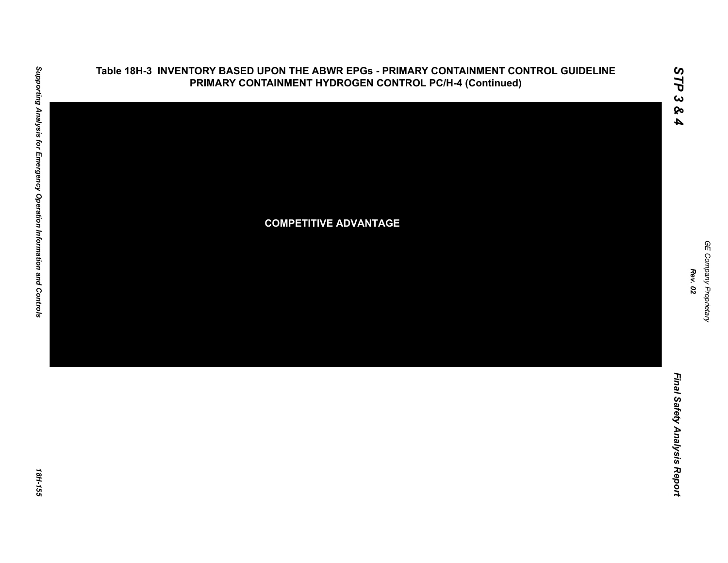

# **Table 18H-3 INVENTORY BASED UPON THE ABWR EPGs - PRIMARY CONTAINMENT CONTROL GUIDELINE PRIMARY CONTAINMENT HYDROGEN CONTROL PC/H-4 (Continued)**

GE Company Proprietary *GE Company Proprietary Rev. 02*

*STP 3 & 4*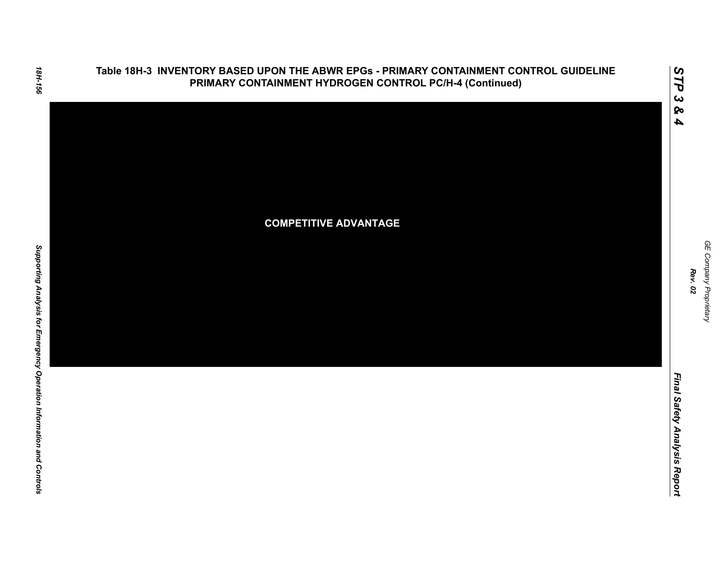

# 18H-156

*Rev. 02*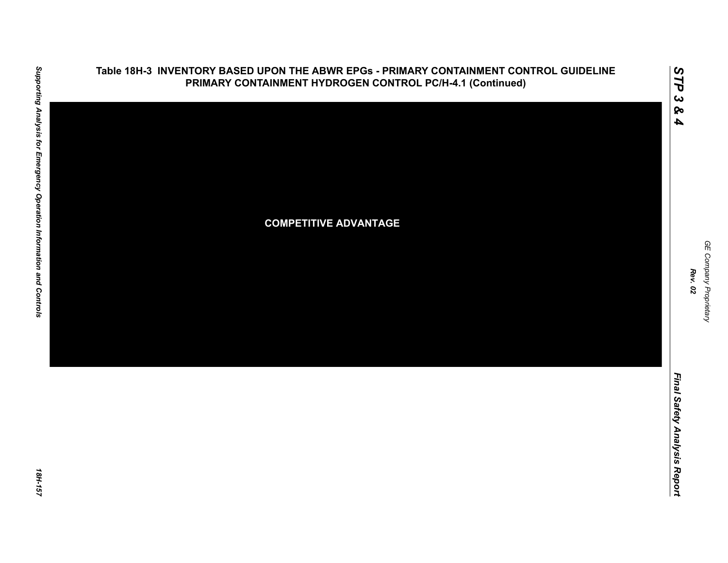

### **Table 18H-3 INVENTORY BASED UPON THE ABWR EPGs - PRIMARY CONTAINMENT CONTROL GUIDELINE PRIMARY CONTAINMENT HYDROGEN CONTROL PC/H-4.1 (Continued)**

*STP 3 & 4*

*GE Company Proprietary*

GE Company Proprietary

*Rev. 02*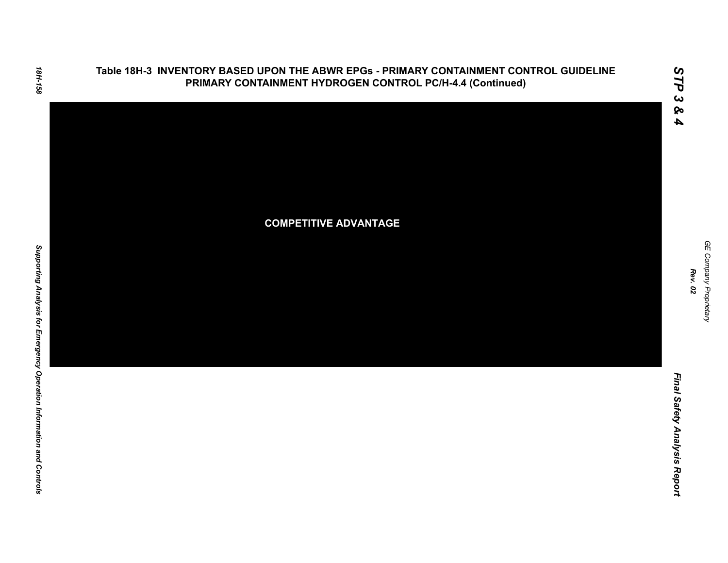

GE Company Proprietary *GE Company Proprietary Rev. 02*

*STP 3 & 4*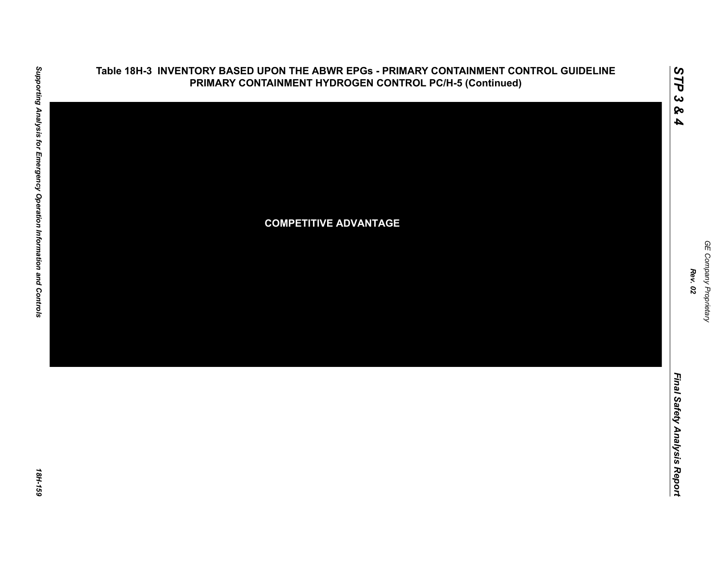

### **Table 18H-3 INVENTORY BASED UPON THE ABWR EPGs - PRIMARY CONTAINMENT CONTROL GUIDELINE PRIMARY CONTAINMENT HYDROGEN CONTROL PC/H-5 (Continued)**

18H-159

*GE Company Proprietary*

GE Company Proprietary

*Rev. 02*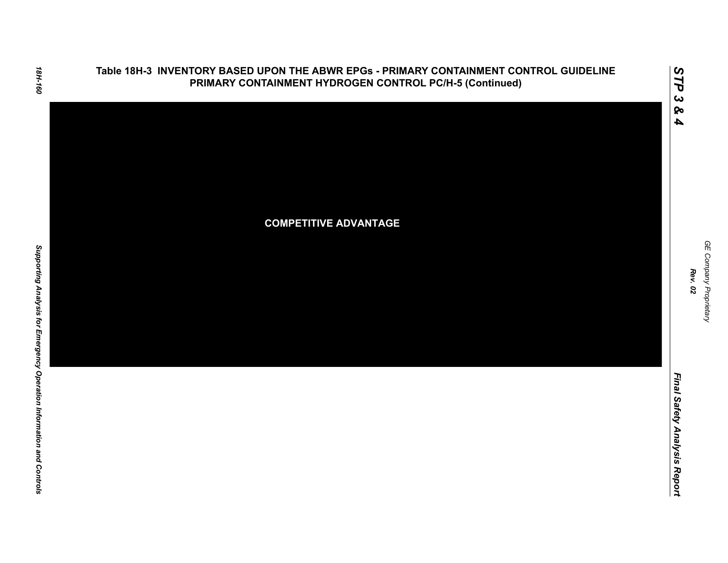

*GE Company Proprietary*

GE Company Proprietary

*Rev. 02*

*Final Safety Analysis Report*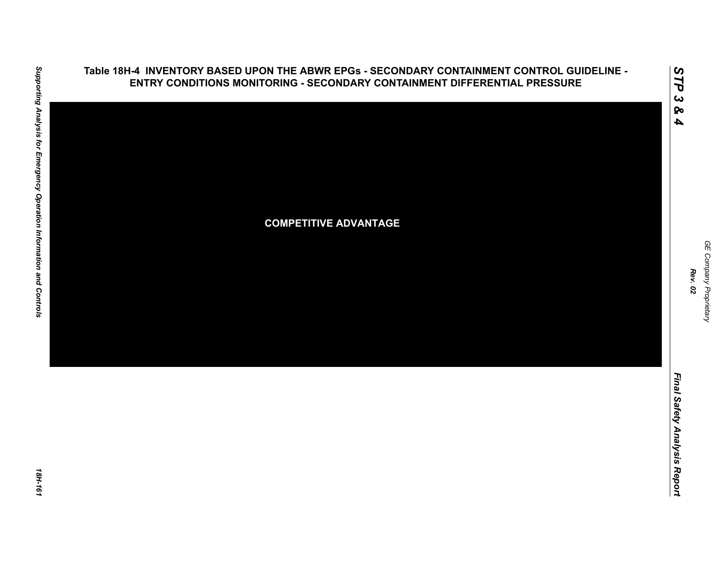### **Table 18H-4 INVENTORY BASED UPON THE ABWR EPGs - SECONDARY CONTAINMENT CONTROL GUIDELINE - ENTRY CONDITIONS MONITORING - SECONDARY CONTAINMENT DIFFERENTIAL PRESSURE**



Final Safety Analysis Report *Final Safety Analysis Report*

*GE Company Proprietary*

GE Company Proprietary

*Rev. 02*

18H-161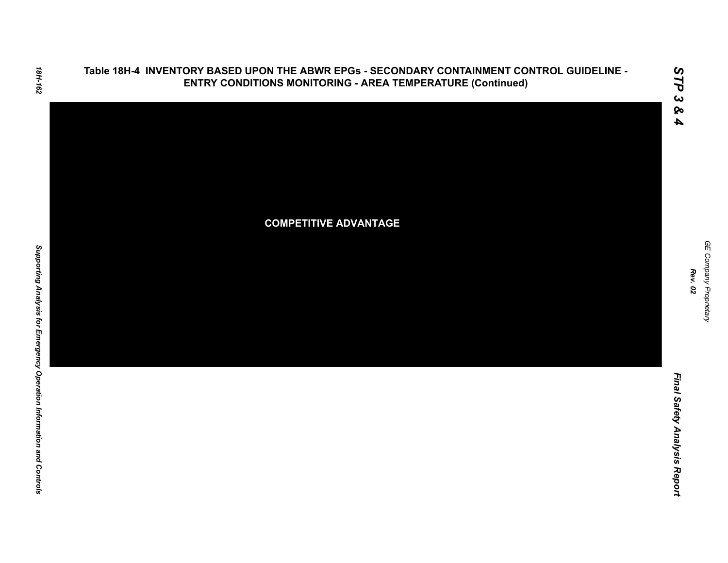

GE Company Proprietary *GE Company Proprietary Rev. 02*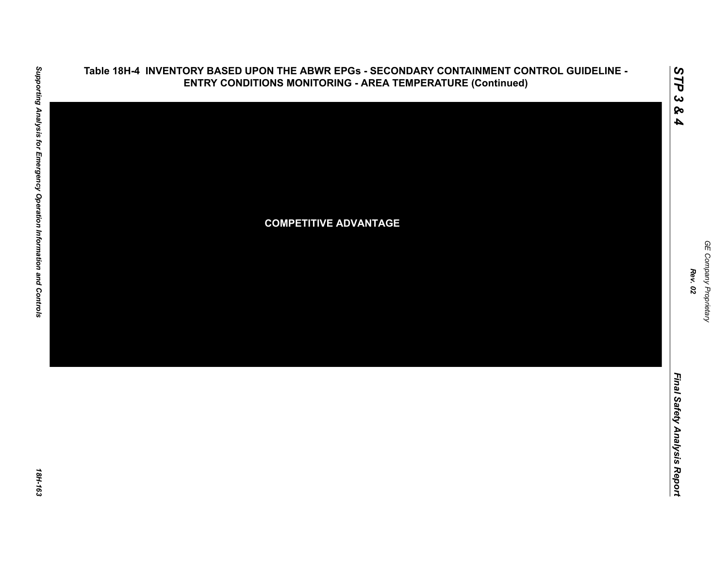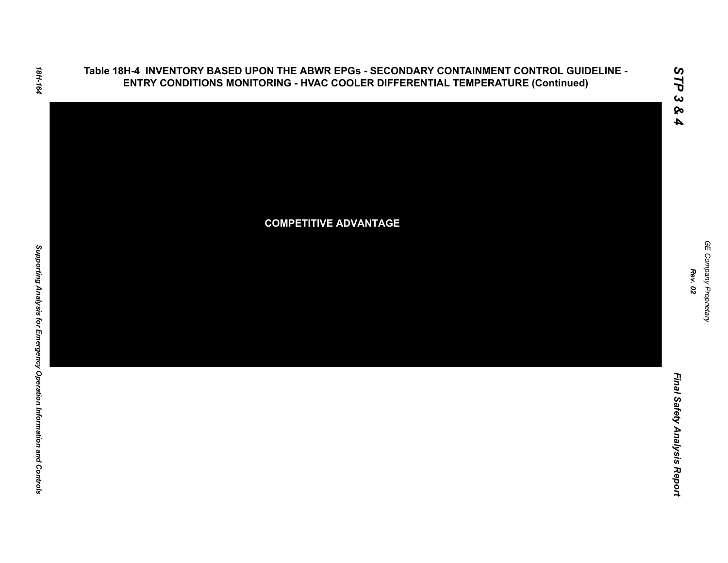**Table 18H-4 INVENTORY BASED UPON THE ABWR EPGs - SECONDARY CONTAINMENT CONTROL GUIDELINE - ENTRY CONDITIONS MONITORING - HVAC COOLER DIFFERENTIAL TEMPERATURE (Continued)**

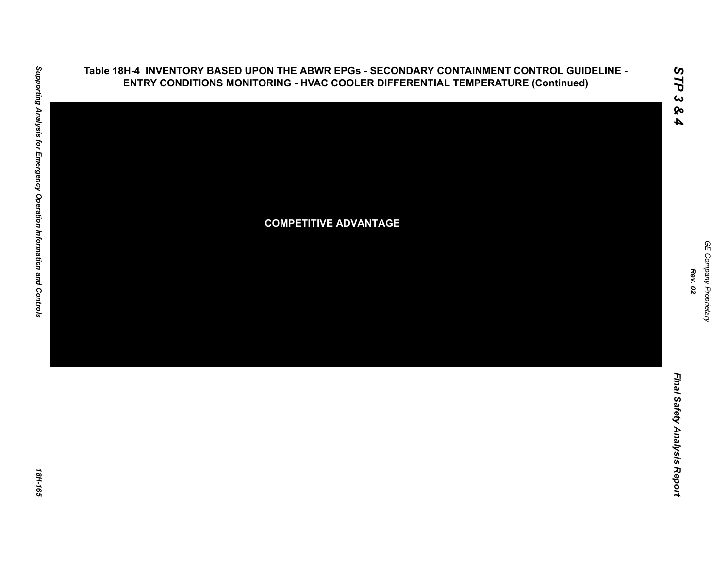

Supporting Analysis for Emergency Operation Information and Controls *Supporting Analysis for Emergency Operation Information and Controls 18H-165*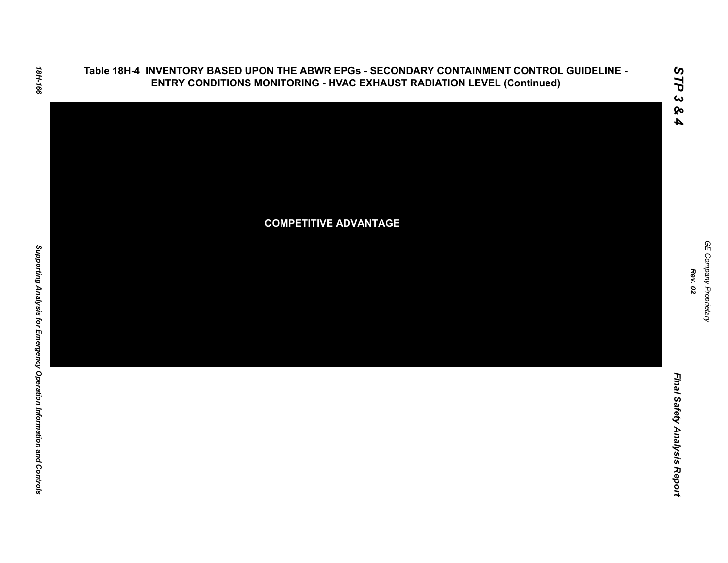### **Table 18H-4 INVENTORY BASED UPON THE ABWR EPGs - SECONDARY CONTAINMENT CONTROL GUIDELINE - ENTRY CONDITIONS MONITORING - HVAC EXHAUST RADIATION LEVEL (Continued)**



GE Company Proprietary *GE Company Proprietary Rev. 02*

*STP 3 & 4*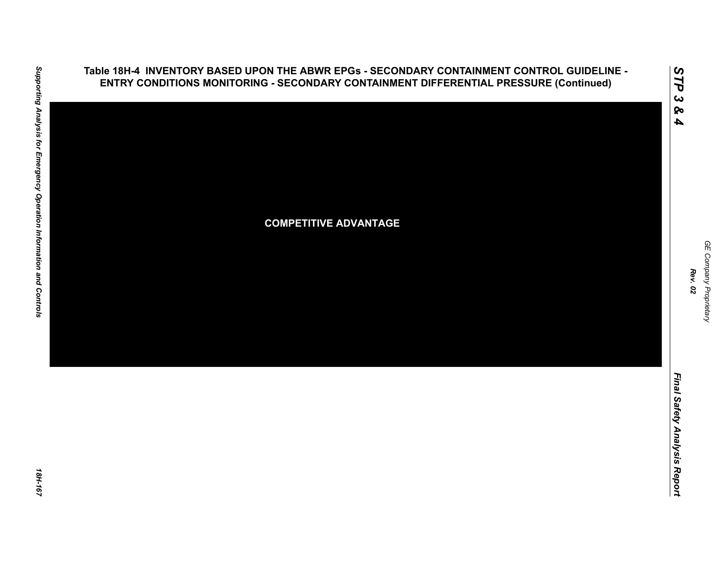**ENTRY CONDITIONS MONITORING - SECONDARY CONTAINMENT DIFFERENTIAL PRESSURE (Continued) COMPETITIVE ADVANTAGE**

**Table 18H-4 INVENTORY BASED UPON THE ABWR EPGs - SECONDARY CONTAINMENT CONTROL GUIDELINE -** 

Supporting Analysis for Emergency Operation Information and Controls *Supporting Analysis for Emergency Operation Information and Controls 18H-167*

*GE Company Proprietary*

GE Company Proprietary

*Rev. 02*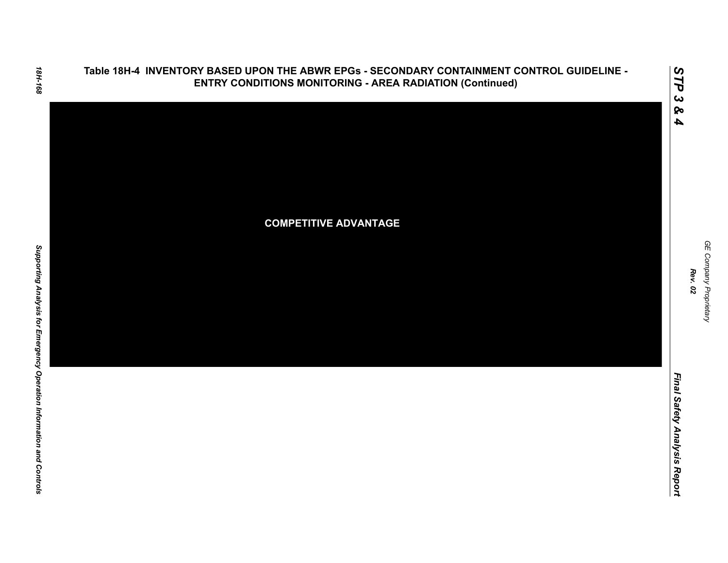

GE Company Proprietary *GE Company Proprietary Rev. 02*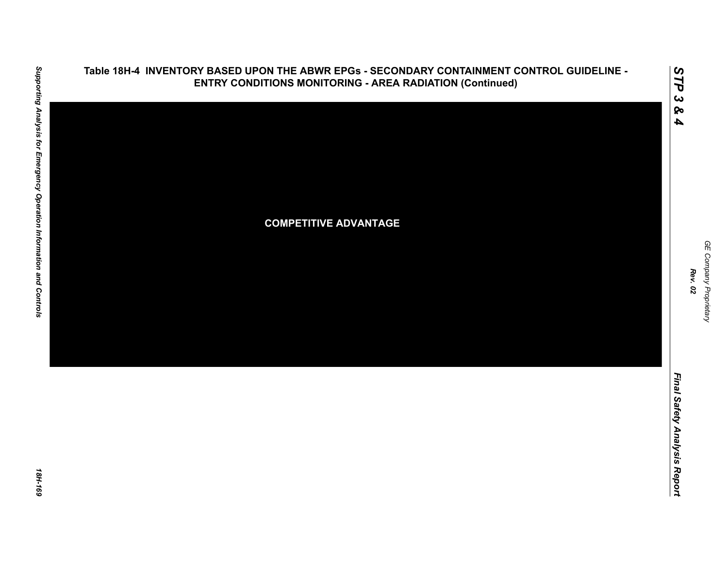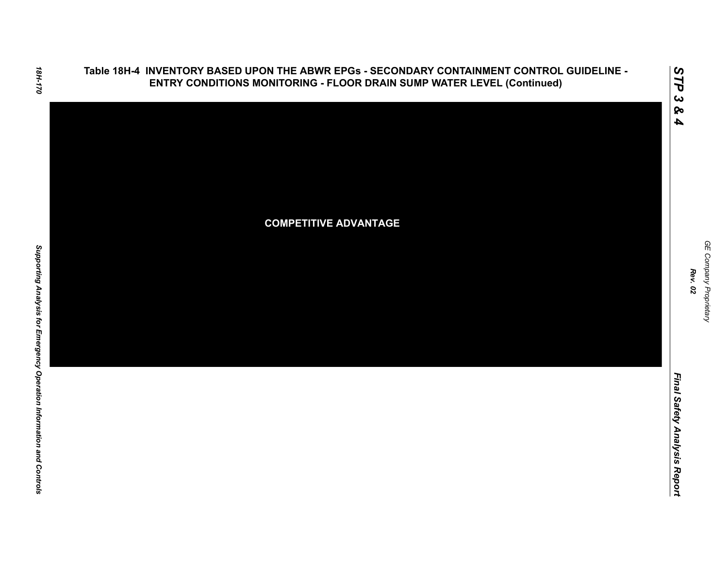**Table 18H-4 INVENTORY BASED UPON THE ABWR EPGs - SECONDARY CONTAINMENT CONTROL GUIDELINE - ENTRY CONDITIONS MONITORING - FLOOR DRAIN SUMP WATER LEVEL (Continued)**



GE Company Proprietary *GE Company Proprietary Rev. 02*

*STP 3 & 4*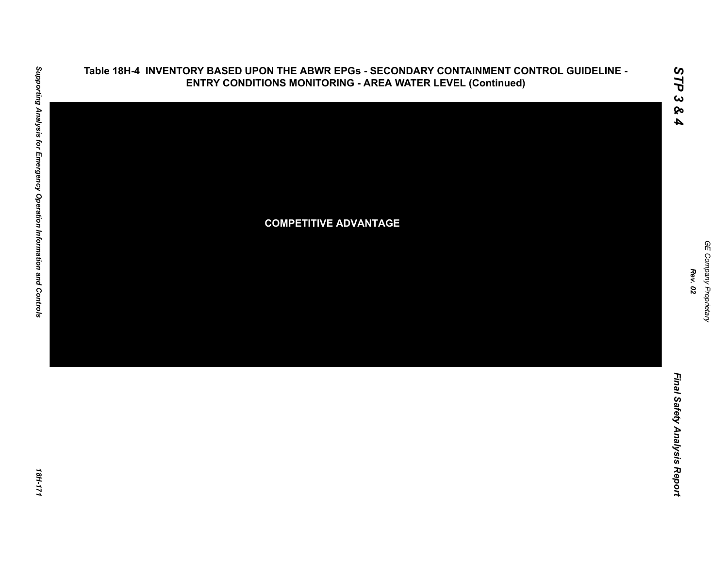

# Supporting Analysis for Emergency Operation Information and Controls *Supporting Analysis for Emergency Operation Information and Controls 18H-171*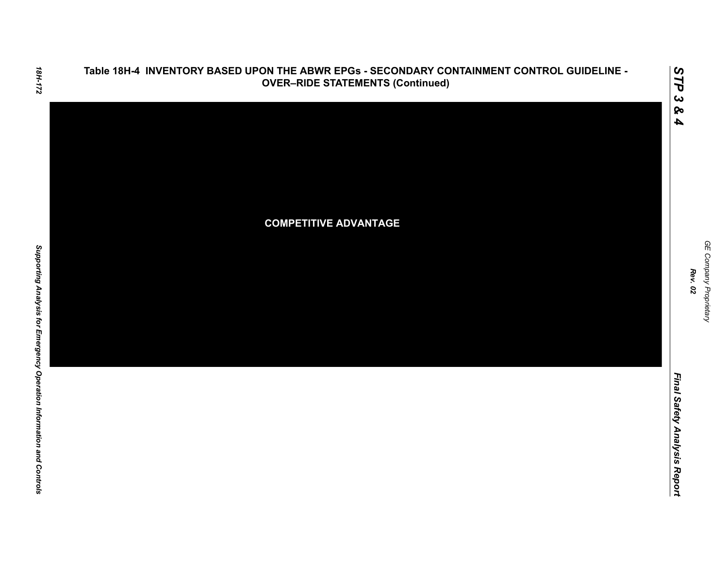

GE Company Proprietary *GE Company Proprietary*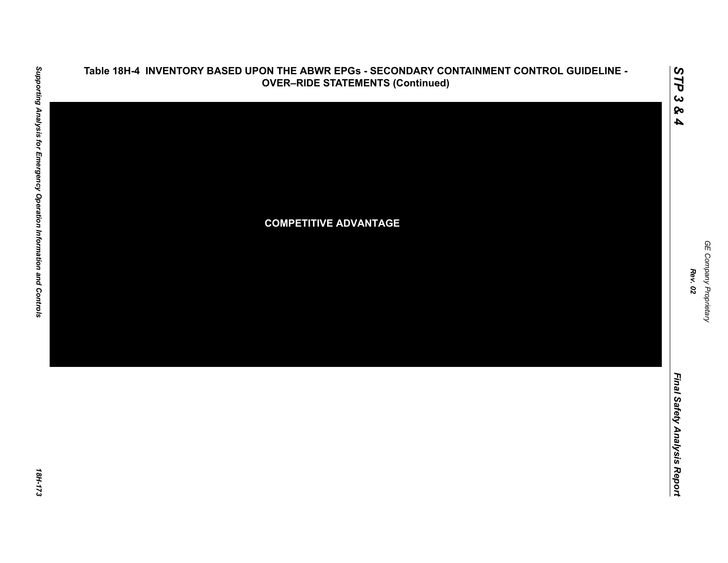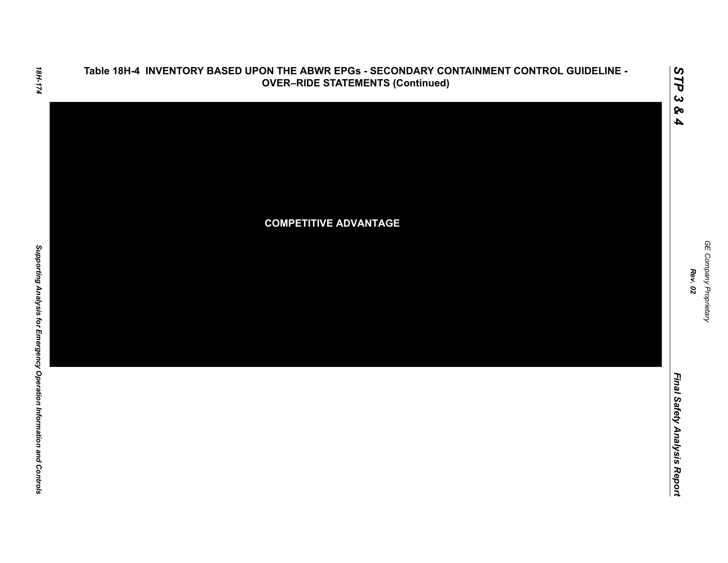

*GE Company Proprietary*

GE Company Proprietary

*Rev. 02*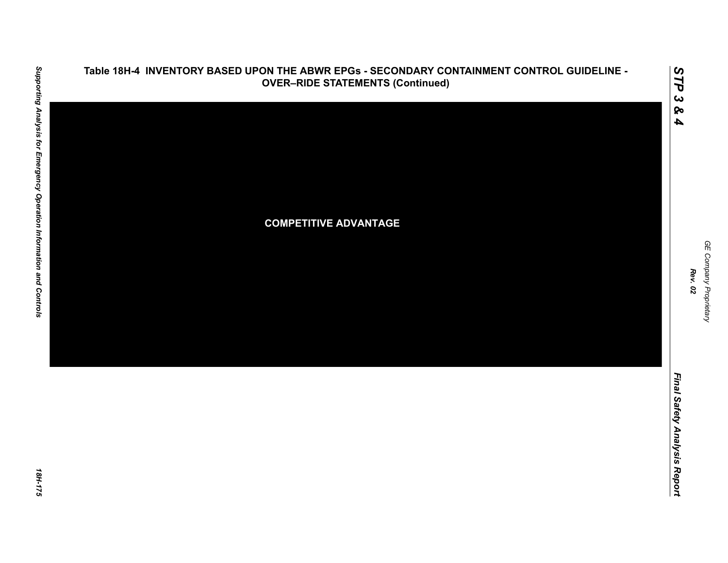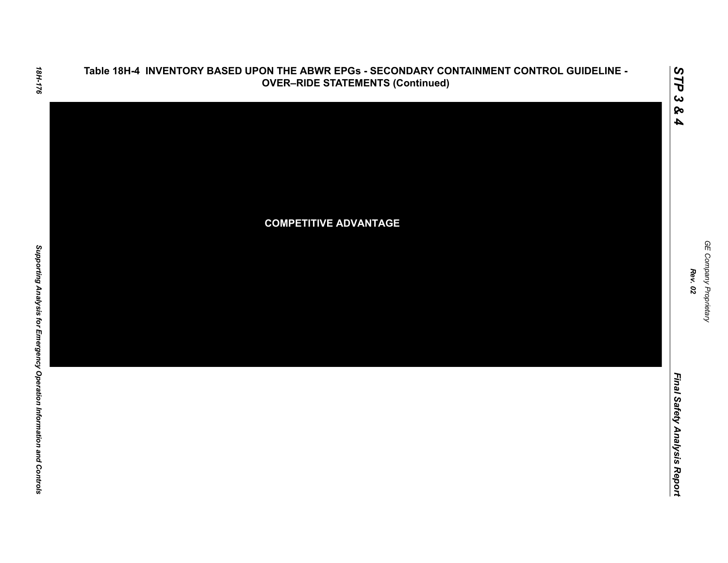

GE Company Proprietary *GE Company Proprietary Rev. 02*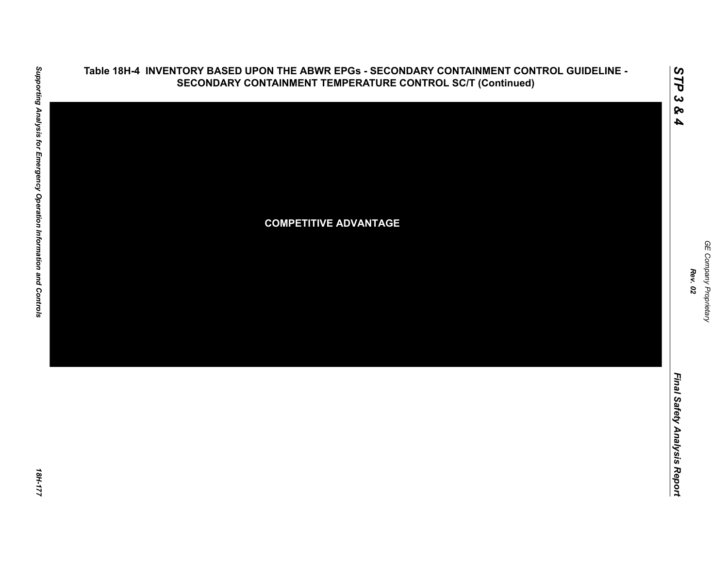

### **Table 18H-4 INVENTORY BASED UPON THE ABWR EPGs - SECONDARY CONTAINMENT CONTROL GUIDELINE - SECONDARY CONTAINMENT TEMPERATURE CONTROL SC/T (Continued)**

*GE Company Proprietary*

GE Company Proprietary

*Rev. 02*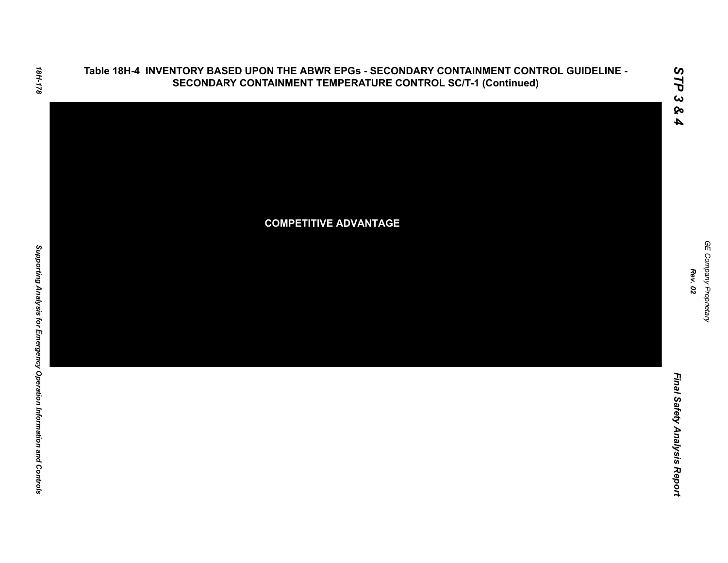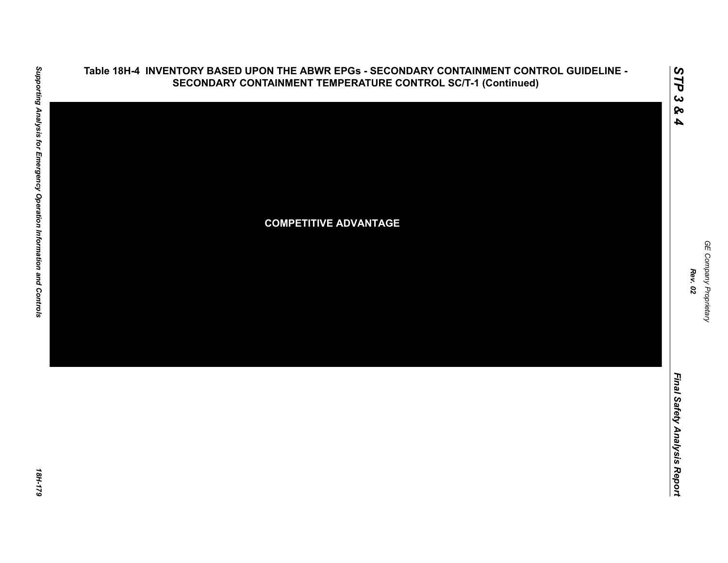

*GE Company Proprietary*

GE Company Proprietary

*Rev. 02*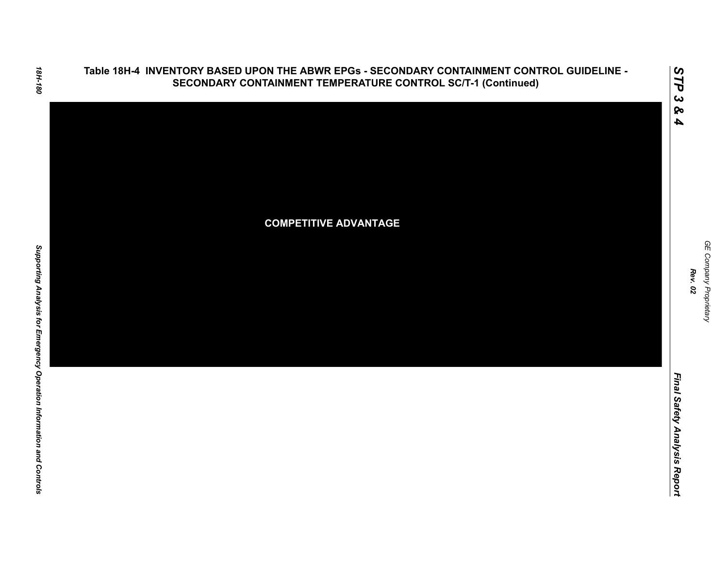

*Final Safety Analysis Report*

Final Safety Analysis Report

*GE Company Proprietary*

GE Company Proprietary

*Rev. 02*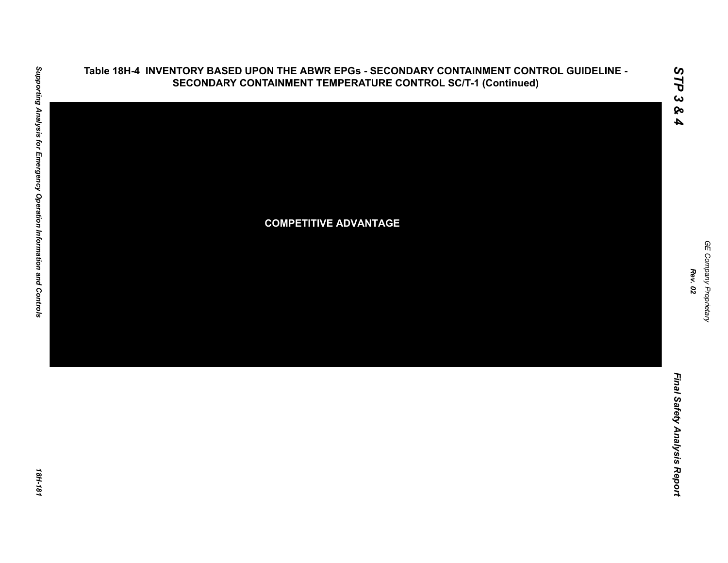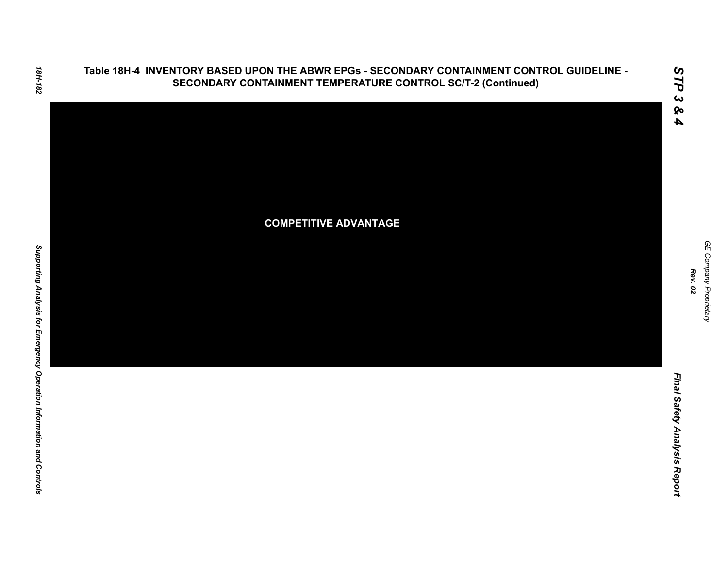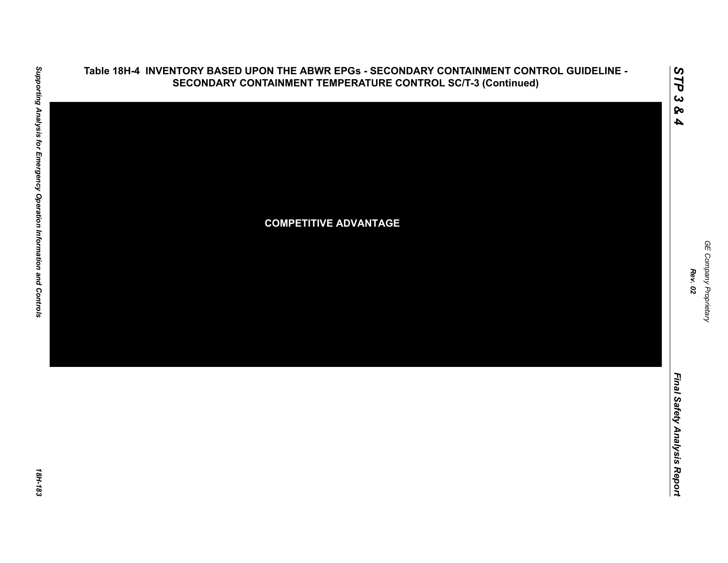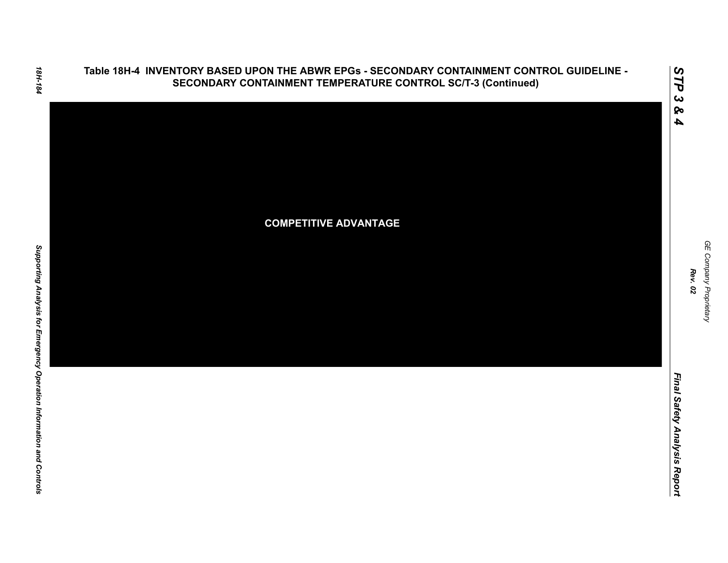

*STP 3 & 4*

*GE Company Proprietary*

GE Company Proprietary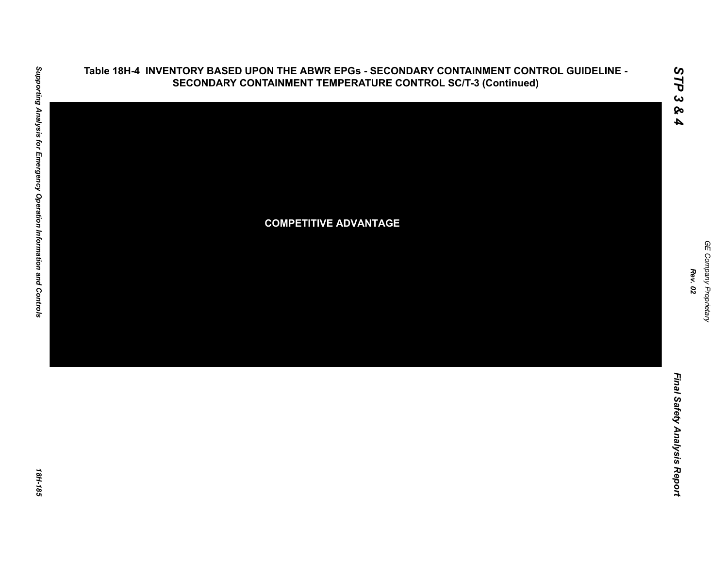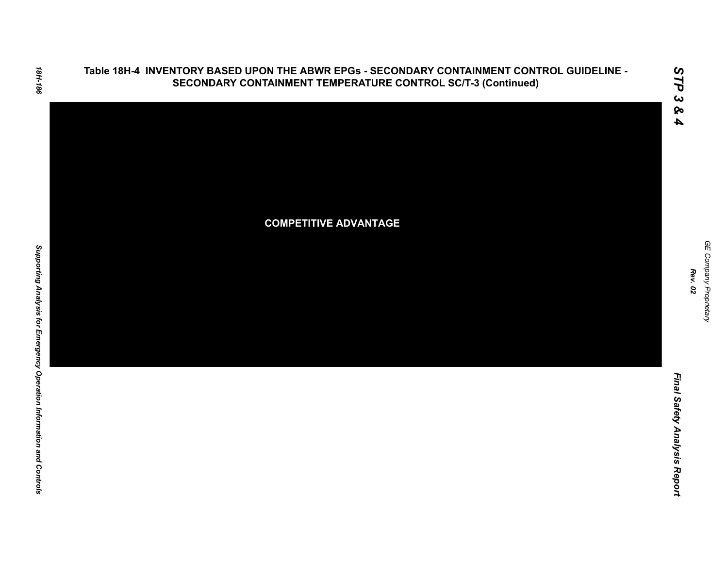

*GE Company Proprietary*

GE Company Proprietary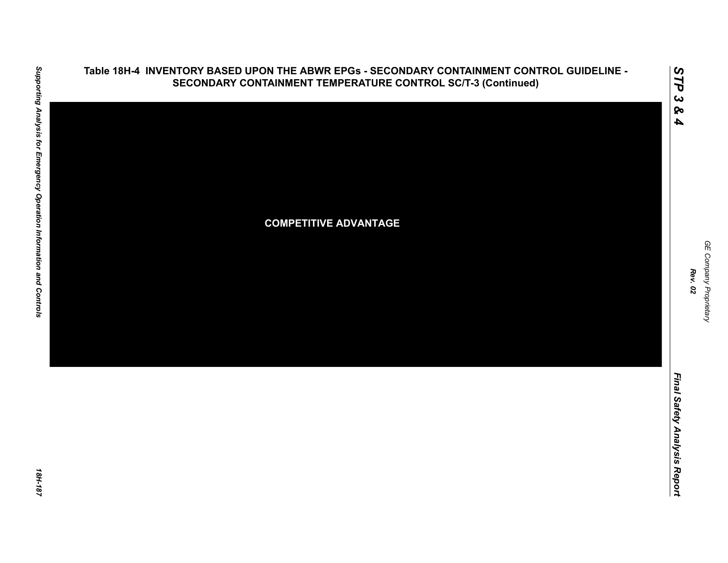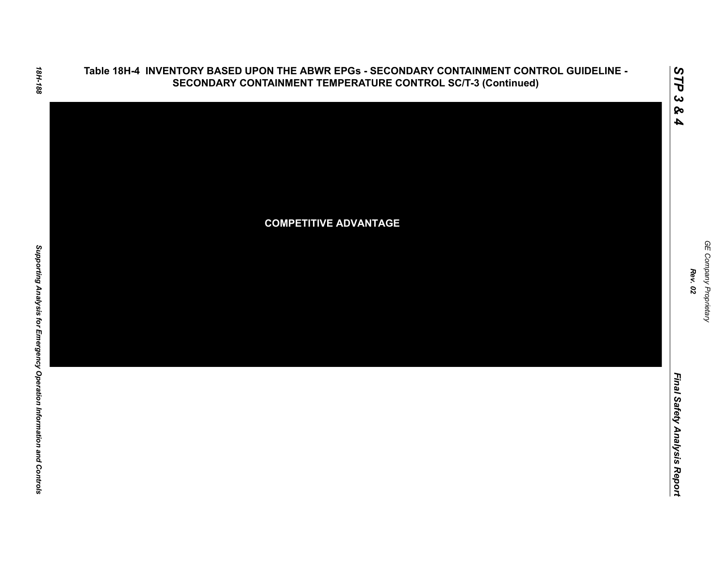

*GE Company Proprietary*

GE Company Proprietary

*Rev. 02*

*Final Safety Analysis Report*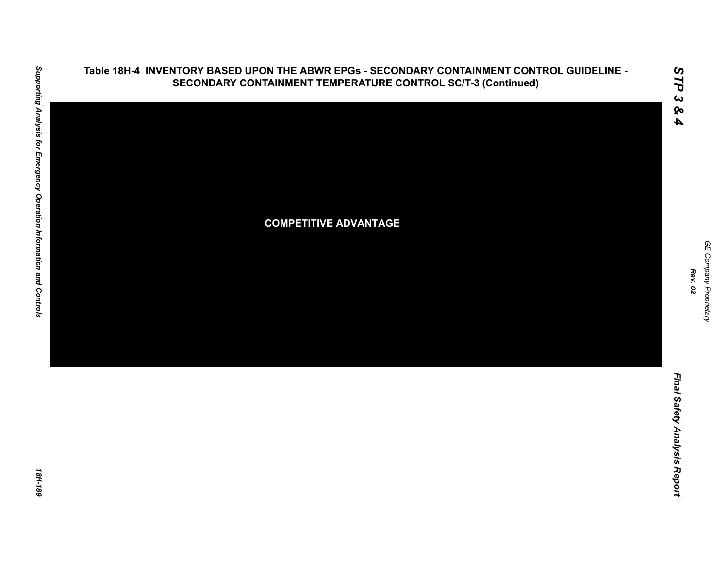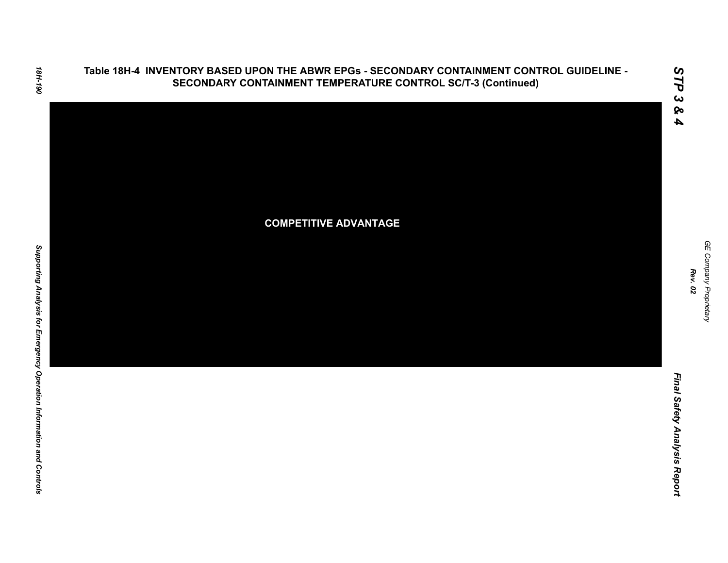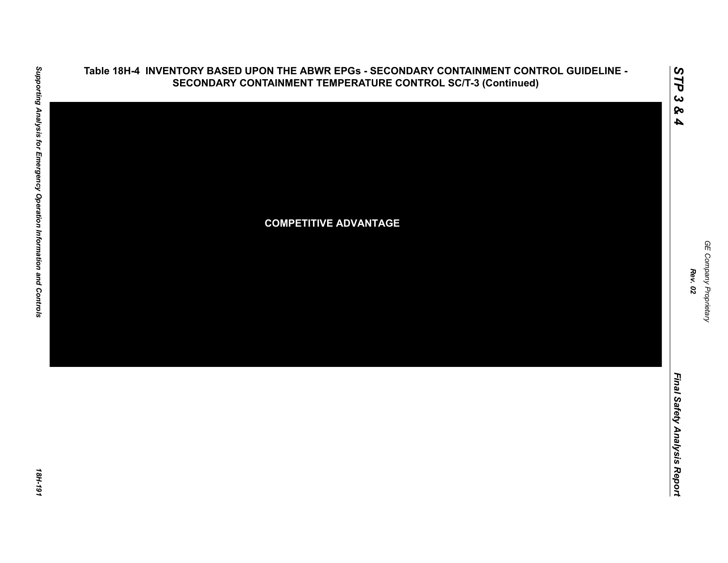

Final Safety Analysis Report *Final Safety Analysis Report*

*GE Company Proprietary*

GE Company Proprietary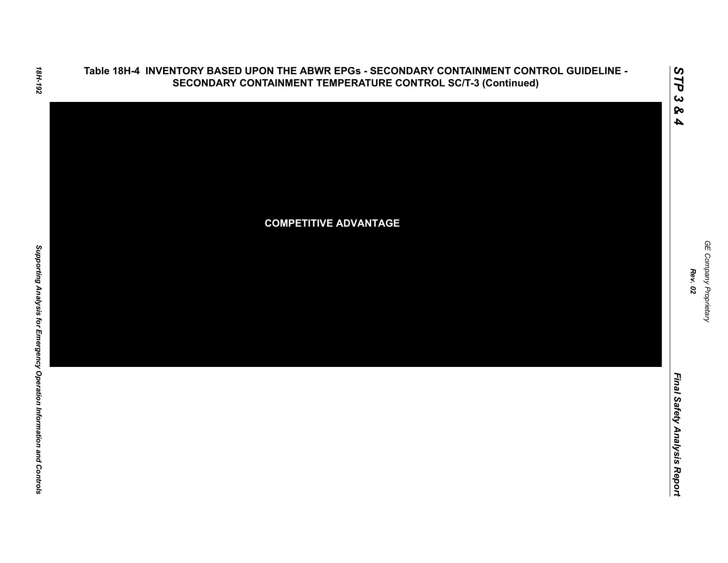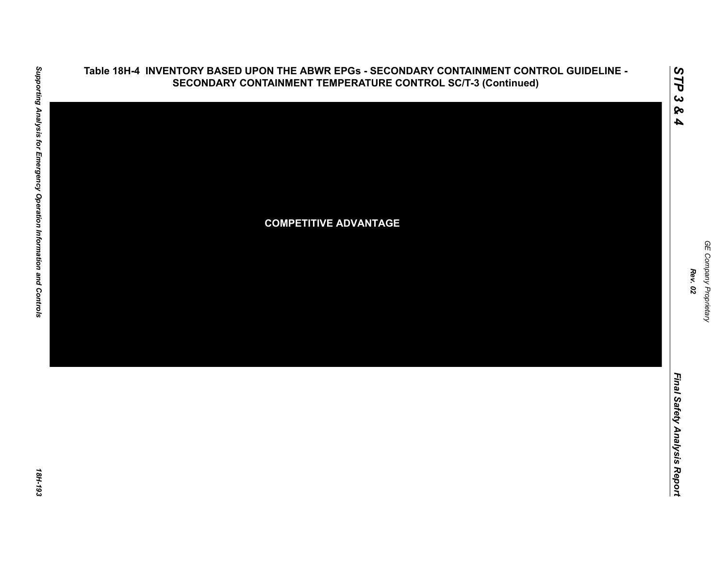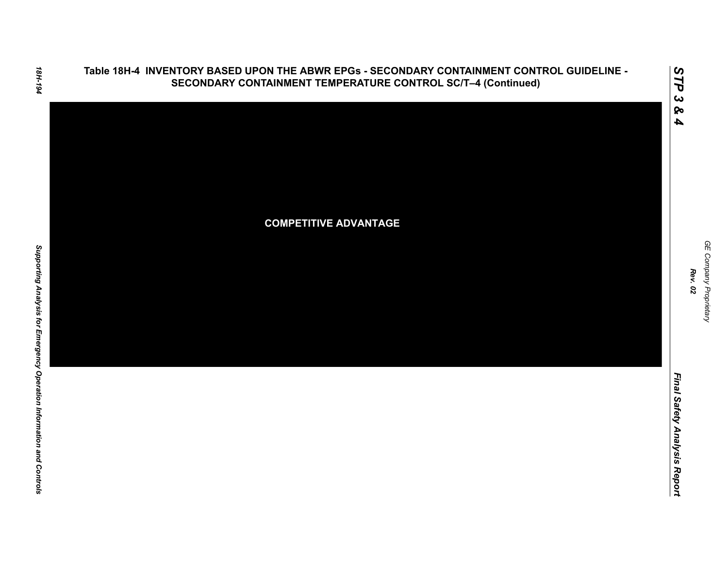### **Table 18H-4 INVENTORY BASED UPON THE ABWR EPGs - SECONDARY CONTAINMENT CONTROL GUIDELINE - SECONDARY CONTAINMENT TEMPERATURE CONTROL SC/T–4 (Continued)**



*Rev. 02*

*STP 3 & 4*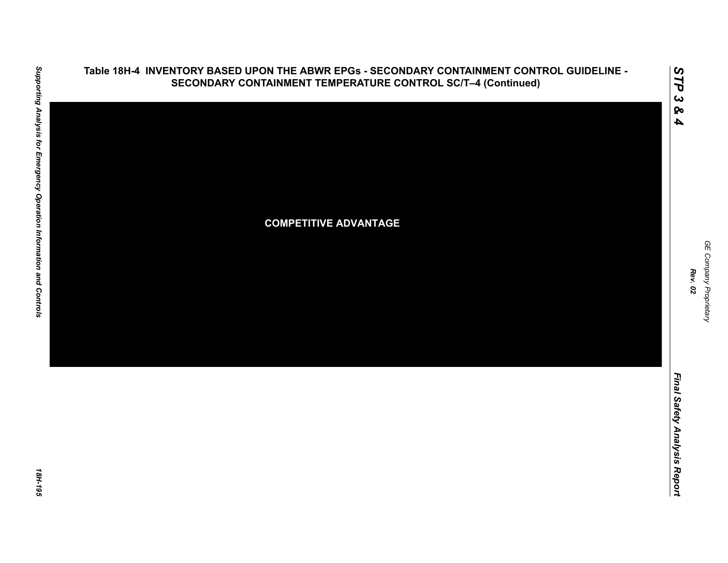

Final Safety Analysis Report *Final Safety Analysis Report*

*GE Company Proprietary*

GE Company Proprietary

*Rev. 02*

*STP 3 & 4*

**Table 18H-4 INVENTORY BASED UPON THE ABWR EPGs - SECONDARY CONTAINMENT CONTROL GUIDELINE - SECONDARY CONTAINMENT TEMPERATURE CONTROL SC/T–4 (Continued)**

18H-195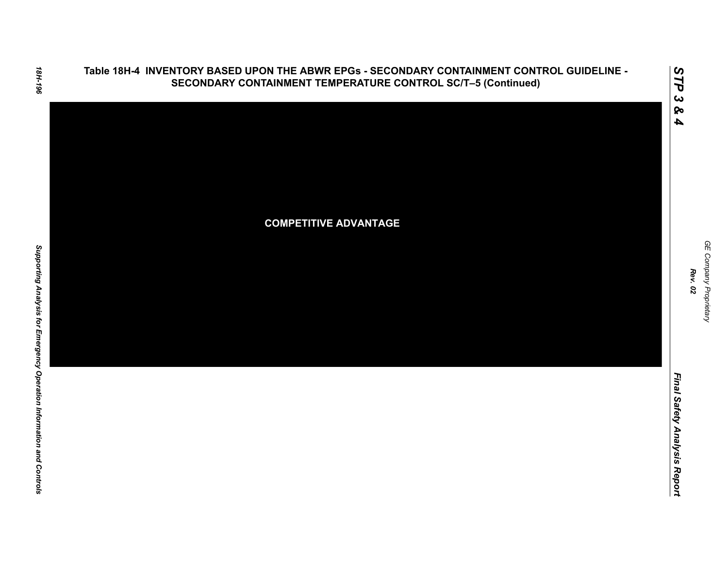### **Table 18H-4 INVENTORY BASED UPON THE ABWR EPGs - SECONDARY CONTAINMENT CONTROL GUIDELINE - SECONDARY CONTAINMENT TEMPERATURE CONTROL SC/T–5 (Continued)**



GE Company Proprietary *GE Company Proprietary Rev. 02*

*STP 3 & 4*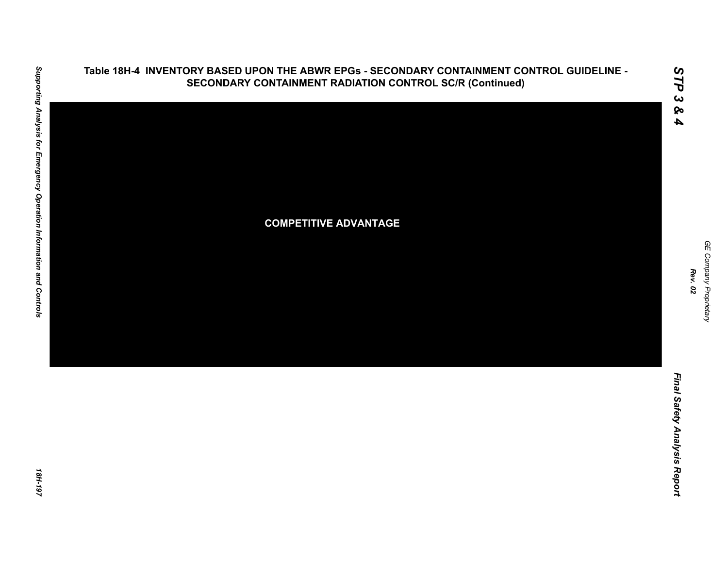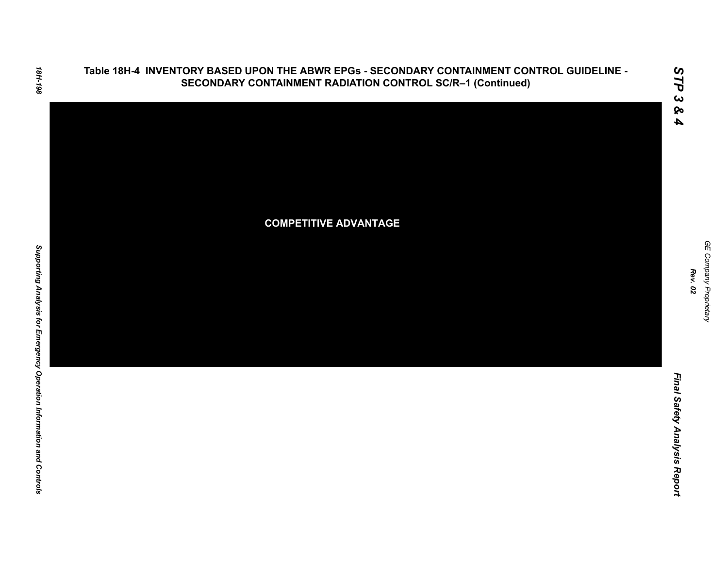

*GE Company Proprietary*

GE Company Proprietary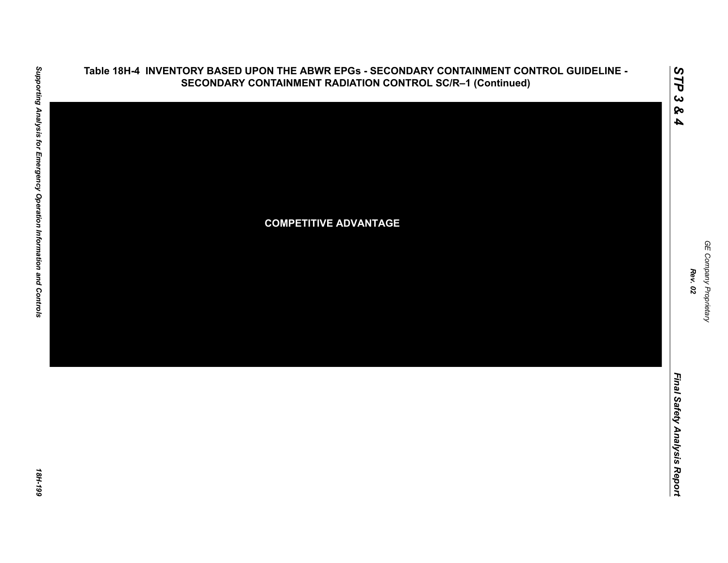

### **Table 18H-4 INVENTORY BASED UPON THE ABWR EPGs - SECONDARY CONTAINMENT CONTROL GUIDELINE - SECONDARY CONTAINMENT RADIATION CONTROL SC/R–1 (Continued)**

GE Company Proprietary *GE Company Proprietary Rev. 02*

*STP 3 & 4*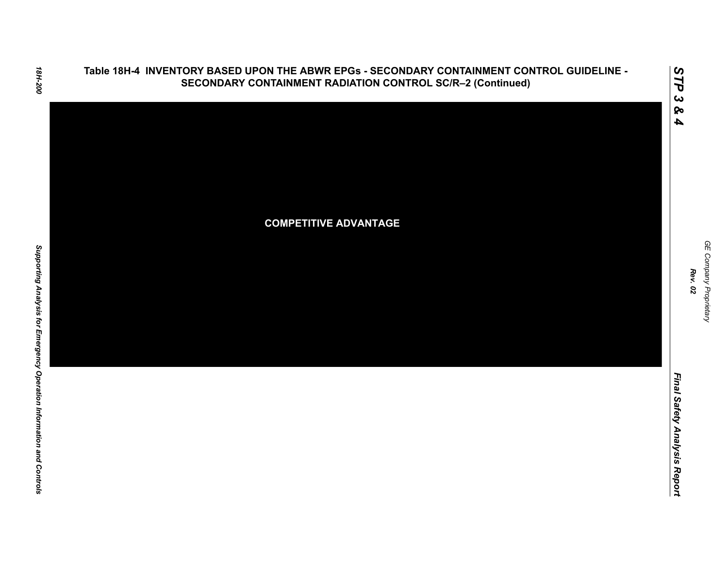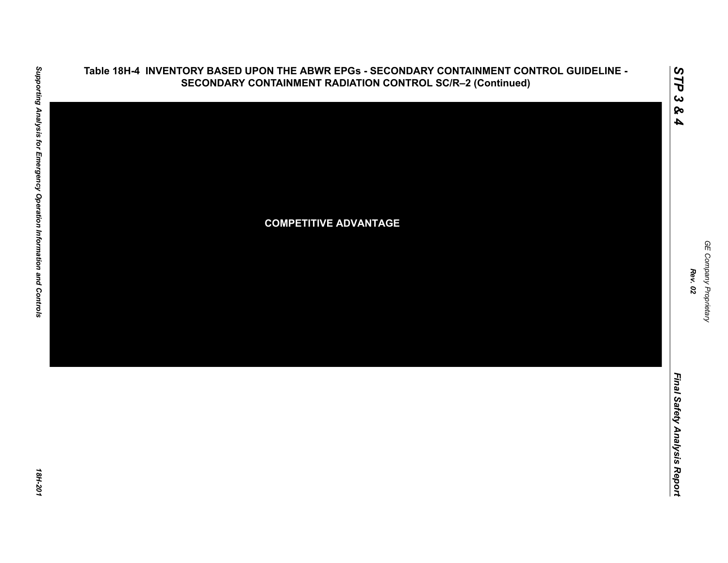

# Supporting Analysis for Emergency Operation Information and Controls *Supporting Analysis for Emergency Operation Information and Controls 18H-201*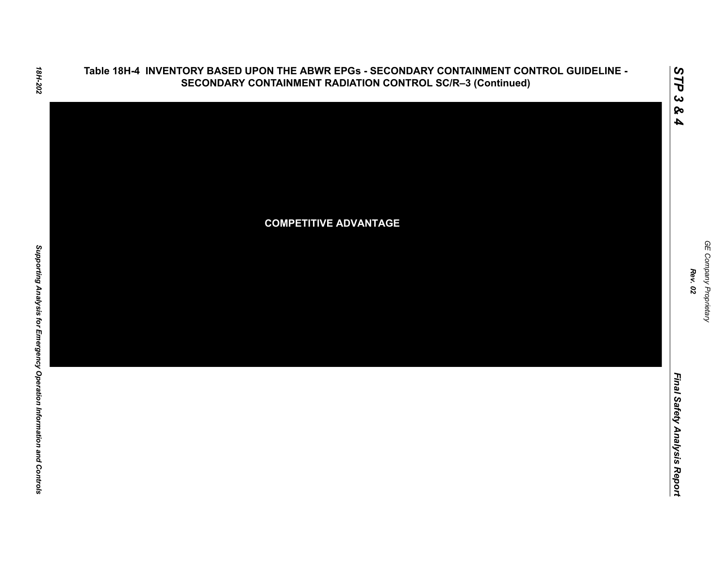

18H-202

Final Safety Analysis Report *Final Safety Analysis Report*

GE Company Proprietary *GE Company Proprietary Rev. 02*

*STP 3 & 4*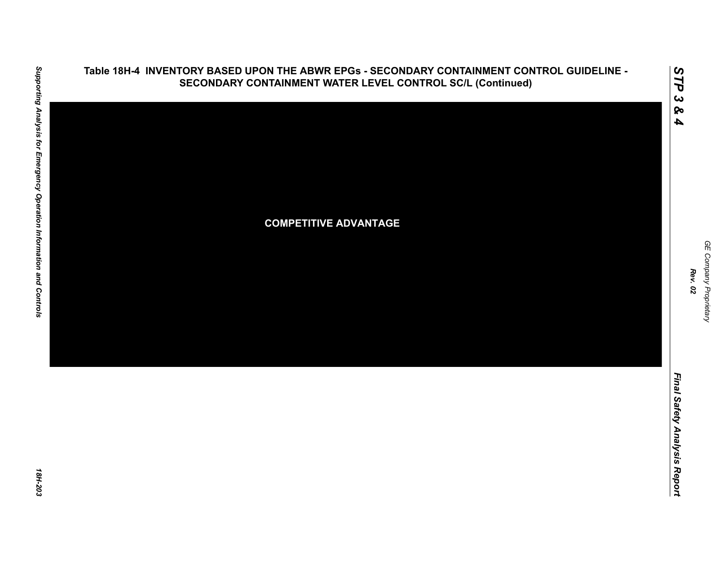

# Supporting Analysis for Emergency Operation Information and Controls *Supporting Analysis for Emergency Operation Information and Controls 18H-203*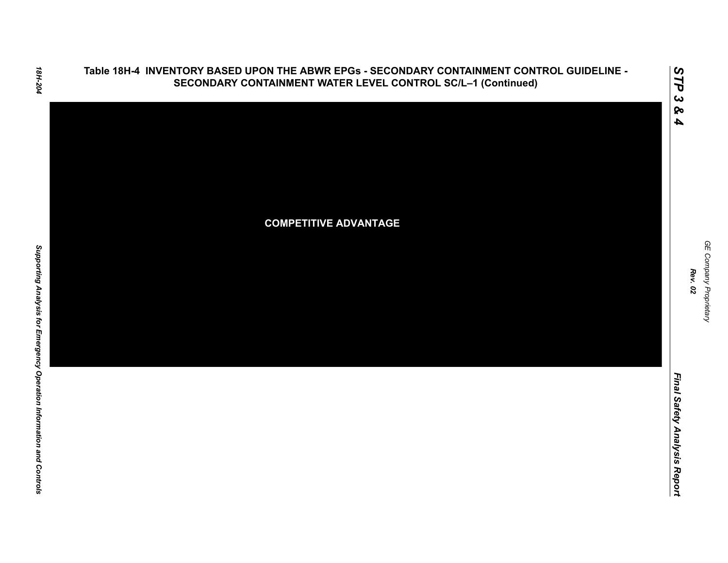

*Final Safety Analysis Report*

Final Safety Analysis Report

GE Company Proprietary *GE Company Proprietary Rev. 02*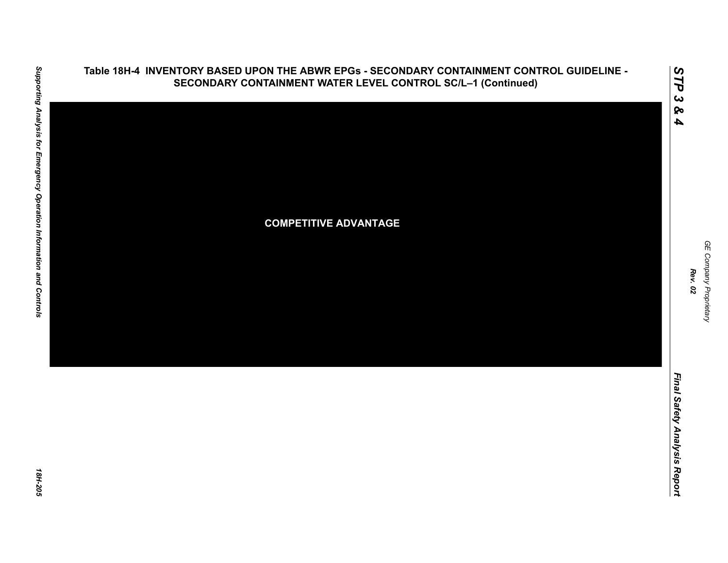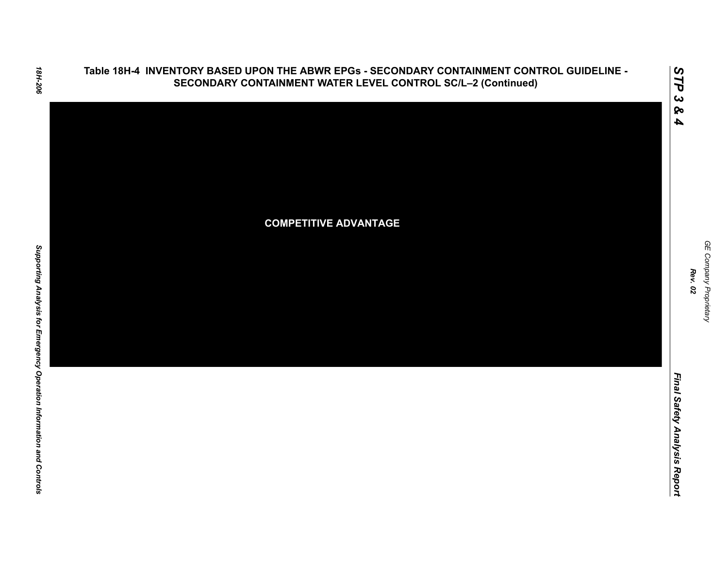



**COMPETITIVE ADVANTAGE**

*STP 3 & 4*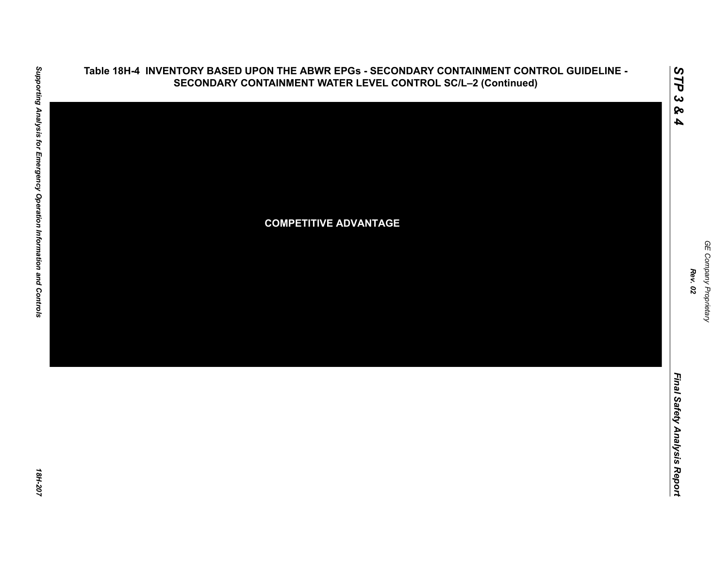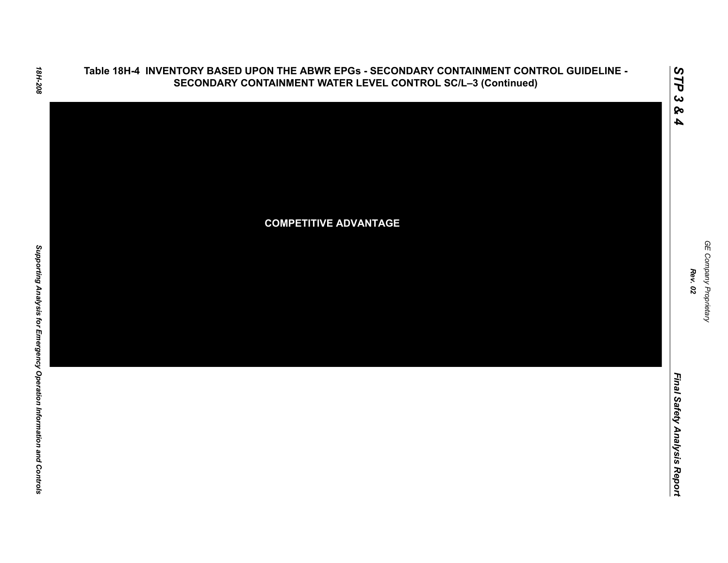





*GE Company Proprietary*

GE Company Proprietary

*Rev. 02*

*STP 3 & 4*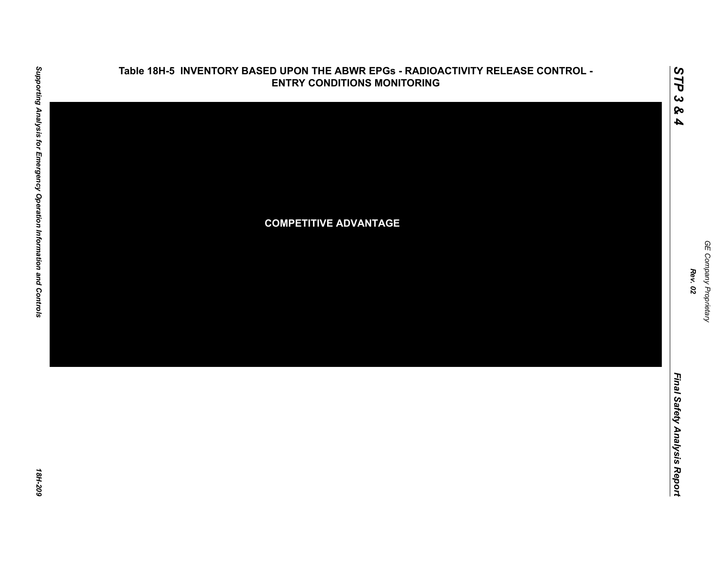

### **Table 18H-5 INVENTORY BASED UPON THE ABWR EPGs - RADIOACTIVITY RELEASE CONTROL - ENTRY CONDITIONS MONITORING**

GE Company Proprietary *GE Company Proprietary Rev. 02*

*STP 3 & 4*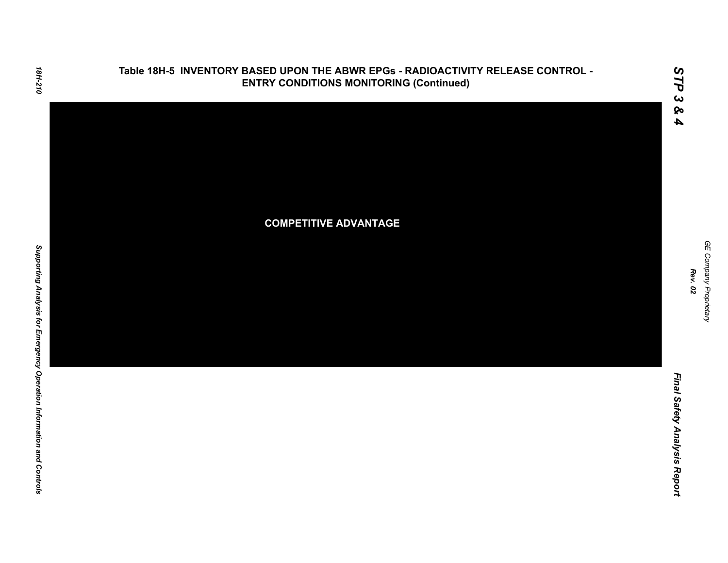

*STP 3 & 4*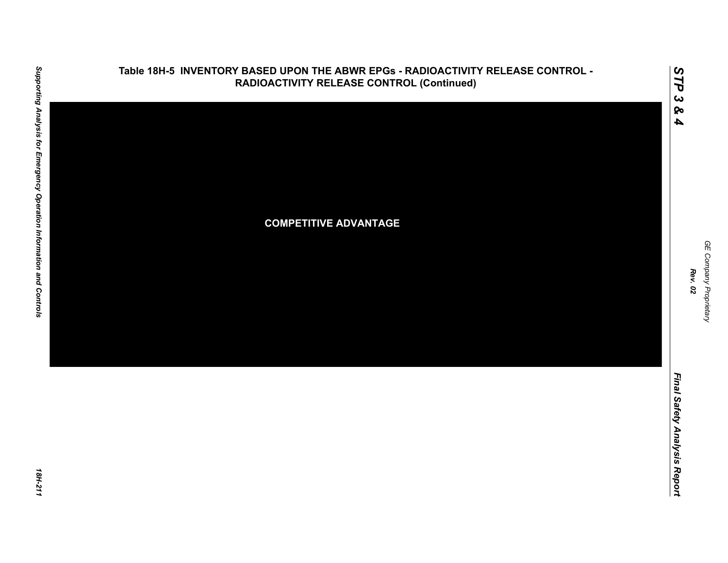

### **Table 18H-5 INVENTORY BASED UPON THE ABWR EPGs - RADIOACTIVITY RELEASE CONTROL - RADIOACTIVITY RELEASE CONTROL (Continued)**

GE Company Proprietary *GE Company Proprietary Rev. 02*

*STP 3 & 4*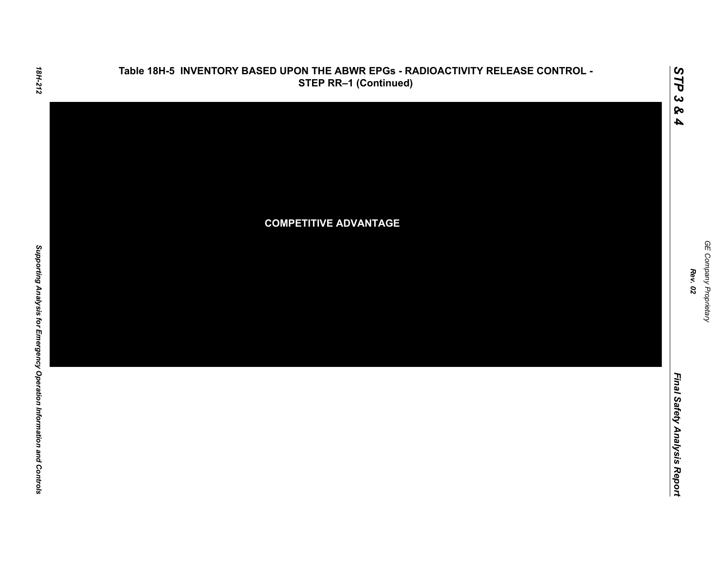

**Table 18H-5 INVENTORY BASED UPON THE ABWR EPGs - RADIOACTIVITY RELEASE CONTROL -** 

GE Company Proprietary *GE Company Proprietary Rev. 02*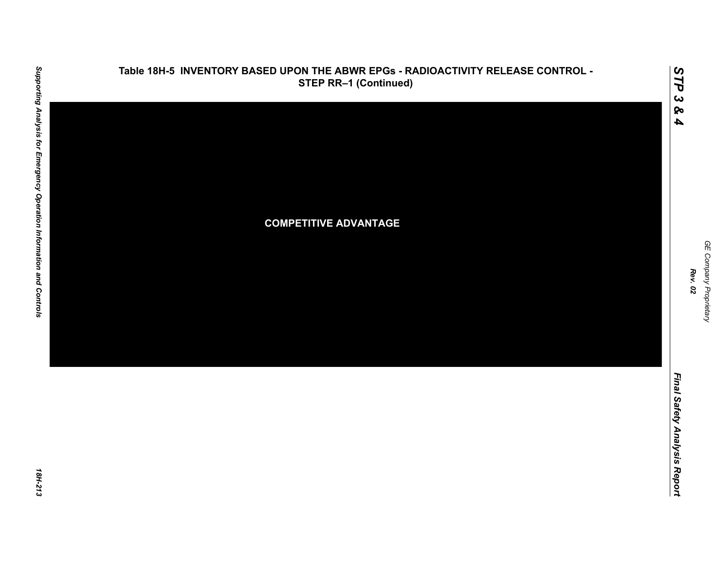

*GE Company Proprietary*

GE Company Proprietary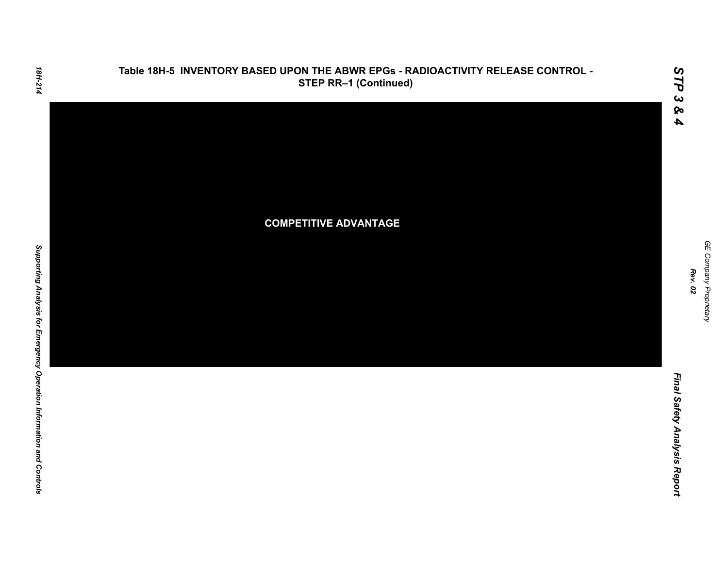

Final Safety Analysis Report *Final Safety Analysis Report*

*GE Company Proprietary*

GE Company Proprietary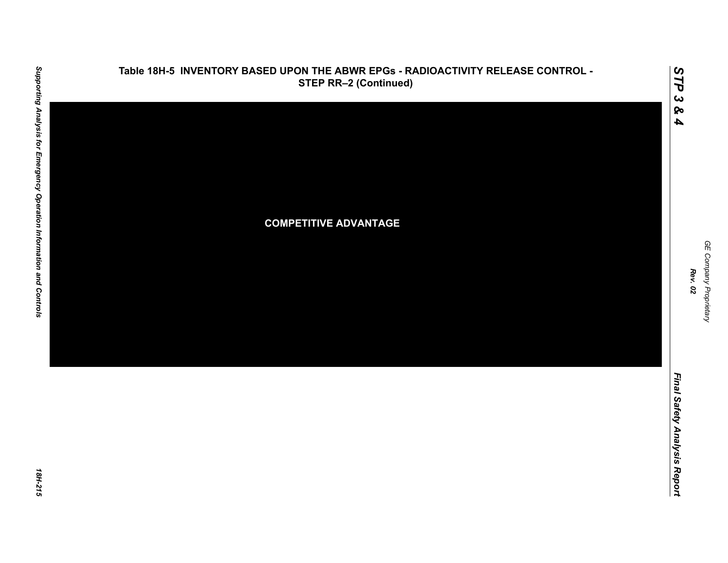

# Supporting Analysis for Emergency Operation Information and Controls *Supporting Analysis for Emergency Operation Information and Controls 18H-215*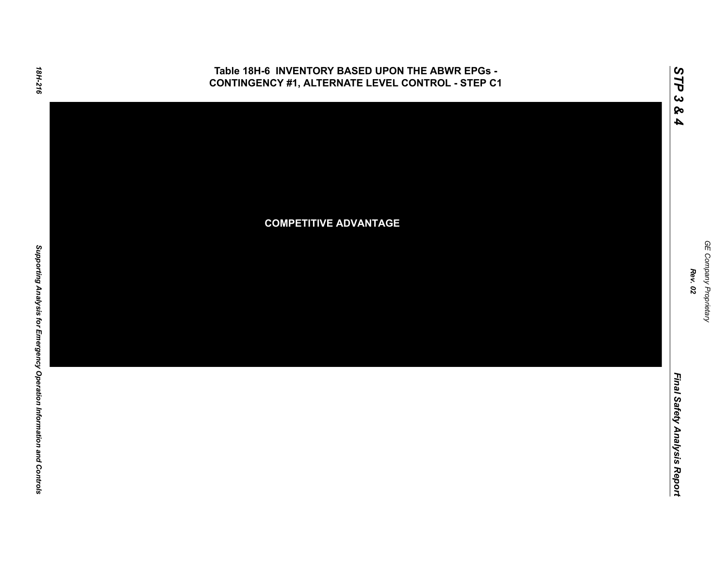### **Table 18H-6 INVENTORY BASED UPON THE ABWR EPGs - CONTINGENCY #1, ALTERNATE LEVEL CONTROL - STEP C1**



GE Company Proprietary *GE Company Proprietary Rev. 02*

*Final Safety Analysis Report*

Final Safety Analysis Report

*STP 3 & 4*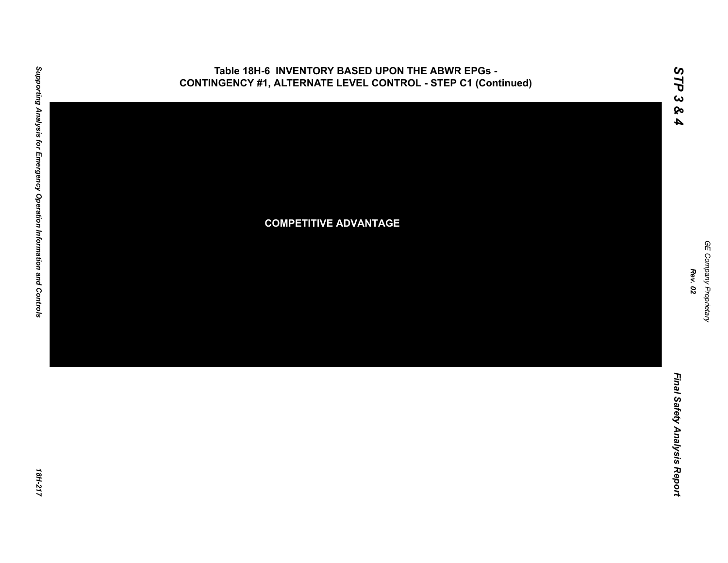

GE Company Proprietary *GE Company Proprietary Rev. 02*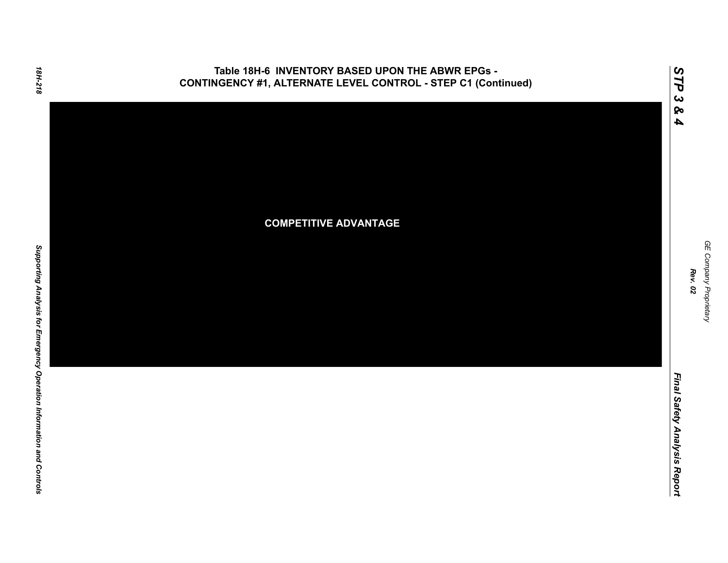### **Table 18H-6 INVENTORY BASED UPON THE ABWR EPGs - CONTINGENCY #1, ALTERNATE LEVEL CONTROL - STEP C1 (Continued)**



GE Company Proprietary *GE Company Proprietary Rev. 02*

*STP 3 & 4*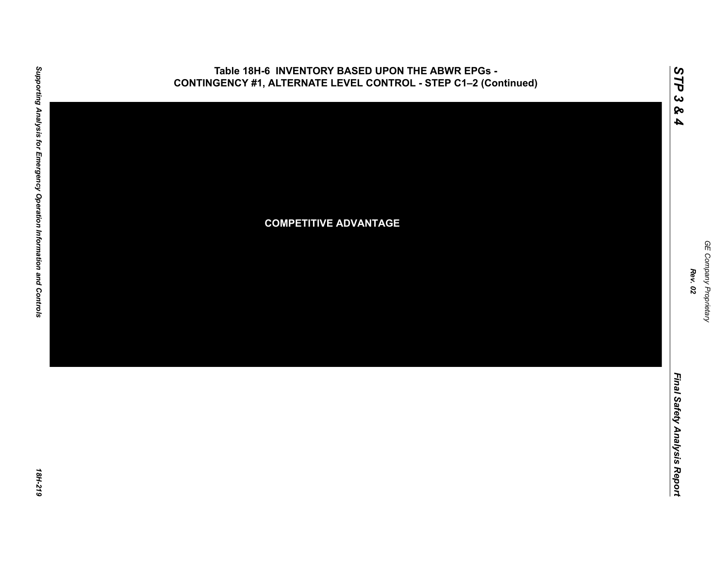

18H-219

GE Company Proprietary *GE Company Proprietary Rev. 02*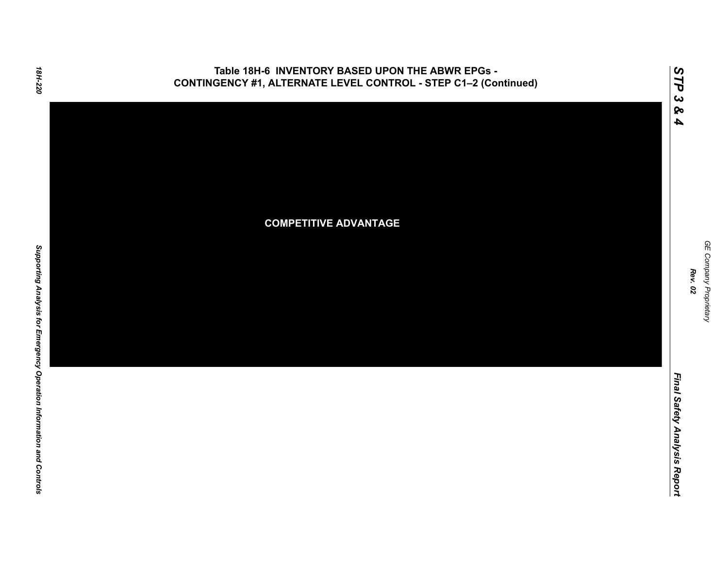### **Table 18H-6 INVENTORY BASED UPON THE ABWR EPGs - CONTINGENCY #1, ALTERNATE LEVEL CONTROL - STEP C1–2 (Continued)**



*GE Company Proprietary*

GE Company Proprietary

*Rev. 02*

*Final Safety Analysis Report*

Final Safety Analysis Report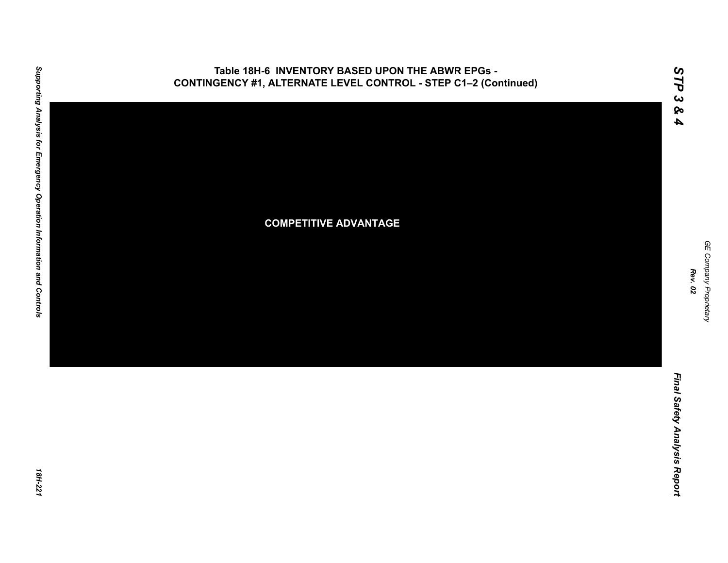

18H-221

GE Company Proprietary *GE Company Proprietary Rev. 02*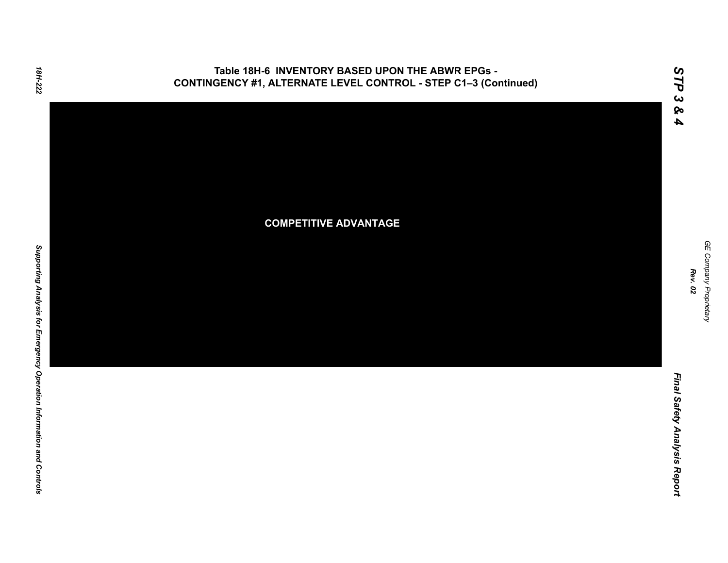### **Table 18H-6 INVENTORY BASED UPON THE ABWR EPGs - CONTINGENCY #1, ALTERNATE LEVEL CONTROL - STEP C1–3 (Continued)**



*GE Company Proprietary*

*Rev. 02*

*Final Safety Analysis Report*

Final Safety Analysis Report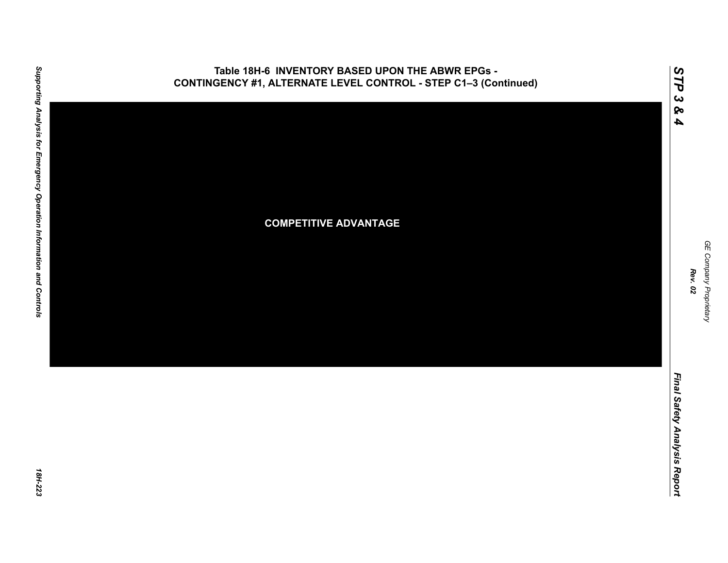

18H-223

GE Company Proprietary *GE Company Proprietary Rev. 02*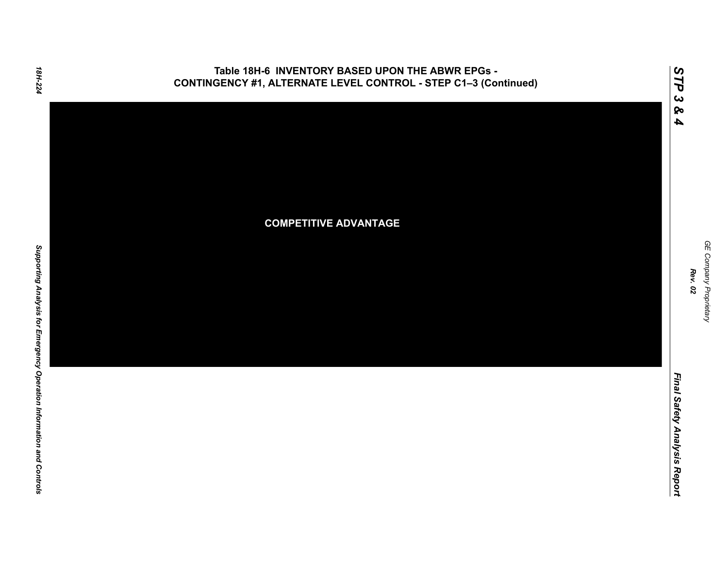### **Table 18H-6 INVENTORY BASED UPON THE ABWR EPGs - CONTINGENCY #1, ALTERNATE LEVEL CONTROL - STEP C1–3 (Continued)**



Final Safety Analysis Report *Final Safety Analysis Report*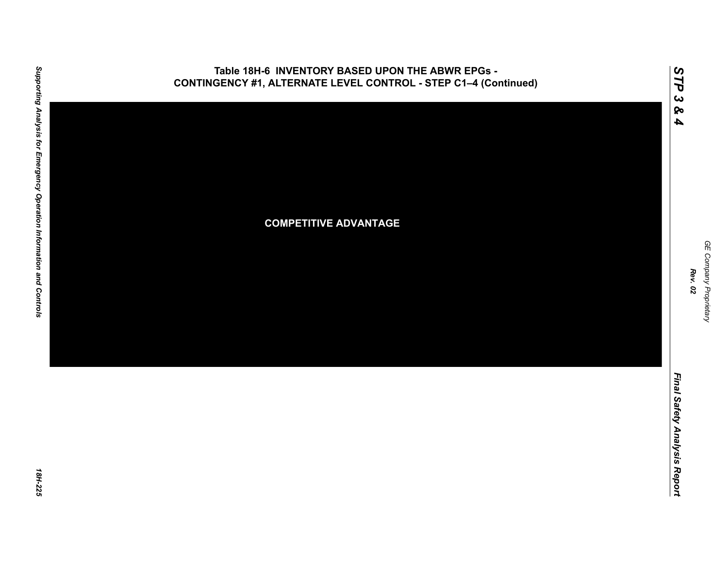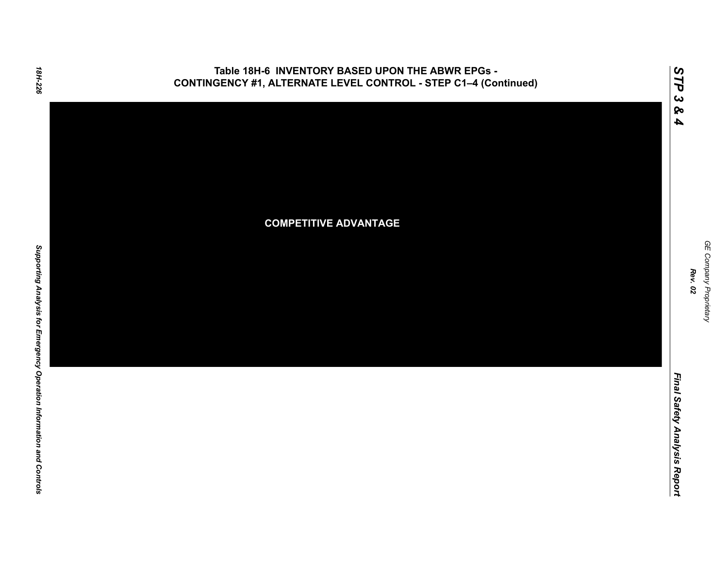### **Table 18H-6 INVENTORY BASED UPON THE ABWR EPGs - CONTINGENCY #1, ALTERNATE LEVEL CONTROL - STEP C1–4 (Continued)**



Supporting Analysis for Emergency Operation Information and Controls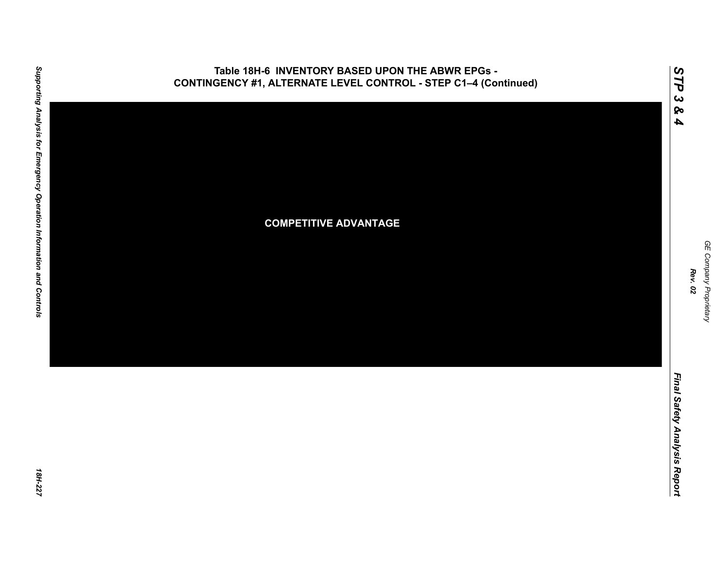

## **Table 18H-6 INVENTORY BASED UPON THE ABWR EPGs -**

GE Company Proprietary *GE Company Proprietary Rev. 02*

*STP 3 & 4*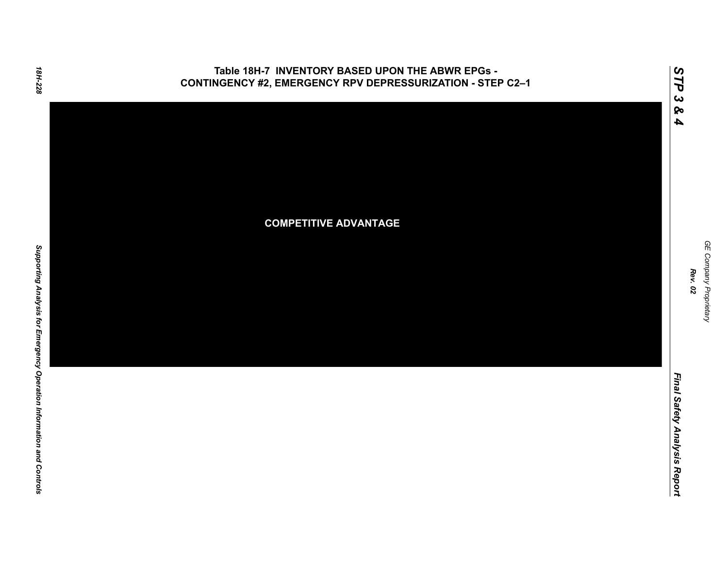### **Table 18H-7 INVENTORY BASED UPON THE ABWR EPGs - CONTINGENCY #2, EMERGENCY RPV DEPRESSURIZATION - STEP C2–1**



GE Company Proprietary *GE Company Proprietary Rev. 02*

*Final Safety Analysis Report*

Final Safety Analysis Report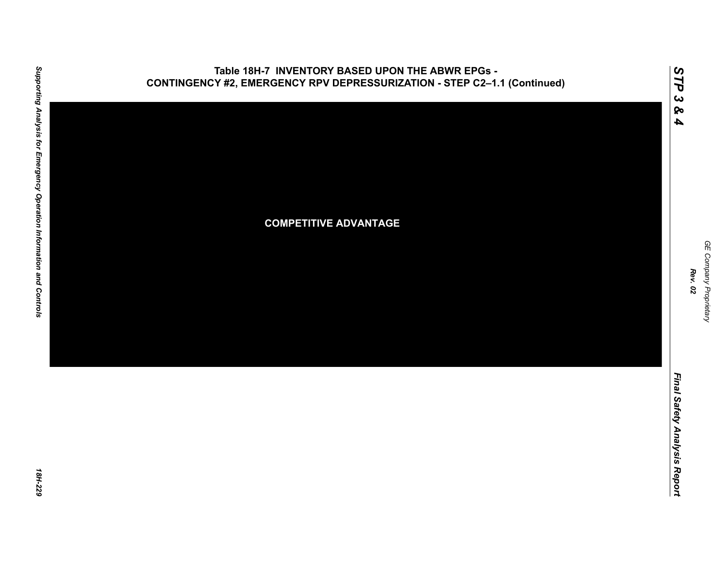

# Supporting Analysis for Emergency Operation Information and Controls *Supporting Analysis for Emergency Operation Information and Controls 18H-229*

18H-229

GE Company Proprietary *GE Company Proprietary Rev. 02*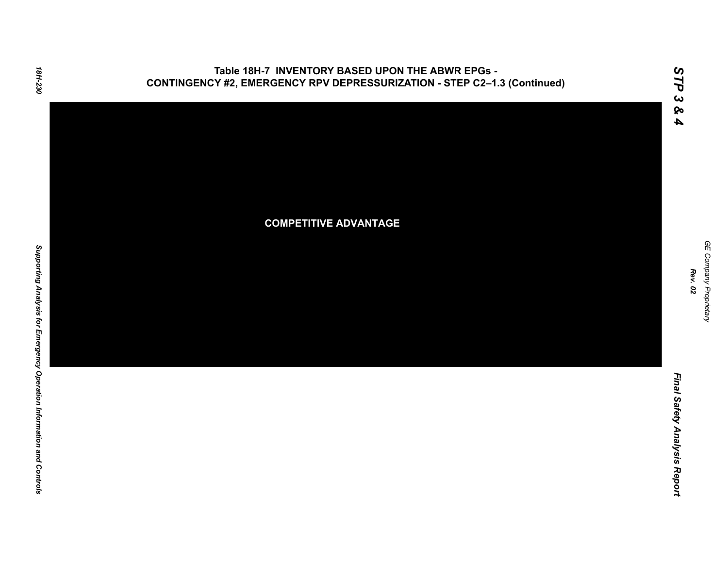

*GE Company Proprietary*

GE Company Proprietary

*Rev. 02*

*Final Safety Analysis Report*

Final Safety Analysis Report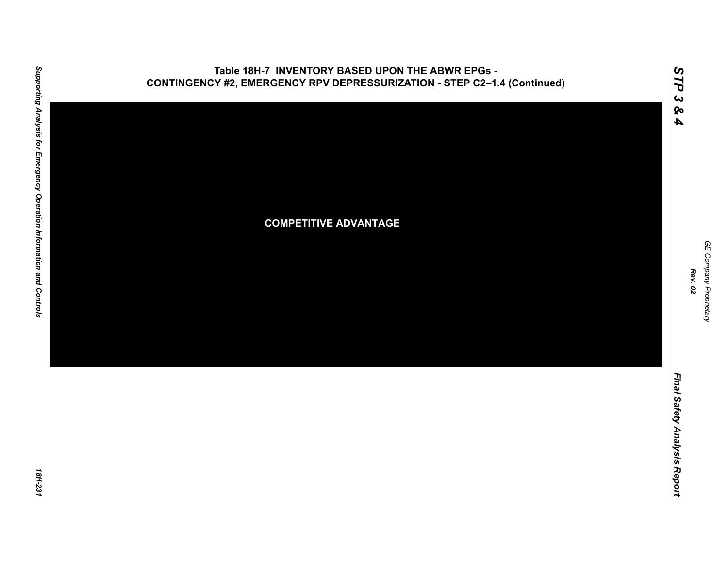

# Supporting Analysis for Emergency Operation Information and Controls *Supporting Analysis for Emergency Operation Information and Controls 18H-231*

18H-231

GE Company Proprietary *GE Company Proprietary Rev. 02*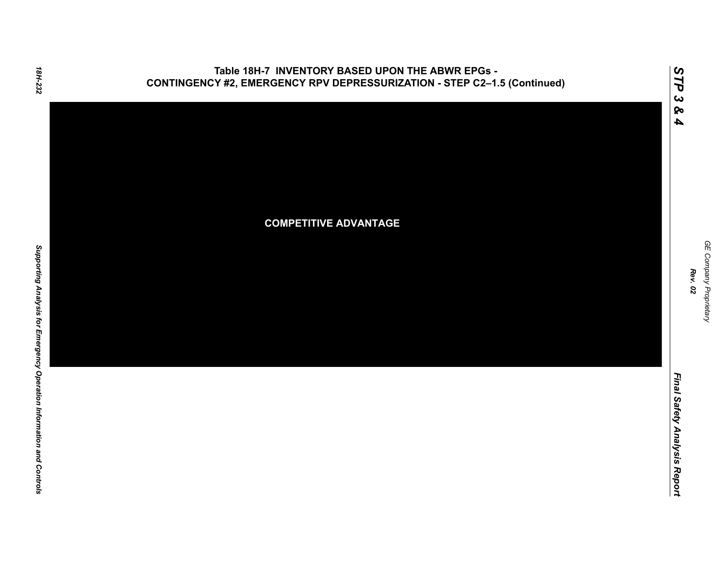

GE Company Proprietary *GE Company Proprietary Rev. 02*

*Final Safety Analysis Report*

Final Safety Analysis Report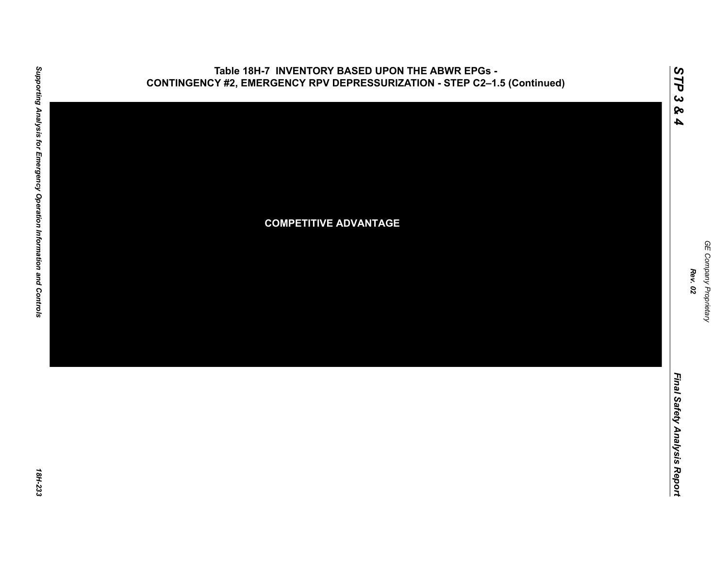

# Supporting Analysis for Emergency Operation Information and Controls *Supporting Analysis for Emergency Operation Information and Controls 18H-233*

18H-233

GE Company Proprietary *GE Company Proprietary Rev. 02*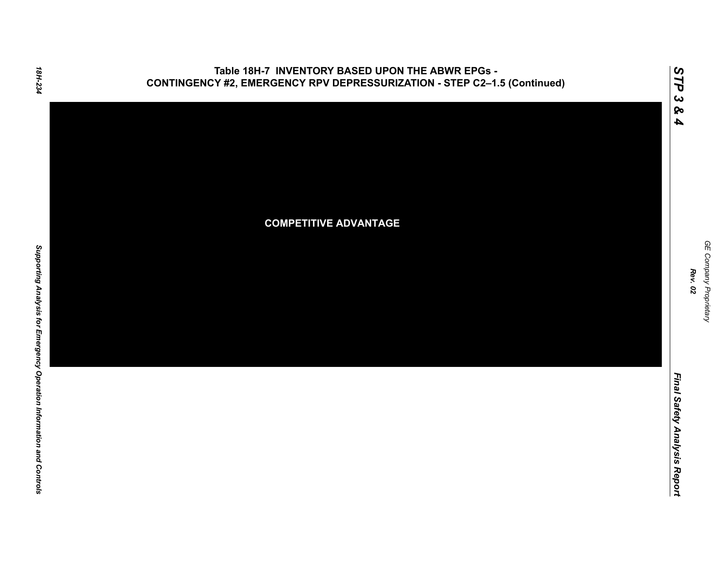

Final Safety Analysis Report *Final Safety Analysis Report*

*GE Company Proprietary*

GE Company Proprietary

*Rev. 02*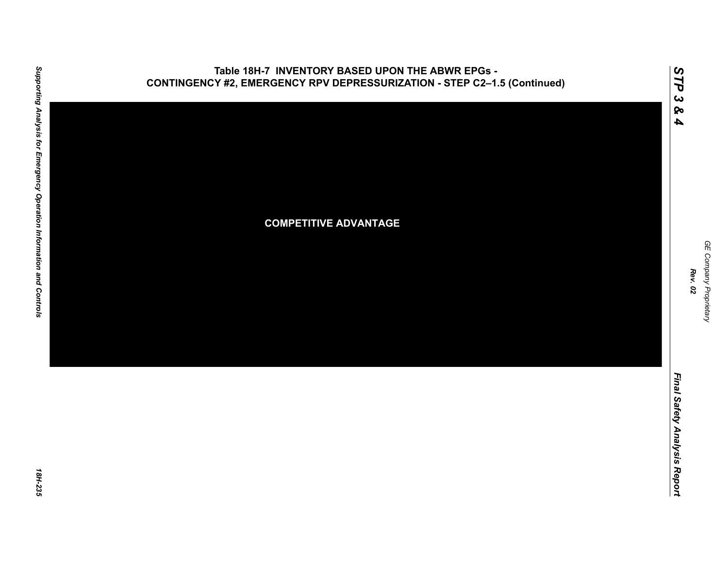

### **Table 18H-7 INVENTORY BASED UPON THE ABWR EPGs - CONTINGENCY #2, EMERGENCY RPV DEPRESSURIZATION - STEP C2–1.5 (Continued)**

GE Company Proprietary *GE Company Proprietary Rev. 02*

*STP 3 & 4*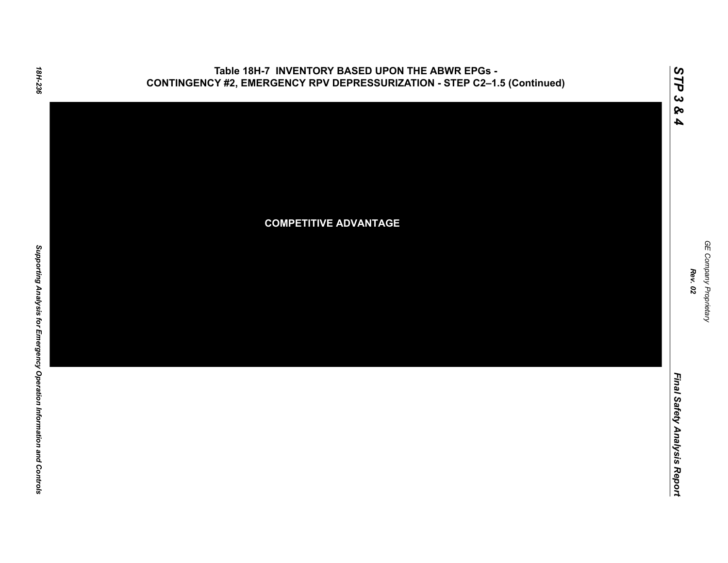



**COMPETITIVE ADVANTAGE**

*GE Company Proprietary*

GE Company Proprietary

*Rev. 02*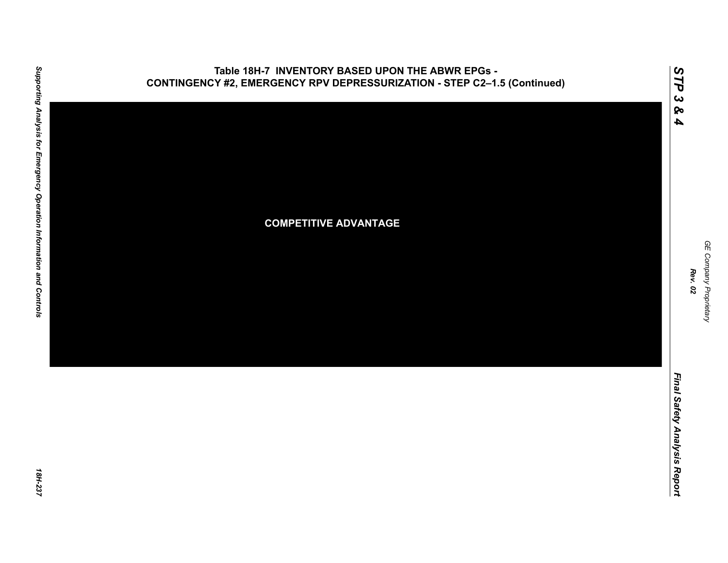

### **Table 18H-7 INVENTORY BASED UPON THE ABWR EPGs - CONTINGENCY #2, EMERGENCY RPV DEPRESSURIZATION - STEP C2–1.5 (Continued)**

GE Company Proprietary *GE Company Proprietary Rev. 02*

*STP 3 & 4*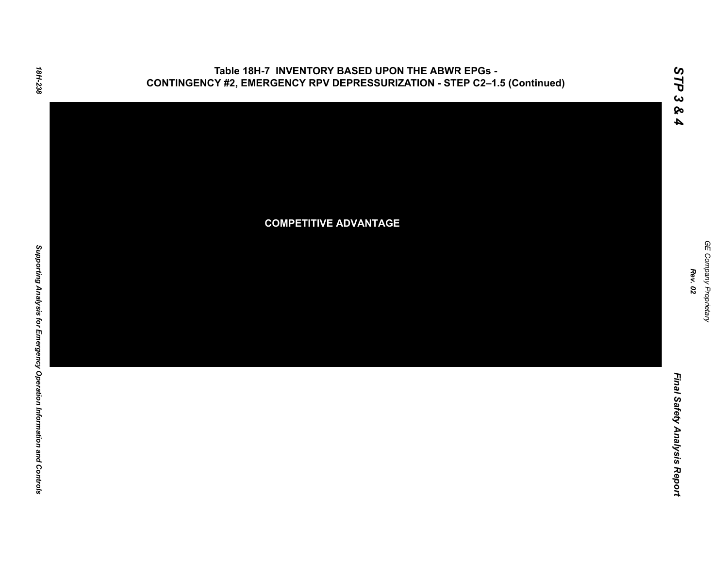

### **COMPETITIVE ADVANTAGE**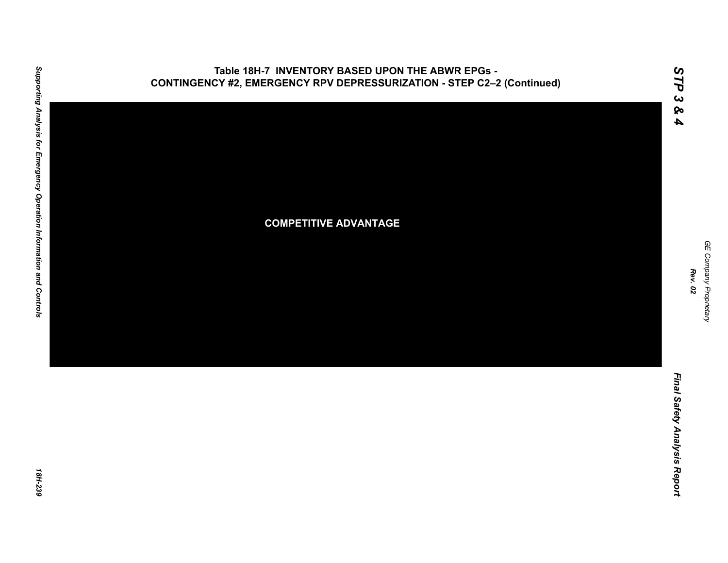

### **Table 18H-7 INVENTORY BASED UPON THE ABWR EPGs - CONTINGENCY #2, EMERGENCY RPV DEPRESSURIZATION - STEP C2–2 (Continued)**

GE Company Proprietary *GE Company Proprietary Rev. 02*

*STP 3 & 4*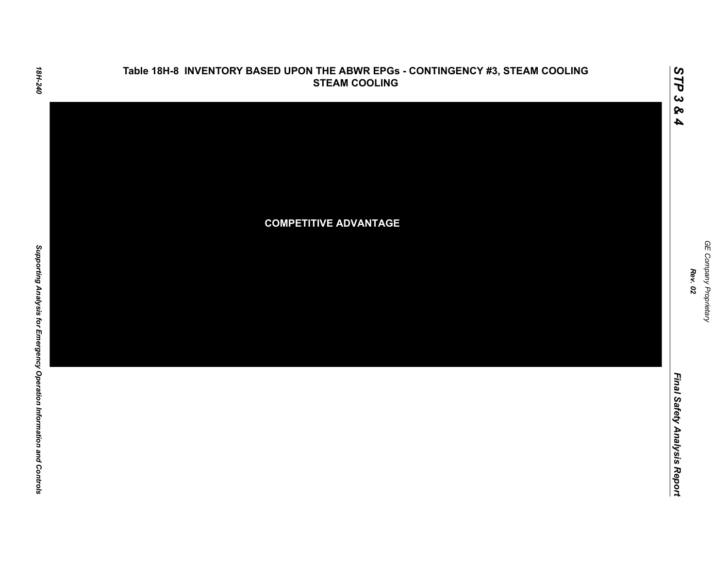

GE Company Proprietary *GE Company Proprietary Rev. 02*

*STP 3 & 4*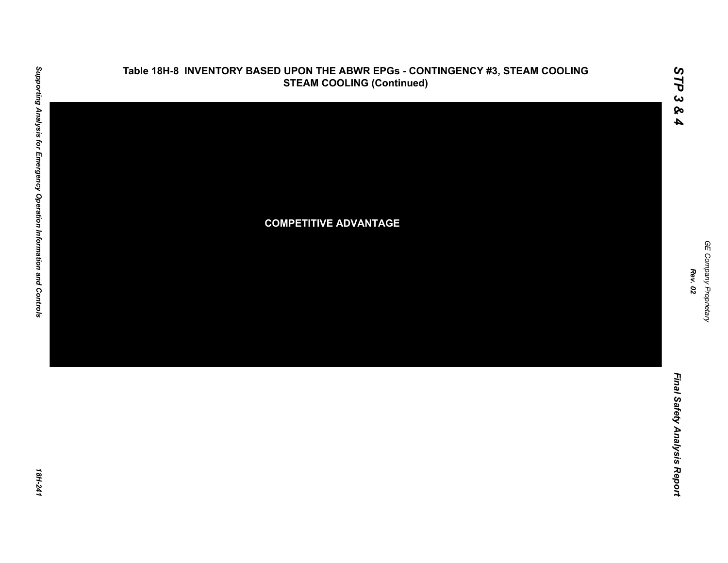

*GE Company Proprietary*

GE Company Proprietary

*Rev. 02*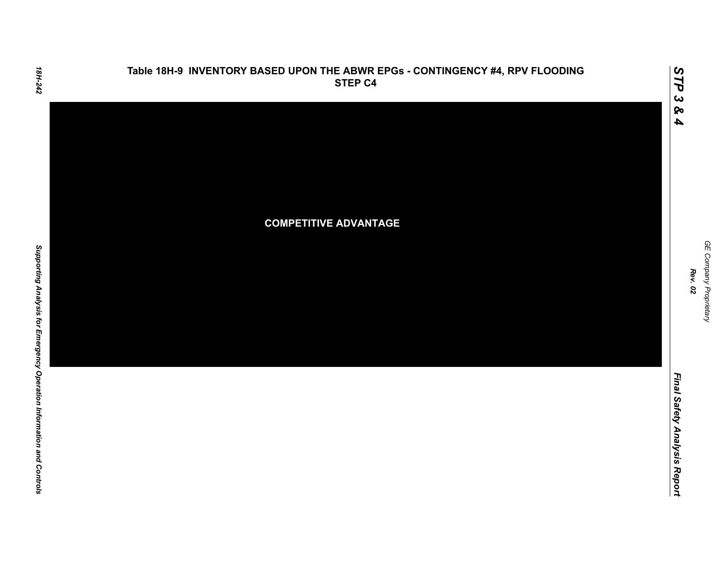

## **Table 18H-9 INVENTORY BASED UPON THE ABWR EPGs - CONTINGENCY #4, RPV FLOODING**

GE Company Proprietary *GE Company Proprietary Rev. 02*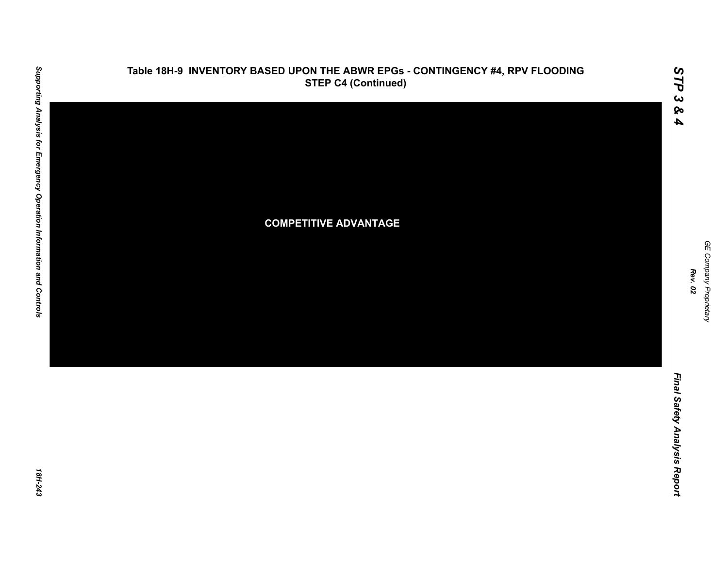

## **Table 18H-9 INVENTORY BASED UPON THE ABWR EPGs - CONTINGENCY #4, RPV FLOODING**

GE Company Proprietary *GE Company Proprietary Rev. 02*

*STP 3 & 4*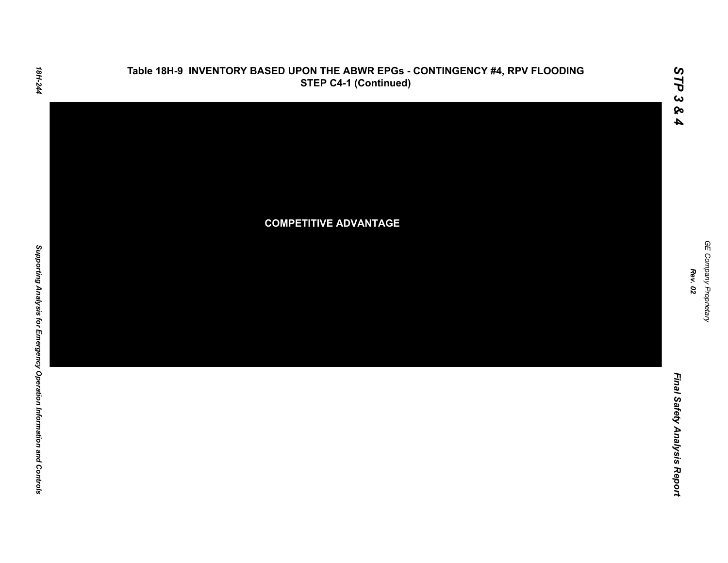

18H-244

Final Safety Analysis Report *Final Safety Analysis Report*

GE Company Proprietary *GE Company Proprietary Rev. 02*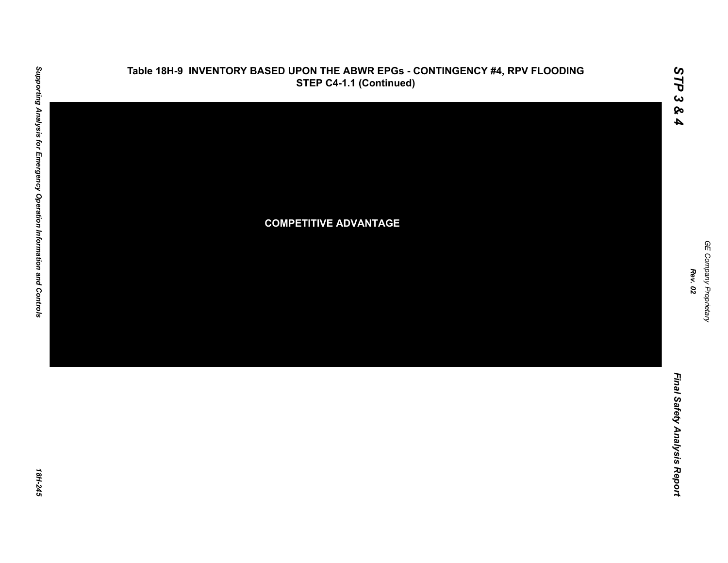

**Table 18H-9 INVENTORY BASED UPON THE ABWR EPGs - CONTINGENCY #4, RPV FLOODING**

*Final Safety Analysis Report*

Final Safety Analysis Report

*GE Company Proprietary*

GE Company Proprietary

*Rev. 02*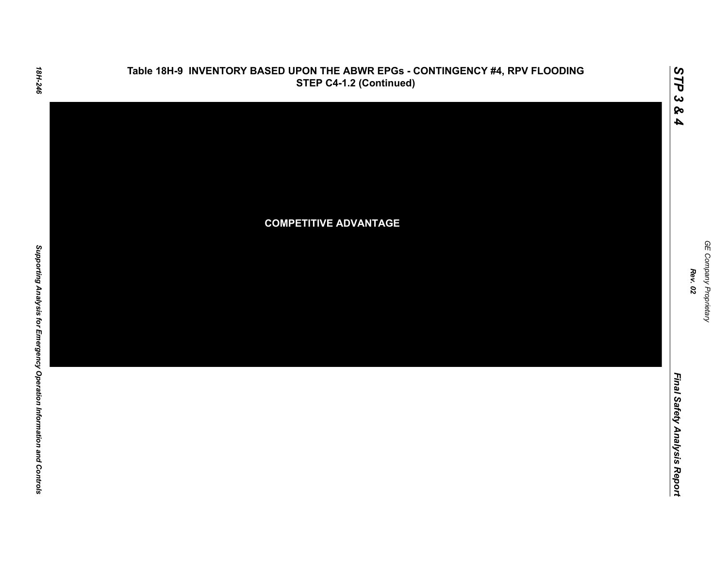

### **Table 18H-9 INVENTORY BASED UPON THE ABWR EPGs - CONTINGENCY #4, RPV FLOODING STEP C4-1.2 (Continued)**

GE Company Proprietary *GE Company Proprietary Rev. 02*

*STP 3 & 4*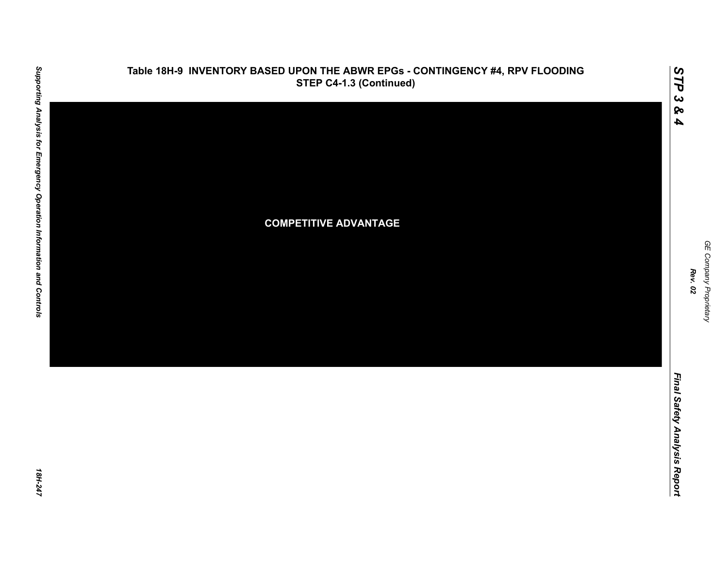

### **Table 18H-9 INVENTORY BASED UPON THE ABWR EPGs - CONTINGENCY #4, RPV FLOODING STEP C4-1.3 (Continued)**

*GE Company Proprietary*

GE Company Proprietary

*Rev. 02*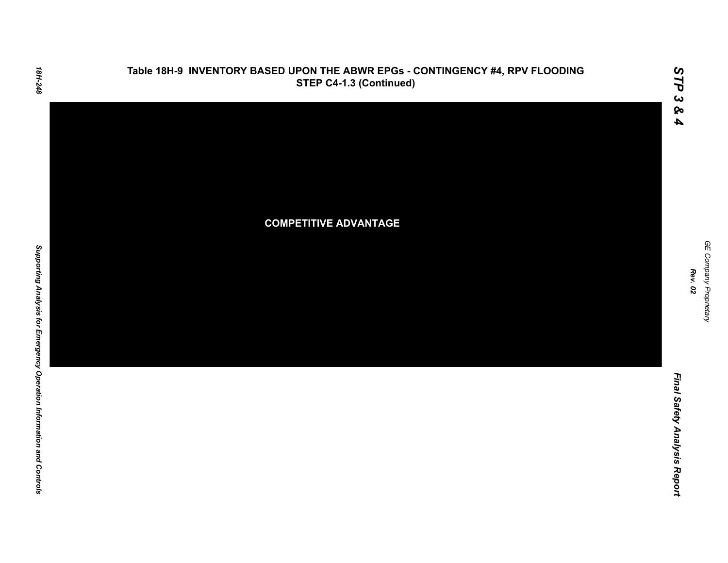

### **Table 18H-9 INVENTORY BASED UPON THE ABWR EPGs - CONTINGENCY #4, RPV FLOODING STEP C4-1.3 (Continued)**

GE Company Proprietary *GE Company Proprietary Rev. 02*

*STP 3 & 4*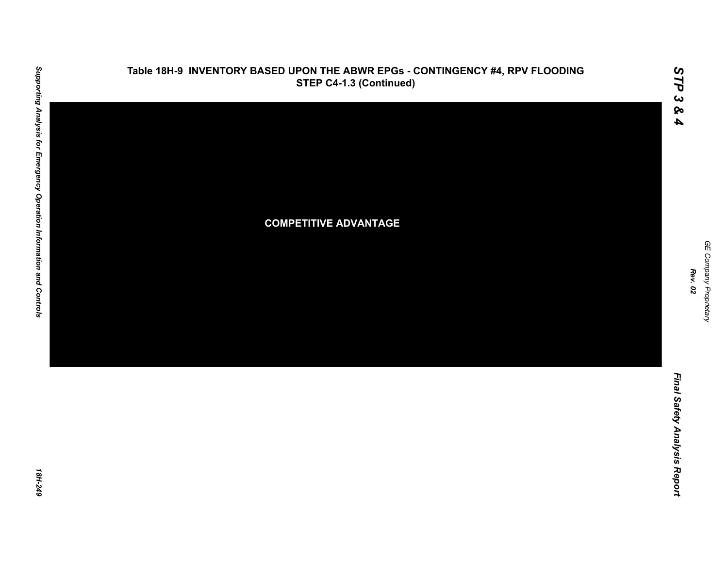

# Supporting Analysis for Emergency Operation Information and Controls *Supporting Analysis for Emergency Operation Information and Controls 18H-249*

*Rev. 02*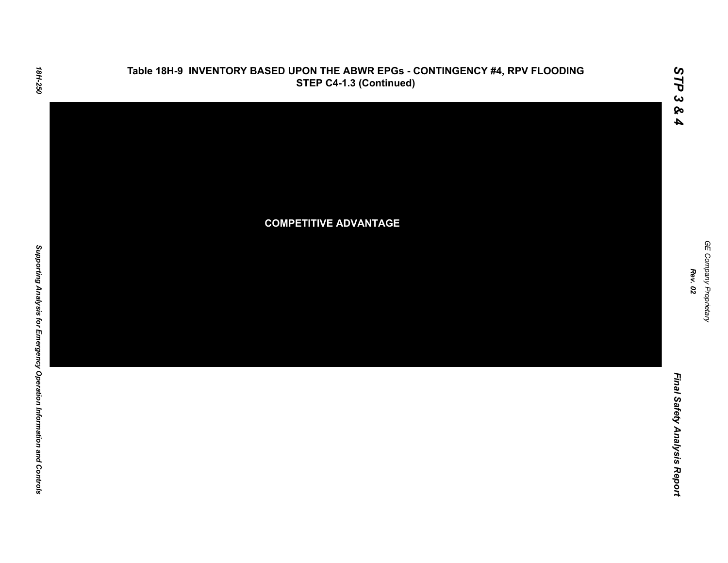

Final Safety Analysis Report *Final Safety Analysis Report*

*GE Company Proprietary*

GE Company Proprietary

*Rev. 02*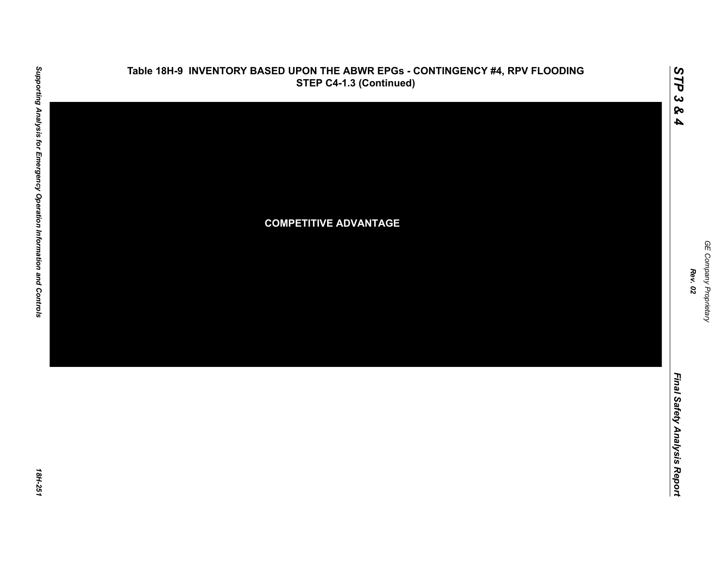

### **Table 18H-9 INVENTORY BASED UPON THE ABWR EPGs - CONTINGENCY #4, RPV FLOODING STEP C4-1.3 (Continued)**

*GE Company Proprietary*

GE Company Proprietary

*Rev. 02*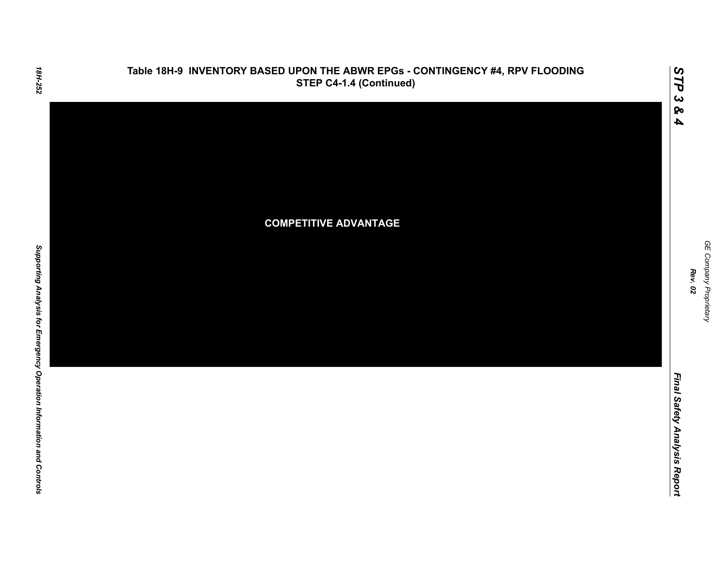

### **Table 18H-9 INVENTORY BASED UPON THE ABWR EPGs - CONTINGENCY #4, RPV FLOODING STEP C4-1.4 (Continued)**

GE Company Proprietary *GE Company Proprietary Rev. 02*

*STP 3 & 4*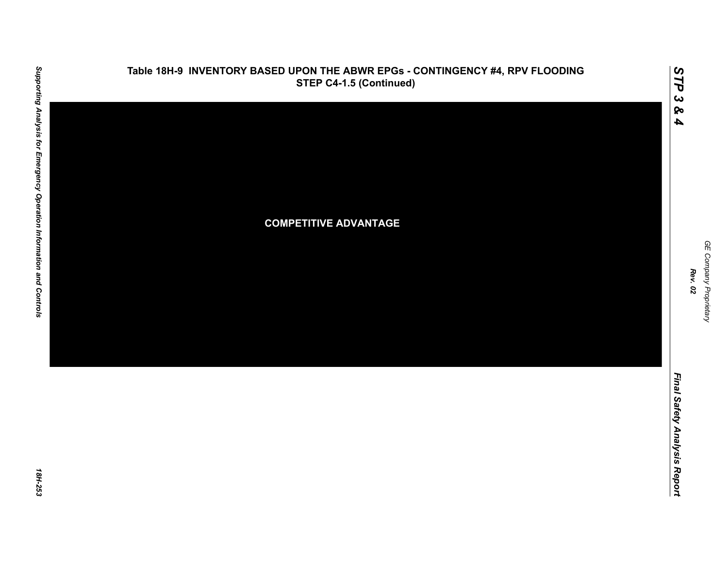

### **Table 18H-9 INVENTORY BASED UPON THE ABWR EPGs - CONTINGENCY #4, RPV FLOODING STEP C4-1.5 (Continued)**

GE Company Proprietary *GE Company Proprietary Rev. 02*

*STP 3 & 4*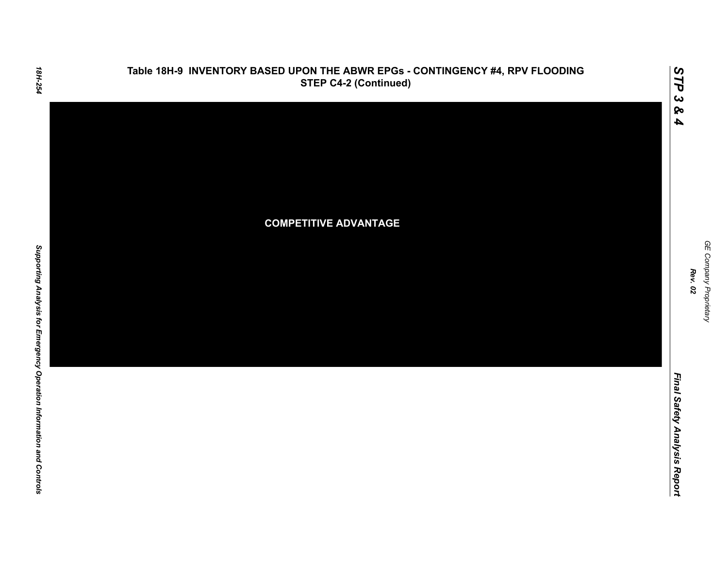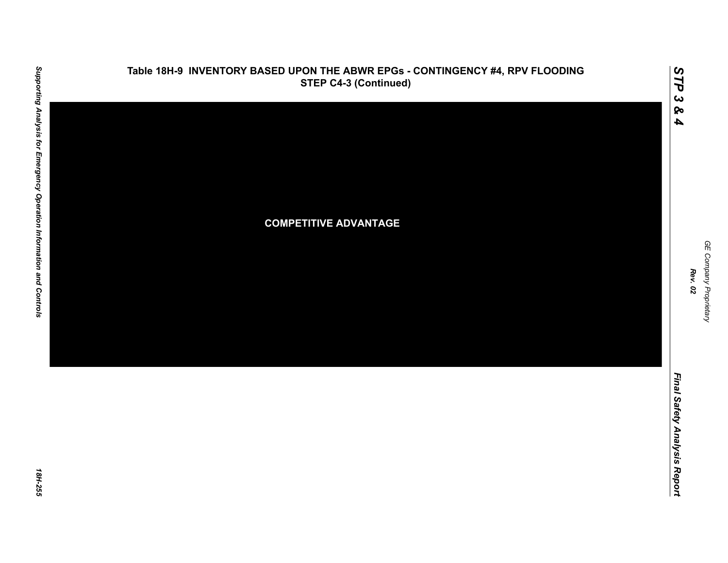

18H-255

GE Company Proprietary

*GE Company Proprietary*

*Rev. 02*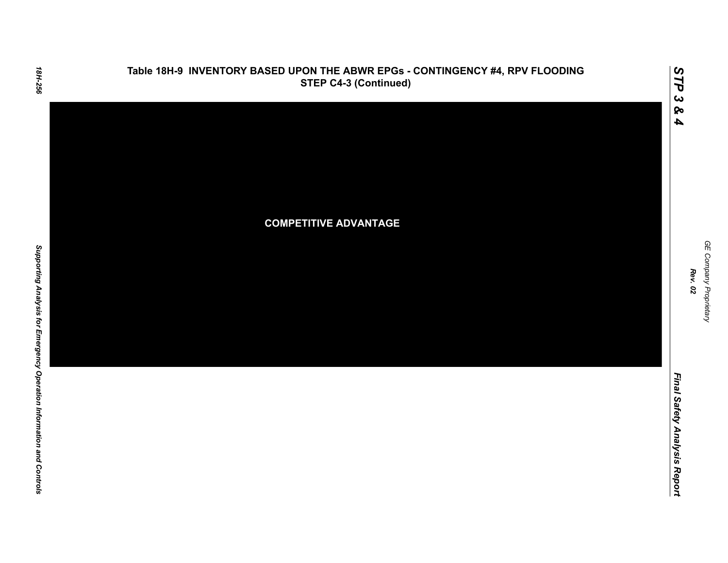

Final Safety Analysis Report *Final Safety Analysis Report*

GE Company Proprietary *GE Company Proprietary Rev. 02*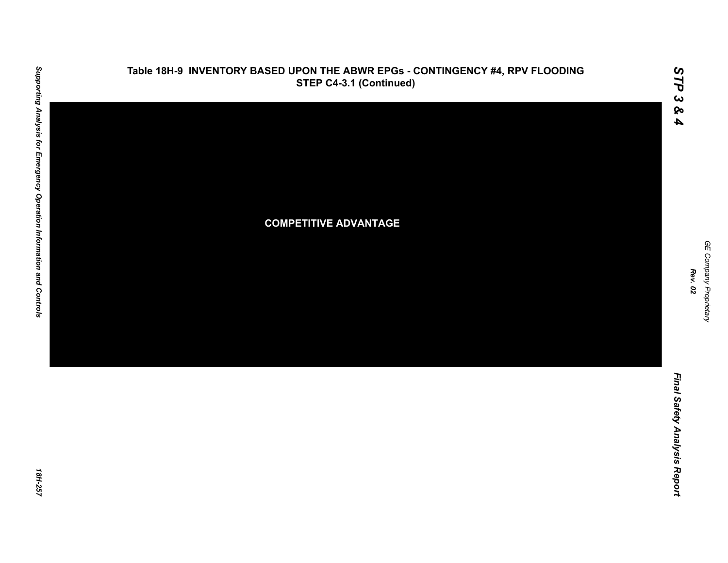

GE Company Proprietary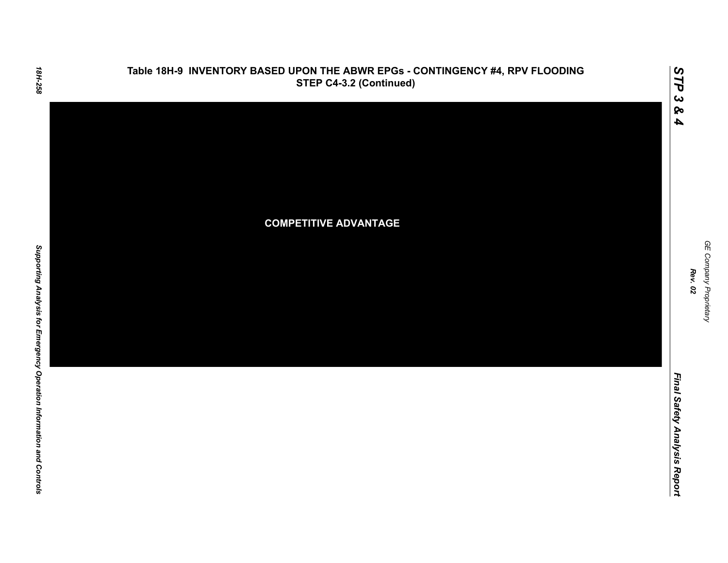

### **Table 18H-9 INVENTORY BASED UPON THE ABWR EPGs - CONTINGENCY #4, RPV FLOODING STEP C4-3.2 (Continued)**

GE Company Proprietary *GE Company Proprietary Rev. 02*

*STP 3 & 4*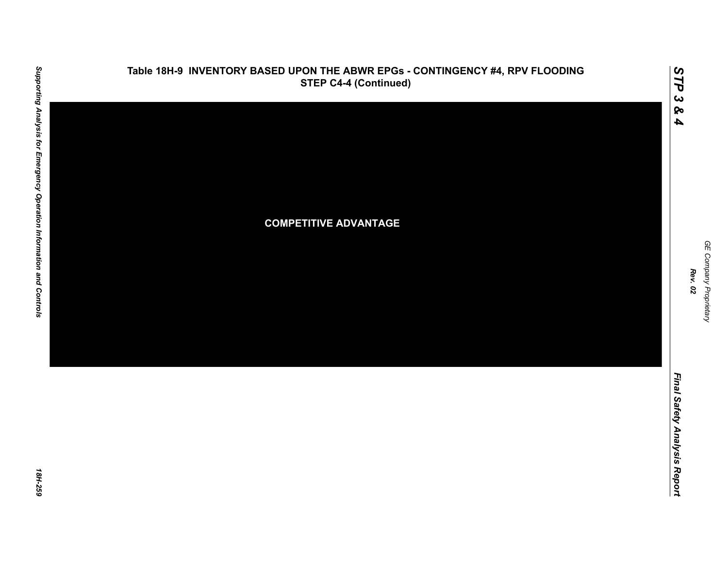

### **Table 18H-9 INVENTORY BASED UPON THE ABWR EPGs - CONTINGENCY #4, RPV FLOODING STEP C4-4 (Continued)**

*STP 3 & 4*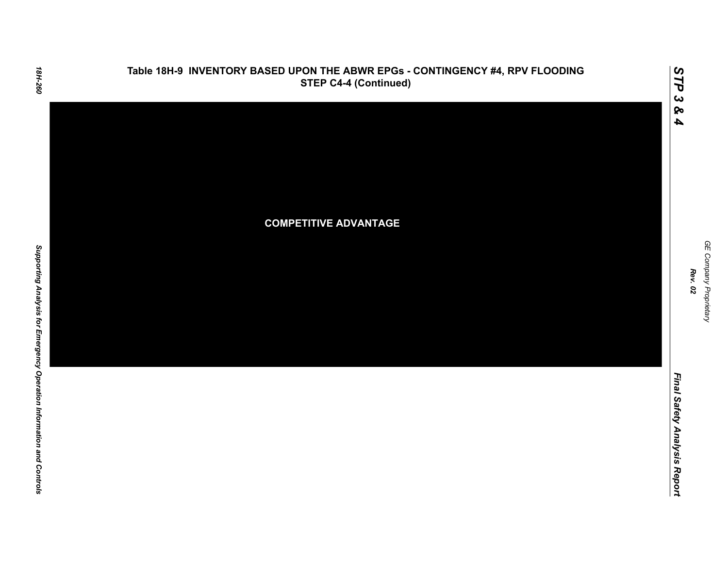

*GE Company Proprietary*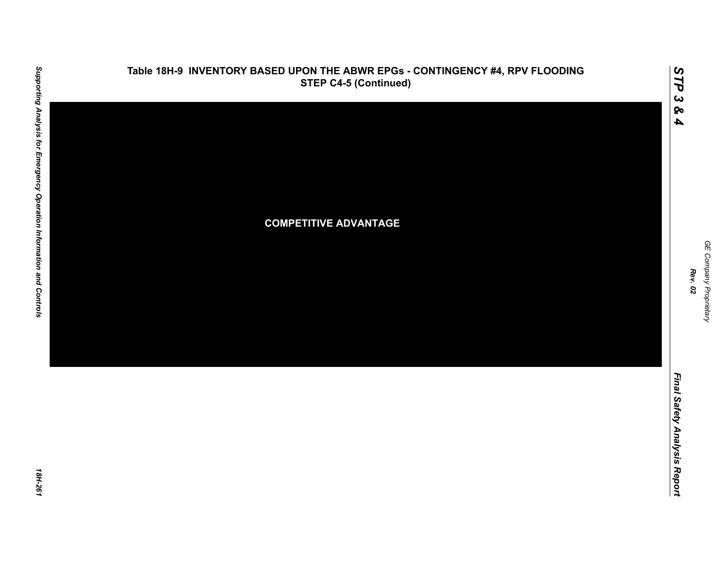

18H-261

GE Company Proprietary *GE Company Proprietary Rev. 02*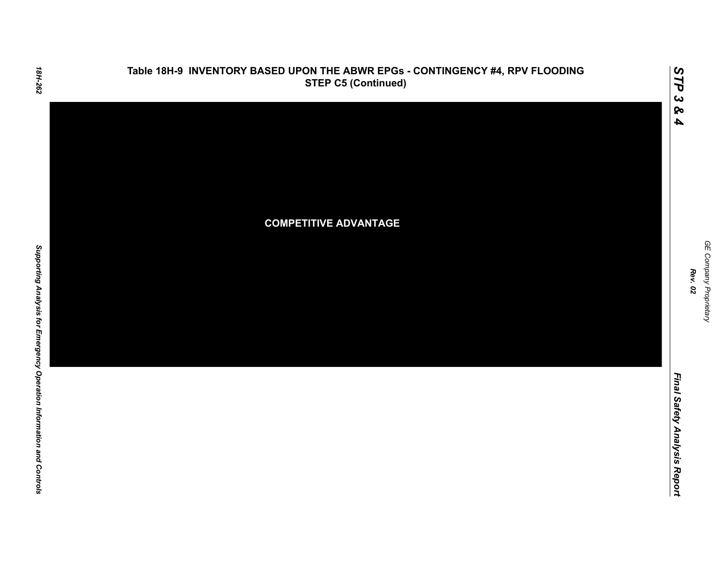

Final Safety Analysis Report *Final Safety Analysis Report*

GE Company Proprietary *GE Company Proprietary Rev. 02*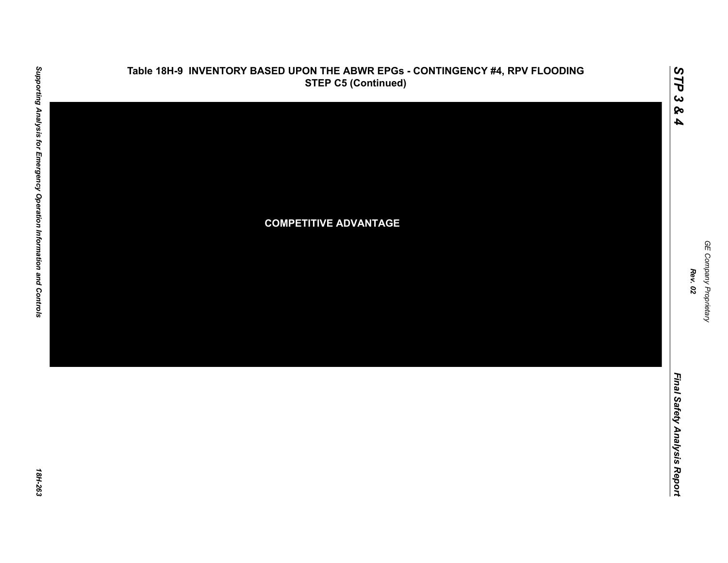

# **Table 18H-9 INVENTORY BASED UPON THE ABWR EPGs - CONTINGENCY #4, RPV FLOODING**

GE Company Proprietary *GE Company Proprietary Rev. 02*

*STP 3 & 4*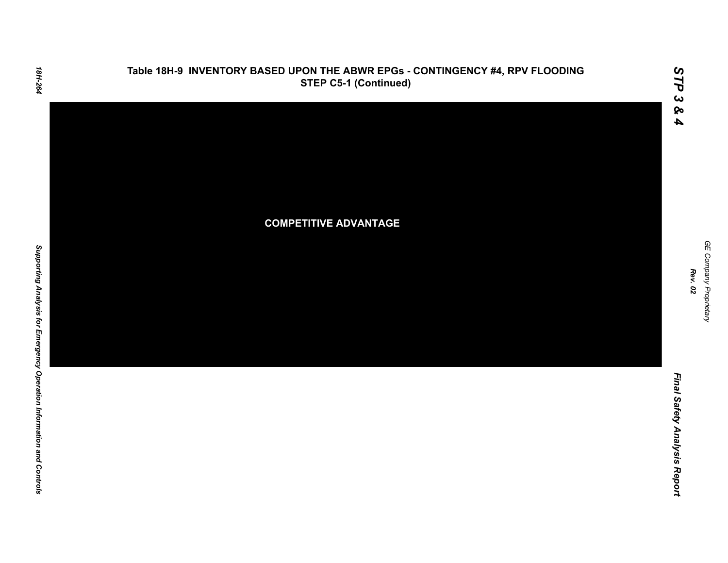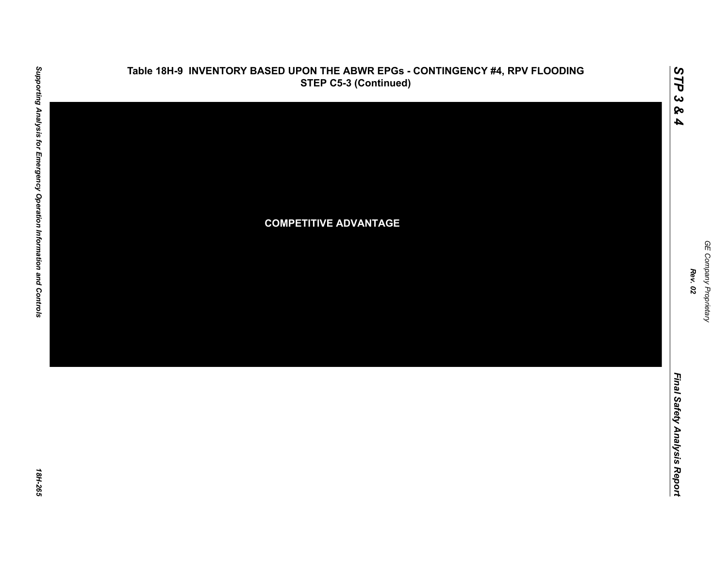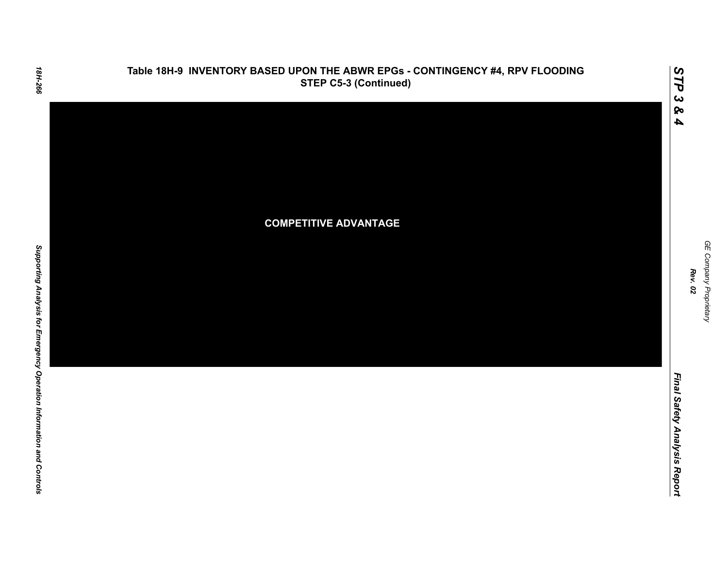

Final Safety Analysis Report *Final Safety Analysis Report*

GE Company Proprietary *GE Company Proprietary Rev. 02*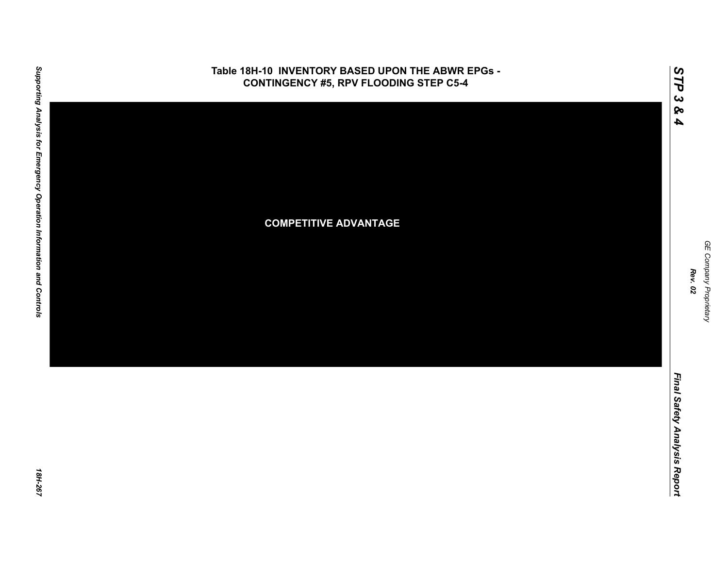

GE Company Proprietary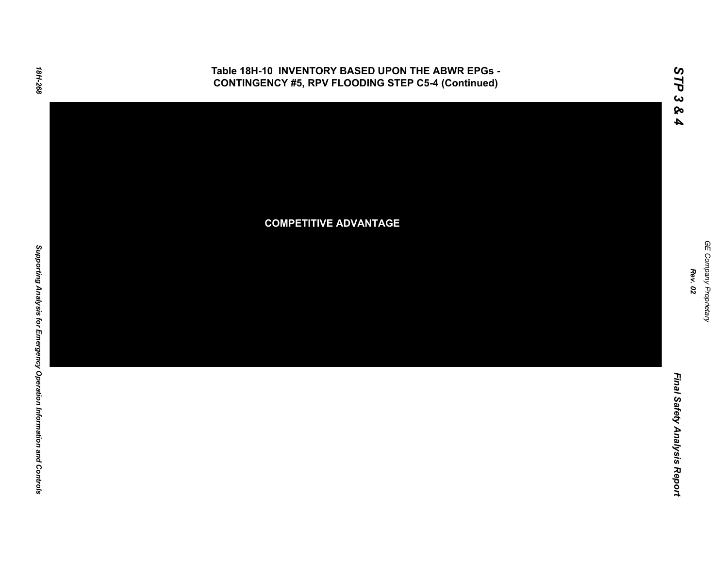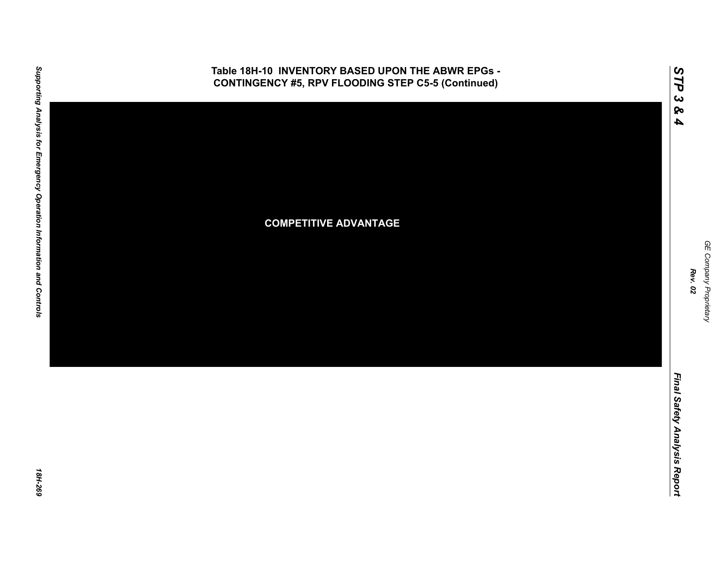

GE Company Proprietary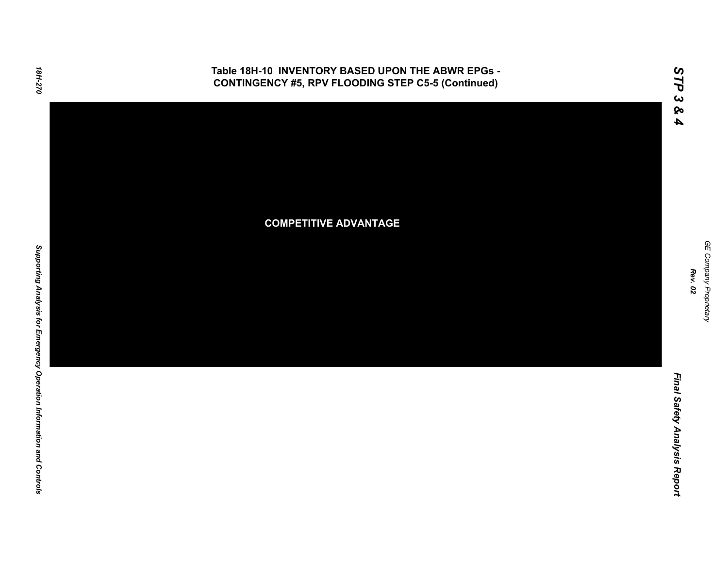

GE Company Proprietary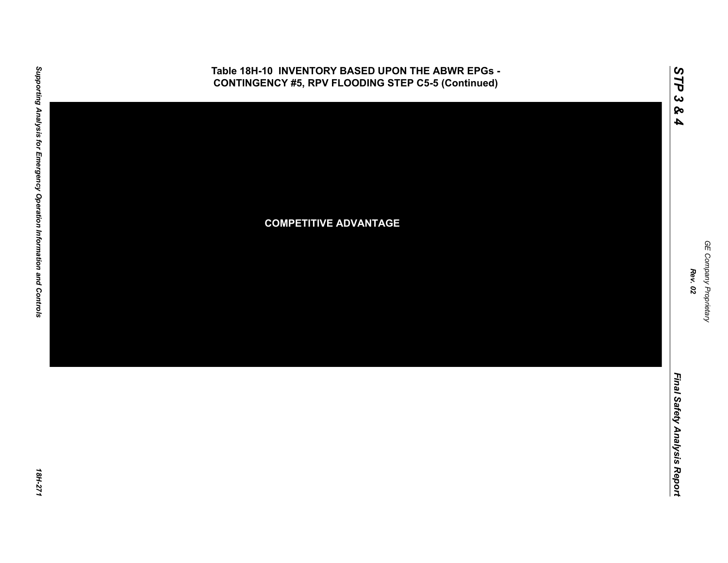

GE Company Proprietary *GE Company Proprietary Rev. 02*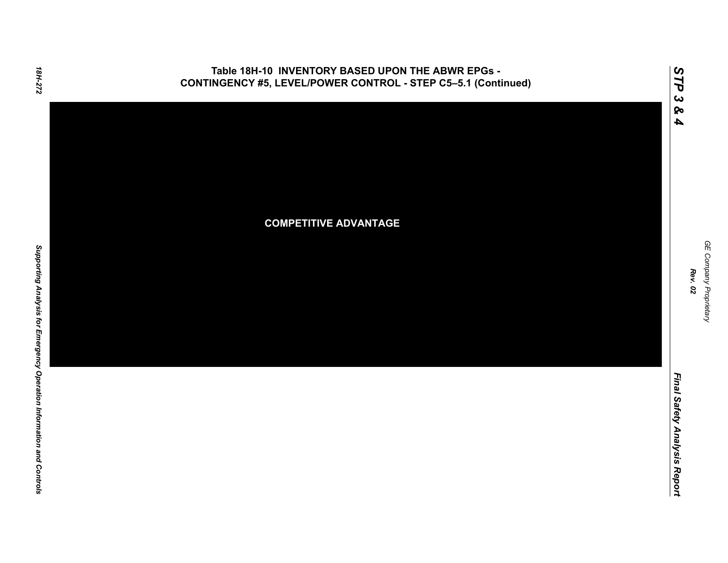### **Table 18H-10 INVENTORY BASED UPON THE ABWR EPGs - CONTINGENCY #5, LEVEL/POWER CONTROL - STEP C5–5.1 (Continued)**



*STP 3 & 4*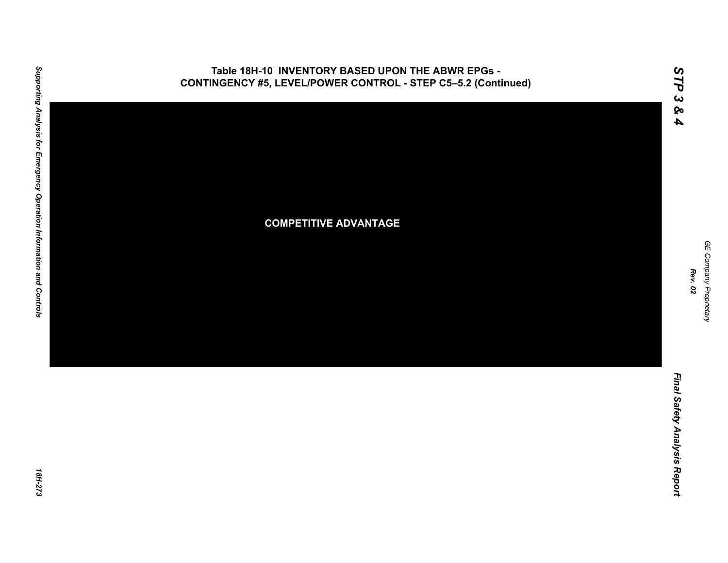

## **Table 18H-10 INVENTORY BASED UPON THE ABWR EPGs -**

GE Company Proprietary *GE Company Proprietary Rev. 02*

*STP 3 & 4*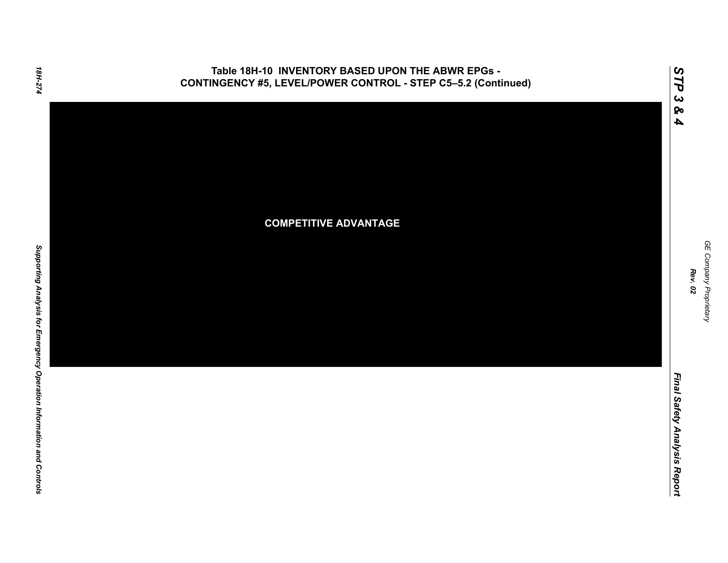### **Table 18H-10 INVENTORY BASED UPON THE ABWR EPGs - CONTINGENCY #5, LEVEL/POWER CONTROL - STEP C5–5.2 (Continued)**



*STP 3 & 4*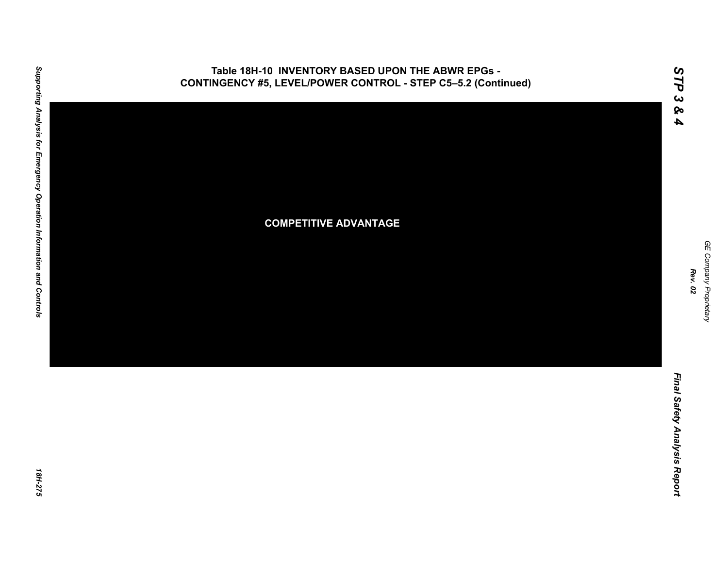

## **Table 18H-10 INVENTORY BASED UPON THE ABWR EPGs -**

GE Company Proprietary *GE Company Proprietary Rev. 02*

*STP 3 & 4*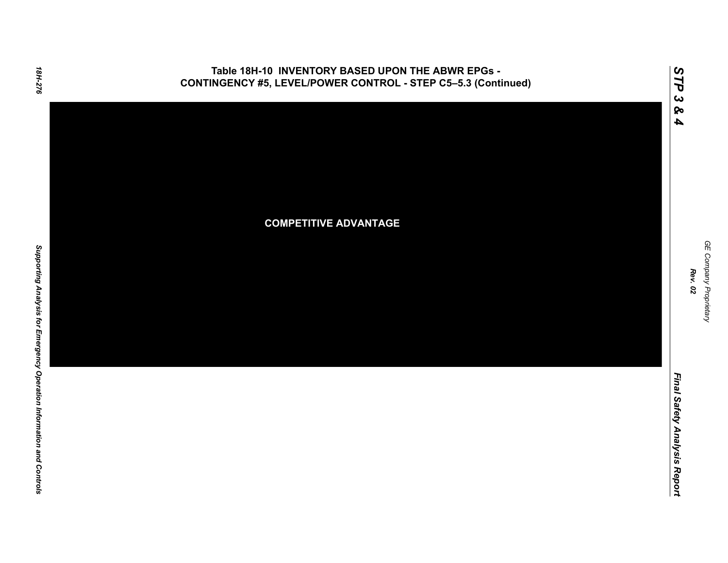### **Table 18H-10 INVENTORY BASED UPON THE ABWR EPGs - CONTINGENCY #5, LEVEL/POWER CONTROL - STEP C5–5.3 (Continued)**



*STP 3 & 4*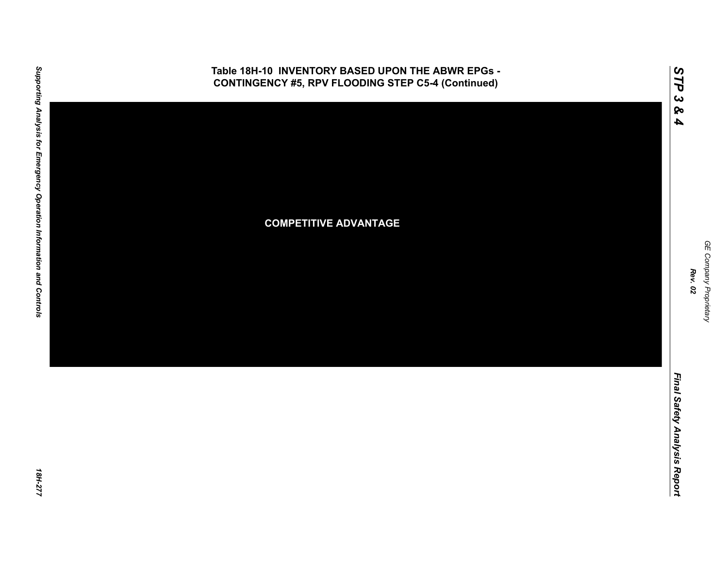

GE Company Proprietary *GE Company Proprietary Rev. 02*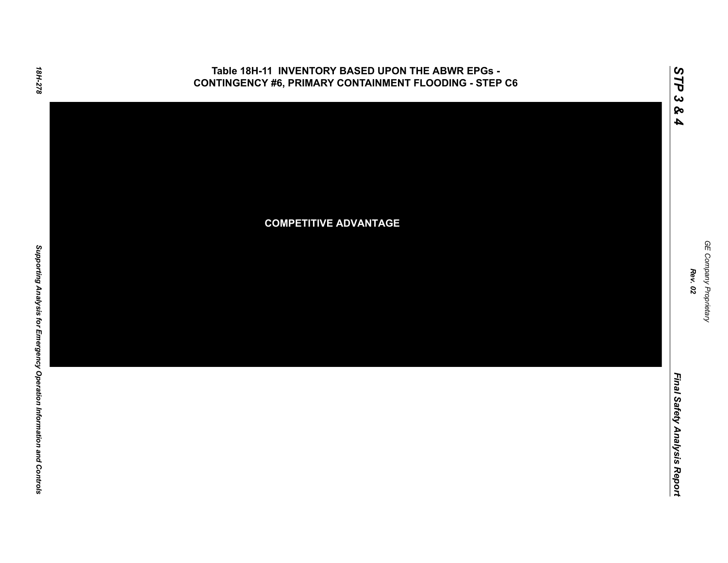#### **Table 18H-11 INVENTORY BASED UPON THE ABWR EPGs - CONTINGENCY #6, PRIMARY CONTAINMENT FLOODING - STEP C6**



GE Company Proprietary *GE Company Proprietary Rev. 02*

*STP 3 & 4*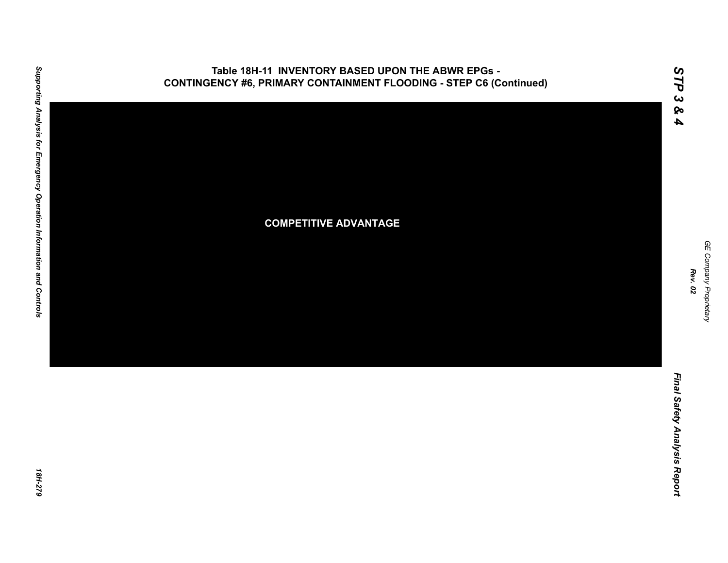

## **Table 18H-11 INVENTORY BASED UPON THE ABWR EPGs -**

GE Company Proprietary *GE Company Proprietary Rev. 02*

*STP 3 & 4*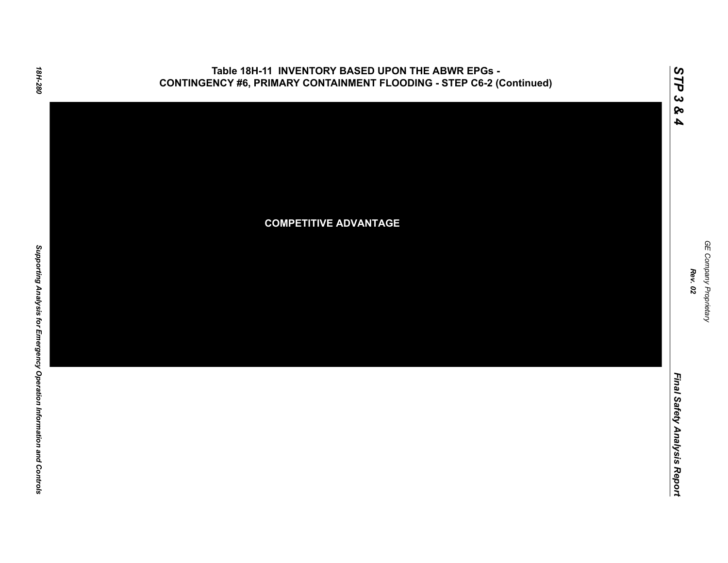



*STP 3 & 4*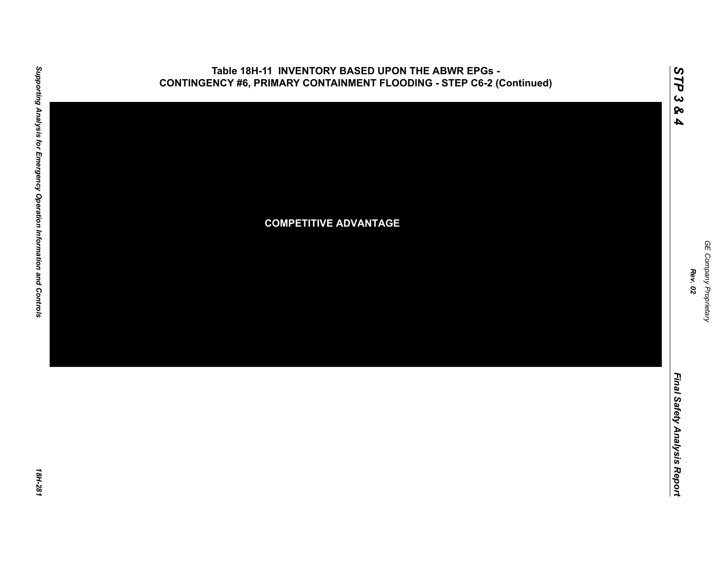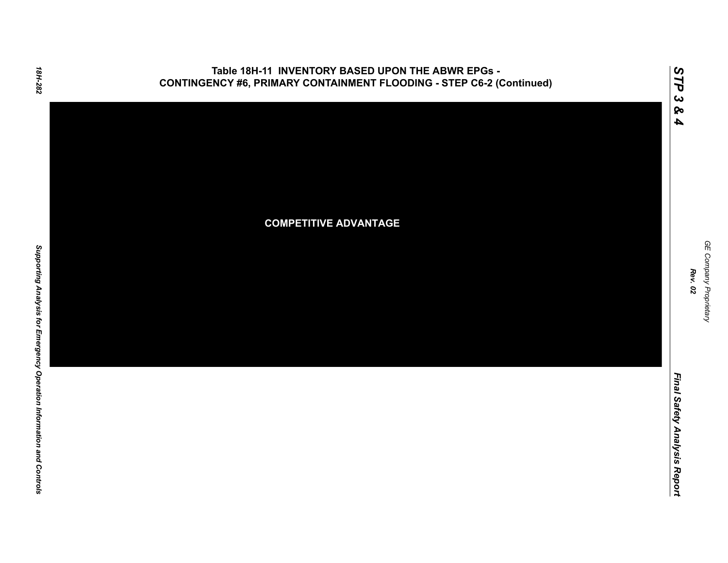



*Rev. 02*

*STP 3 & 4*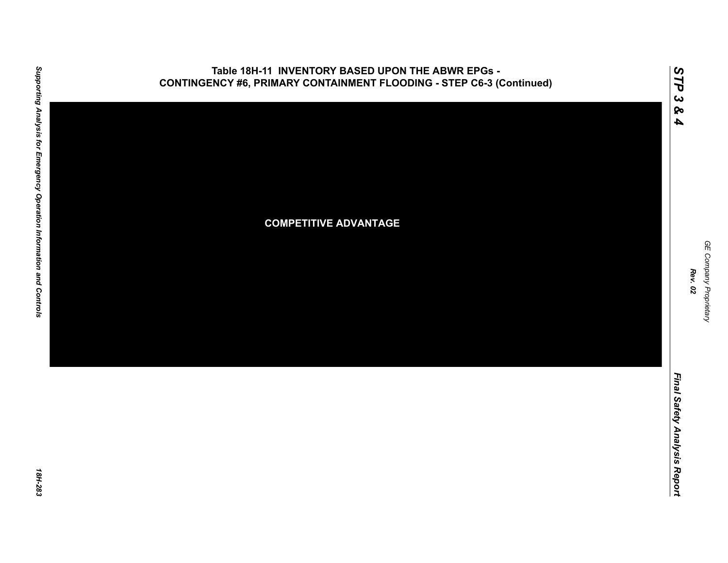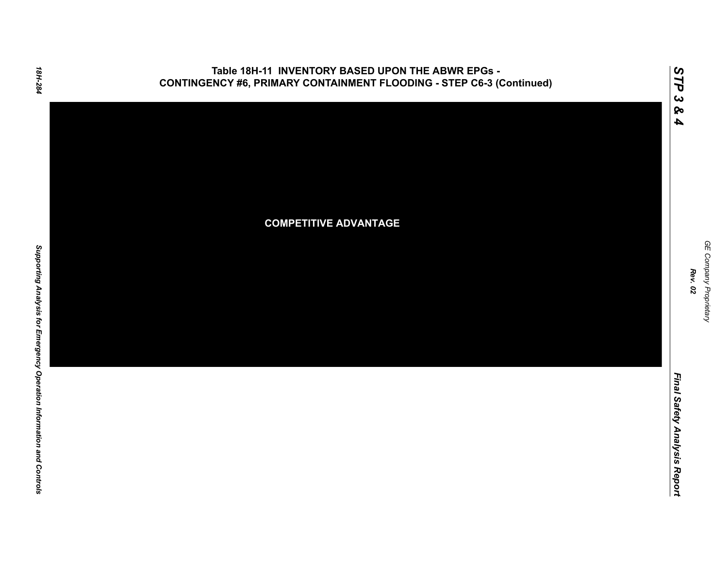



*Rev. 02*

*STP 3 & 4*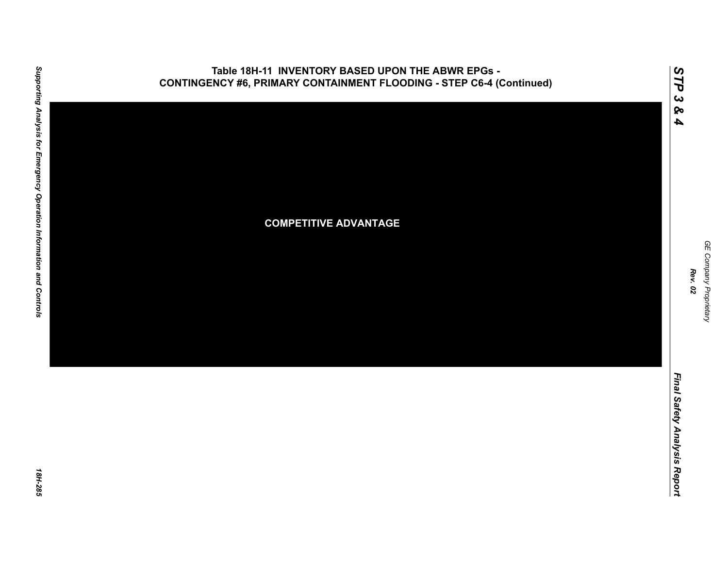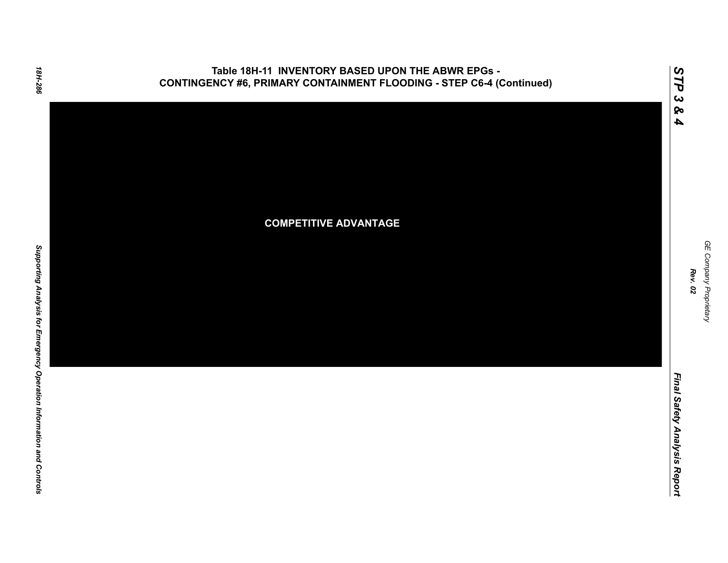



*Rev. 02*

*Final Safety Analysis Report*

Final Safety Analysis Report

*STP 3 & 4*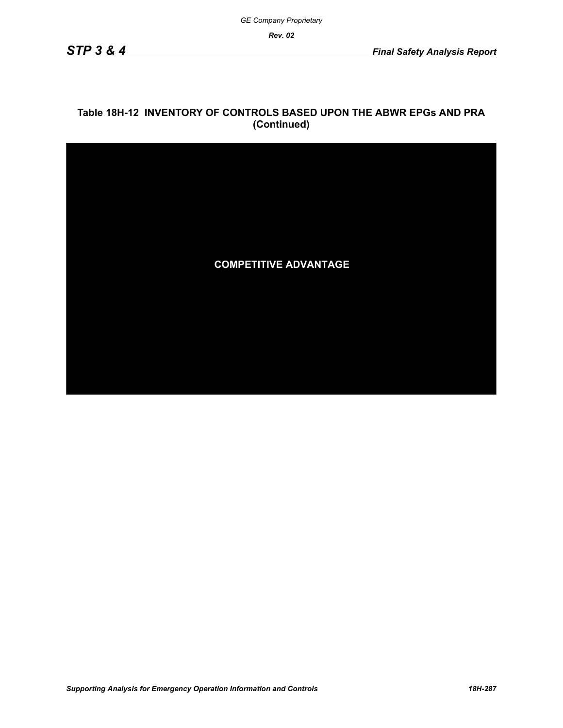*Rev. 02*

### **Table 18H-12 INVENTORY OF CONTROLS BASED UPON THE ABWR EPGs AND PRA (Continued)**

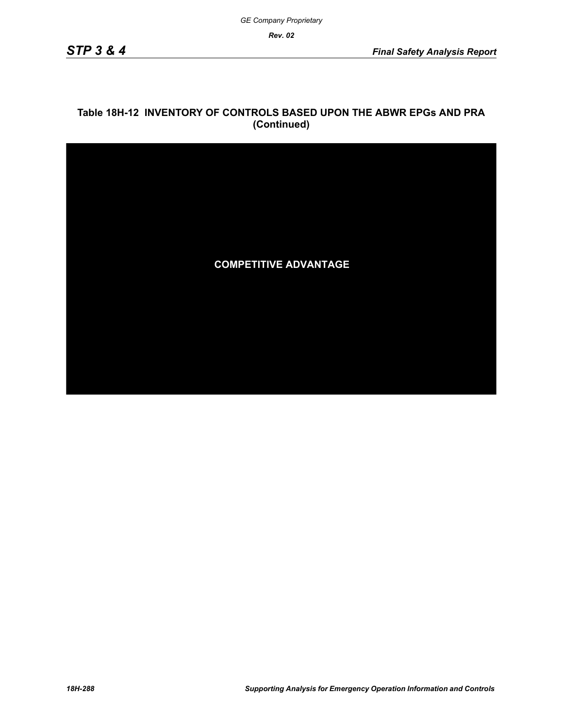*Rev. 02*

### **Table 18H-12 INVENTORY OF CONTROLS BASED UPON THE ABWR EPGs AND PRA (Continued)**

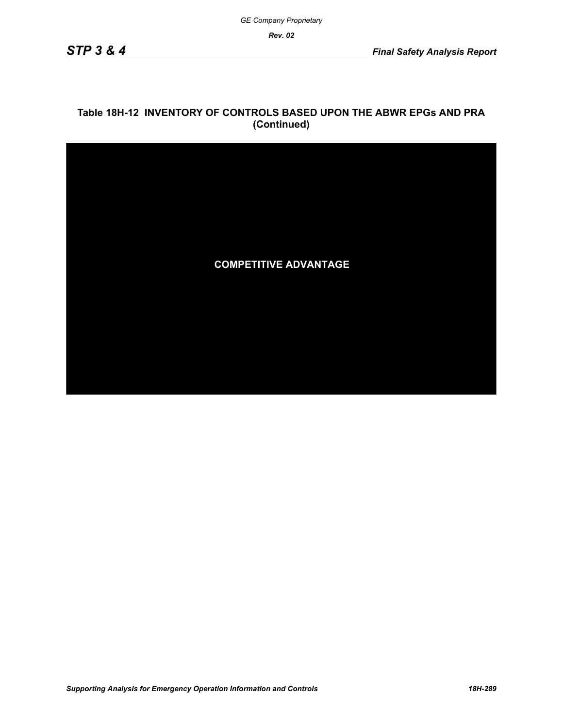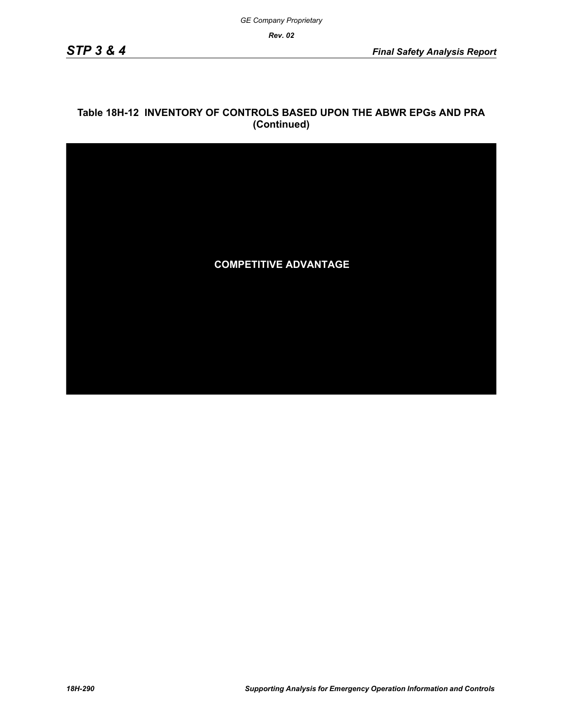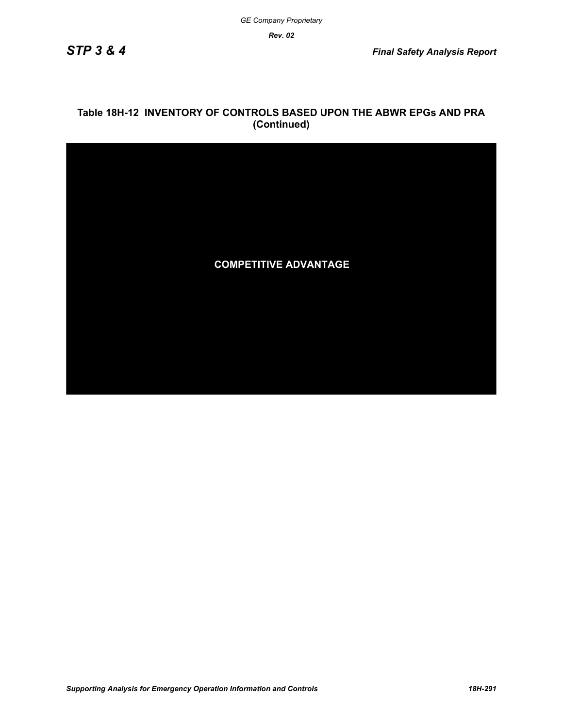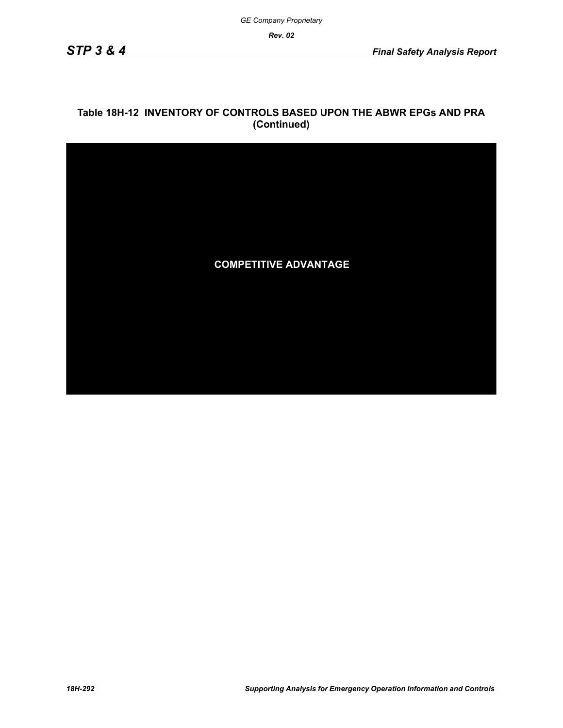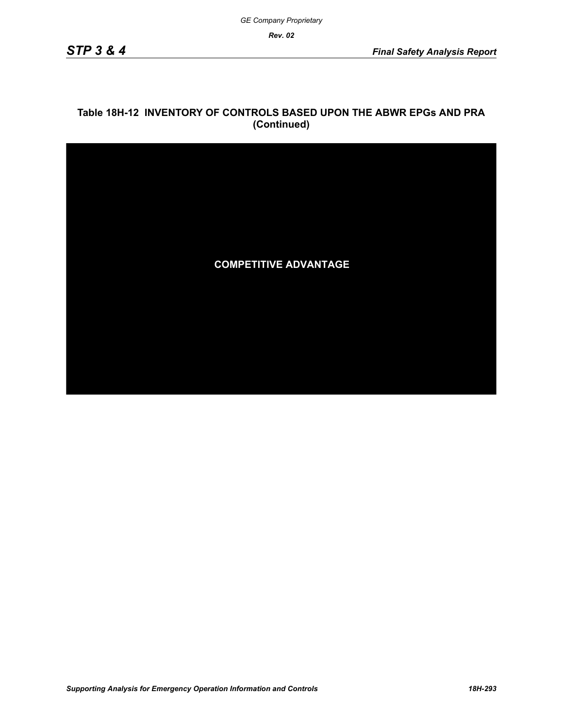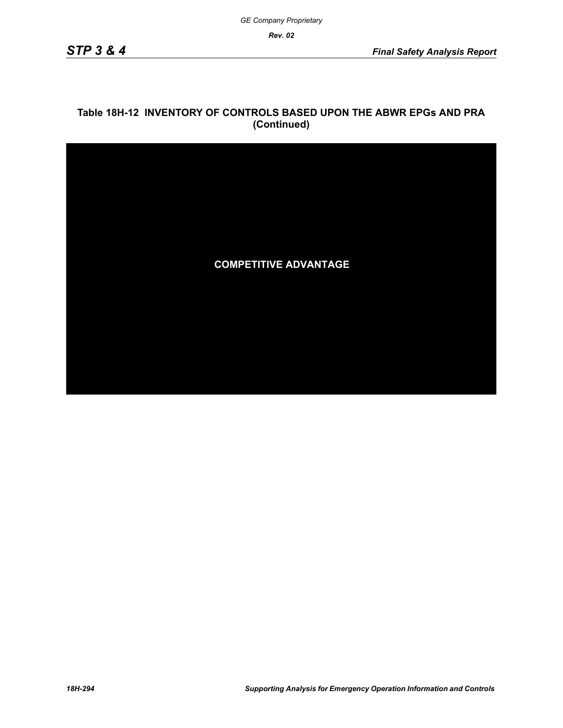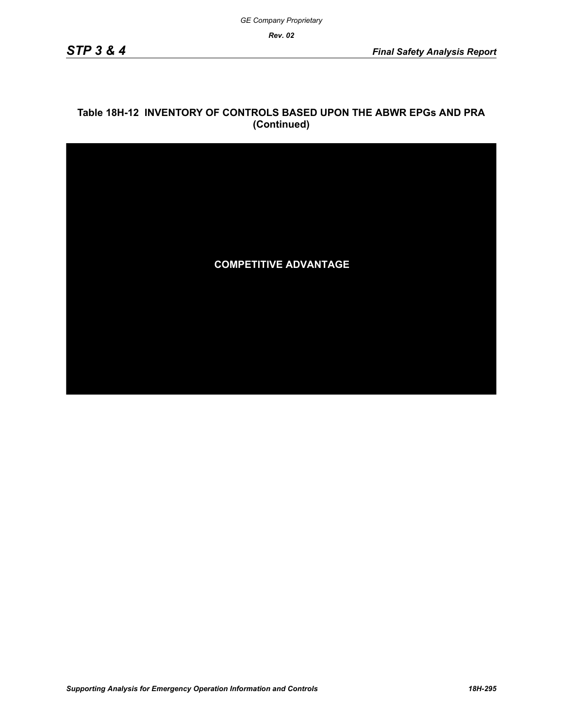